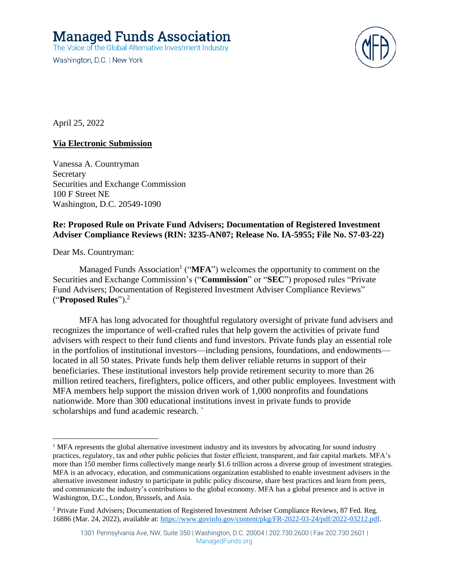# **Managed Funds Association**

The Voice of the Global Alternative Investment Industry

Washington, D.C. | New York



April 25, 2022

# **Via Electronic Submission**

Vanessa A. Countryman **Secretary** Securities and Exchange Commission 100 F Street NE Washington, D.C. 20549-1090

## **Re: Proposed Rule on Private Fund Advisers; Documentation of Registered Investment Adviser Compliance Reviews (RIN: 3235-AN07; Release No. IA-5955; File No. S7-03-22)**

Dear Ms. Countryman:

Managed Funds Association<sup>1</sup> (" $MFA$ ") welcomes the opportunity to comment on the Securities and Exchange Commission's ("**Commission**" or "**SEC**") proposed rules "Private Fund Advisers; Documentation of Registered Investment Adviser Compliance Reviews" ("**Proposed Rules**"). 2

MFA has long advocated for thoughtful regulatory oversight of private fund advisers and recognizes the importance of well-crafted rules that help govern the activities of private fund advisers with respect to their fund clients and fund investors. Private funds play an essential role in the portfolios of institutional investors—including pensions, foundations, and endowments located in all 50 states. Private funds help them deliver reliable returns in support of their beneficiaries. These institutional investors help provide retirement security to more than 26 million retired teachers, firefighters, police officers, and other public employees. Investment with MFA members help support the mission driven work of 1,000 nonprofits and foundations nationwide. More than 300 educational institutions invest in private funds to provide scholarships and fund academic research. `

<sup>&</sup>lt;sup>1</sup> MFA represents the global alternative investment industry and its investors by advocating for sound industry practices, regulatory, tax and other public policies that foster efficient, transparent, and fair capital markets. MFA's more than 150 member firms collectively mange nearly \$1.6 trillion across a diverse group of investment strategies. MFA is an advocacy, education, and communications organization established to enable investment advisers in the alternative investment industry to participate in public policy discourse, share best practices and learn from peers, and communicate the industry's contributions to the global economy. MFA has a global presence and is active in Washington, D.C., London, Brussels, and Asia.

<sup>2</sup> Private Fund Advisers; Documentation of Registered Investment Adviser Compliance Reviews, 87 Fed. Reg. 16886 (Mar. 24, 2022), available at: [https://www.govinfo.gov/content/pkg/FR-2022-03-24/pdf/2022-03212.pdf.](https://www.govinfo.gov/content/pkg/FR-2022-03-24/pdf/2022-03212.pdf)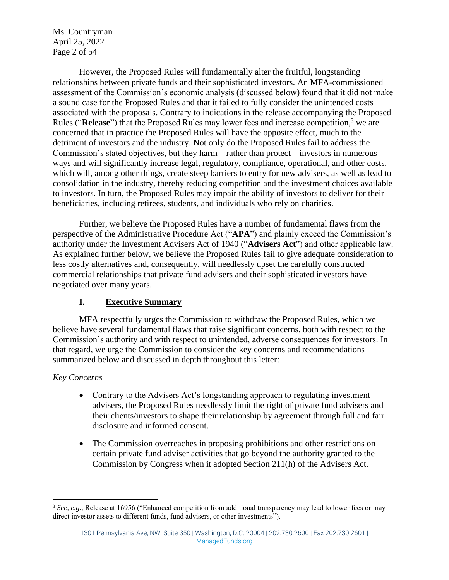Ms. Countryman April 25, 2022 Page 2 of 54

However, the Proposed Rules will fundamentally alter the fruitful, longstanding relationships between private funds and their sophisticated investors. An MFA-commissioned assessment of the Commission's economic analysis (discussed below) found that it did not make a sound case for the Proposed Rules and that it failed to fully consider the unintended costs associated with the proposals. Contrary to indications in the release accompanying the Proposed Rules ("**Release**") that the Proposed Rules may lower fees and increase competition,<sup>3</sup> we are concerned that in practice the Proposed Rules will have the opposite effect, much to the detriment of investors and the industry. Not only do the Proposed Rules fail to address the Commission's stated objectives, but they harm—rather than protect—investors in numerous ways and will significantly increase legal, regulatory, compliance, operational, and other costs, which will, among other things, create steep barriers to entry for new advisers, as well as lead to consolidation in the industry, thereby reducing competition and the investment choices available to investors. In turn, the Proposed Rules may impair the ability of investors to deliver for their beneficiaries, including retirees, students, and individuals who rely on charities.

Further, we believe the Proposed Rules have a number of fundamental flaws from the perspective of the Administrative Procedure Act ("**APA**") and plainly exceed the Commission's authority under the Investment Advisers Act of 1940 ("**Advisers Act**") and other applicable law. As explained further below, we believe the Proposed Rules fail to give adequate consideration to less costly alternatives and, consequently, will needlessly upset the carefully constructed commercial relationships that private fund advisers and their sophisticated investors have negotiated over many years.

# **I. Executive Summary**

MFA respectfully urges the Commission to withdraw the Proposed Rules, which we believe have several fundamental flaws that raise significant concerns, both with respect to the Commission's authority and with respect to unintended, adverse consequences for investors. In that regard, we urge the Commission to consider the key concerns and recommendations summarized below and discussed in depth throughout this letter:

#### *Key Concerns*

- Contrary to the Advisers Act's longstanding approach to regulating investment advisers, the Proposed Rules needlessly limit the right of private fund advisers and their clients/investors to shape their relationship by agreement through full and fair disclosure and informed consent.
- The Commission overreaches in proposing prohibitions and other restrictions on certain private fund adviser activities that go beyond the authority granted to the Commission by Congress when it adopted Section 211(h) of the Advisers Act.

<sup>&</sup>lt;sup>3</sup> See, e.g., Release at 16956 ("Enhanced competition from additional transparency may lead to lower fees or may direct investor assets to different funds, fund advisers, or other investments").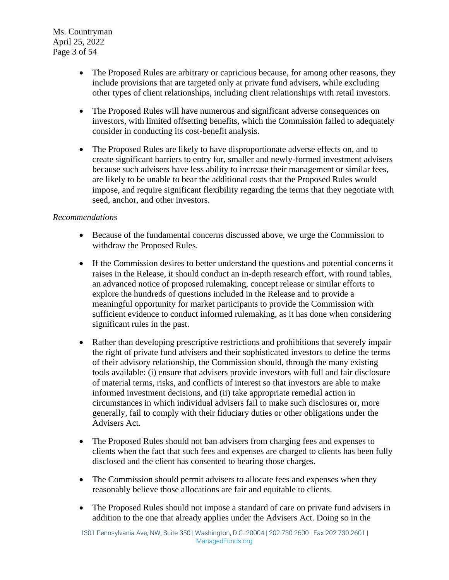Ms. Countryman April 25, 2022 Page 3 of 54

- The Proposed Rules are arbitrary or capricious because, for among other reasons, they include provisions that are targeted only at private fund advisers, while excluding other types of client relationships, including client relationships with retail investors.
- The Proposed Rules will have numerous and significant adverse consequences on investors, with limited offsetting benefits, which the Commission failed to adequately consider in conducting its cost-benefit analysis.
- The Proposed Rules are likely to have disproportionate adverse effects on, and to create significant barriers to entry for, smaller and newly-formed investment advisers because such advisers have less ability to increase their management or similar fees, are likely to be unable to bear the additional costs that the Proposed Rules would impose, and require significant flexibility regarding the terms that they negotiate with seed, anchor, and other investors.

# *Recommendations*

- Because of the fundamental concerns discussed above, we urge the Commission to withdraw the Proposed Rules.
- If the Commission desires to better understand the questions and potential concerns it raises in the Release, it should conduct an in-depth research effort, with round tables, an advanced notice of proposed rulemaking, concept release or similar efforts to explore the hundreds of questions included in the Release and to provide a meaningful opportunity for market participants to provide the Commission with sufficient evidence to conduct informed rulemaking, as it has done when considering significant rules in the past.
- Rather than developing prescriptive restrictions and prohibitions that severely impair the right of private fund advisers and their sophisticated investors to define the terms of their advisory relationship, the Commission should, through the many existing tools available: (i) ensure that advisers provide investors with full and fair disclosure of material terms, risks, and conflicts of interest so that investors are able to make informed investment decisions, and (ii) take appropriate remedial action in circumstances in which individual advisers fail to make such disclosures or, more generally, fail to comply with their fiduciary duties or other obligations under the Advisers Act.
- The Proposed Rules should not ban advisers from charging fees and expenses to clients when the fact that such fees and expenses are charged to clients has been fully disclosed and the client has consented to bearing those charges.
- The Commission should permit advisers to allocate fees and expenses when they reasonably believe those allocations are fair and equitable to clients.
- The Proposed Rules should not impose a standard of care on private fund advisers in addition to the one that already applies under the Advisers Act. Doing so in the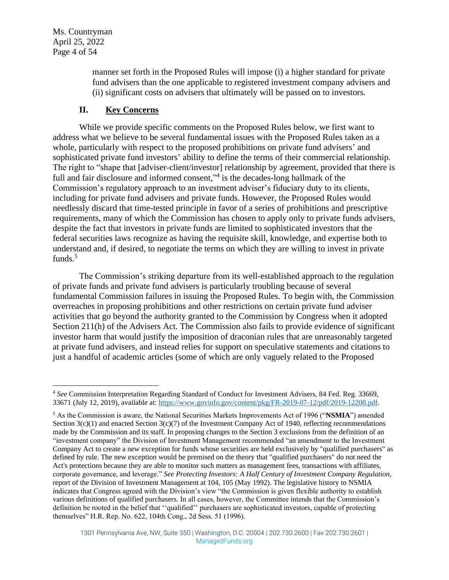Ms. Countryman April 25, 2022 Page 4 of 54

> manner set forth in the Proposed Rules will impose (i) a higher standard for private fund advisers than the one applicable to registered investment company advisers and (ii) significant costs on advisers that ultimately will be passed on to investors.

#### <span id="page-3-0"></span>**II. Key Concerns**

While we provide specific comments on the Proposed Rules below, we first want to address what we believe to be several fundamental issues with the Proposed Rules taken as a whole, particularly with respect to the proposed prohibitions on private fund advisers' and sophisticated private fund investors' ability to define the terms of their commercial relationship. The right to "shape that [adviser-client/investor] relationship by agreement, provided that there is full and fair disclosure and informed consent,"<sup>4</sup> is the decades-long hallmark of the Commission's regulatory approach to an investment adviser's fiduciary duty to its clients, including for private fund advisers and private funds. However, the Proposed Rules would needlessly discard that time-tested principle in favor of a series of prohibitions and prescriptive requirements, many of which the Commission has chosen to apply only to private funds advisers, despite the fact that investors in private funds are limited to sophisticated investors that the federal securities laws recognize as having the requisite skill, knowledge, and expertise both to understand and, if desired, to negotiate the terms on which they are willing to invest in private funds. $5$ 

The Commission's striking departure from its well-established approach to the regulation of private funds and private fund advisers is particularly troubling because of several fundamental Commission failures in issuing the Proposed Rules. To begin with, the Commission overreaches in proposing prohibitions and other restrictions on certain private fund adviser activities that go beyond the authority granted to the Commission by Congress when it adopted Section 211(h) of the Advisers Act. The Commission also fails to provide evidence of significant investor harm that would justify the imposition of draconian rules that are unreasonably targeted at private fund advisers, and instead relies for support on speculative statements and citations to just a handful of academic articles (some of which are only vaguely related to the Proposed

<sup>4</sup> *See* Commission Interpretation Regarding Standard of Conduct for Investment Advisers, 84 Fed. Reg. 33669, 33671 (July 12, 2019), available at: [https://www.govinfo.gov/content/pkg/FR-2019-07-12/pdf/2019-12208.pdf.](https://www.govinfo.gov/content/pkg/FR-2019-07-12/pdf/2019-12208.pdf)

<sup>5</sup> As the Commission is aware, the National Securities Markets Improvements Act of 1996 ("**NSMIA**") amended Section  $3(c)(1)$  and enacted Section  $3(c)(7)$  of the Investment Company Act of 1940, reflecting recommendations made by the Commission and its staff. In proposing changes to the Section 3 exclusions from the definition of an "investment company" the Division of Investment Management recommended "an amendment to the Investment Company Act to create a new exception for funds whose securities are held exclusively by "qualified purchasers" as defined by rule. The new exception would be premised on the theory that "qualified purchasers" do not need the Act's protections because they are able to monitor such matters as management fees, transactions with affiliates, corporate governance, and leverage." *See Protecting Investors: A Half Century of Investment Company Regulation*, report of the Division of Investment Management at 104, 105 (May 1992). The legislative history to NSMIA indicates that Congress agreed with the Division's view "the Commission is given flexible authority to establish various definitions of qualified purchasers. In all cases, however, the Committee intends that the Commission's definition be rooted in the belief that ''qualified'' purchasers are sophisticated investors, capable of protecting themselves" H.R. Rep. No. 622, 104th Cong., 2d Sess. 51 (1996).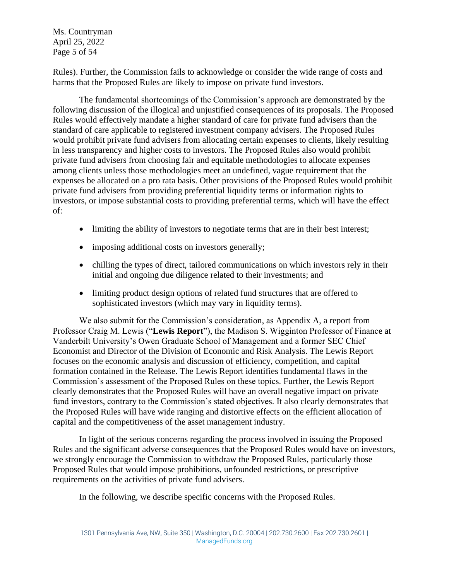Ms. Countryman April 25, 2022 Page 5 of 54

Rules). Further, the Commission fails to acknowledge or consider the wide range of costs and harms that the Proposed Rules are likely to impose on private fund investors.

The fundamental shortcomings of the Commission's approach are demonstrated by the following discussion of the illogical and unjustified consequences of its proposals. The Proposed Rules would effectively mandate a higher standard of care for private fund advisers than the standard of care applicable to registered investment company advisers. The Proposed Rules would prohibit private fund advisers from allocating certain expenses to clients, likely resulting in less transparency and higher costs to investors. The Proposed Rules also would prohibit private fund advisers from choosing fair and equitable methodologies to allocate expenses among clients unless those methodologies meet an undefined, vague requirement that the expenses be allocated on a pro rata basis. Other provisions of the Proposed Rules would prohibit private fund advisers from providing preferential liquidity terms or information rights to investors, or impose substantial costs to providing preferential terms, which will have the effect of:

- limiting the ability of investors to negotiate terms that are in their best interest;
- imposing additional costs on investors generally;
- chilling the types of direct, tailored communications on which investors rely in their initial and ongoing due diligence related to their investments; and
- limiting product design options of related fund structures that are offered to sophisticated investors (which may vary in liquidity terms).

We also submit for the Commission's consideration, as Appendix A, a report from Professor Craig M. Lewis ("**Lewis Report**"), the Madison S. Wigginton Professor of Finance at Vanderbilt University's Owen Graduate School of Management and a former SEC Chief Economist and Director of the Division of Economic and Risk Analysis. The Lewis Report focuses on the economic analysis and discussion of efficiency, competition, and capital formation contained in the Release. The Lewis Report identifies fundamental flaws in the Commission's assessment of the Proposed Rules on these topics. Further, the Lewis Report clearly demonstrates that the Proposed Rules will have an overall negative impact on private fund investors, contrary to the Commission's stated objectives. It also clearly demonstrates that the Proposed Rules will have wide ranging and distortive effects on the efficient allocation of capital and the competitiveness of the asset management industry.

In light of the serious concerns regarding the process involved in issuing the Proposed Rules and the significant adverse consequences that the Proposed Rules would have on investors, we strongly encourage the Commission to withdraw the Proposed Rules, particularly those Proposed Rules that would impose prohibitions, unfounded restrictions, or prescriptive requirements on the activities of private fund advisers.

In the following, we describe specific concerns with the Proposed Rules.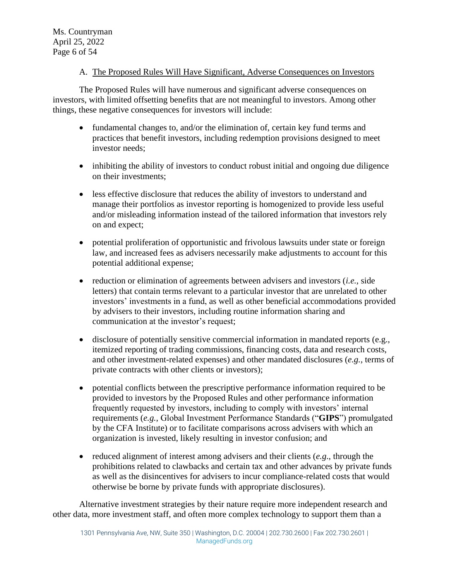## A. The Proposed Rules Will Have Significant, Adverse Consequences on Investors

The Proposed Rules will have numerous and significant adverse consequences on investors, with limited offsetting benefits that are not meaningful to investors. Among other things, these negative consequences for investors will include:

- fundamental changes to, and/or the elimination of, certain key fund terms and practices that benefit investors, including redemption provisions designed to meet investor needs;
- inhibiting the ability of investors to conduct robust initial and ongoing due diligence on their investments;
- less effective disclosure that reduces the ability of investors to understand and manage their portfolios as investor reporting is homogenized to provide less useful and/or misleading information instead of the tailored information that investors rely on and expect;
- potential proliferation of opportunistic and frivolous lawsuits under state or foreign law, and increased fees as advisers necessarily make adjustments to account for this potential additional expense;
- reduction or elimination of agreements between advisers and investors (*i.e.*, side letters) that contain terms relevant to a particular investor that are unrelated to other investors' investments in a fund, as well as other beneficial accommodations provided by advisers to their investors, including routine information sharing and communication at the investor's request;
- disclosure of potentially sensitive commercial information in mandated reports (e.g., itemized reporting of trading commissions, financing costs, data and research costs, and other investment-related expenses) and other mandated disclosures (*e.g.,* terms of private contracts with other clients or investors);
- potential conflicts between the prescriptive performance information required to be provided to investors by the Proposed Rules and other performance information frequently requested by investors, including to comply with investors' internal requirements (*e.g.*, Global Investment Performance Standards ("**GIPS**") promulgated by the CFA Institute) or to facilitate comparisons across advisers with which an organization is invested, likely resulting in investor confusion; and
- reduced alignment of interest among advisers and their clients (*e.g*., through the prohibitions related to clawbacks and certain tax and other advances by private funds as well as the disincentives for advisers to incur compliance-related costs that would otherwise be borne by private funds with appropriate disclosures).

Alternative investment strategies by their nature require more independent research and other data, more investment staff, and often more complex technology to support them than a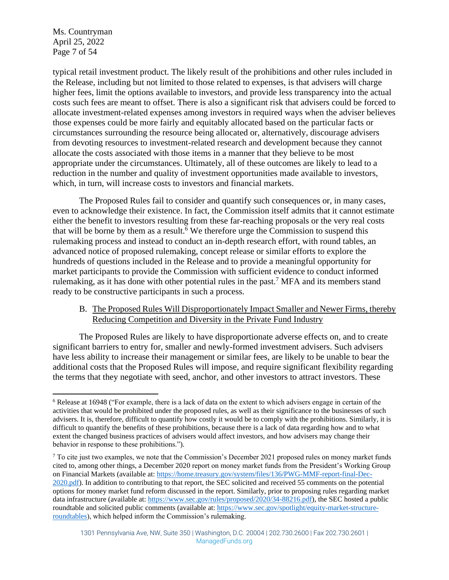Ms. Countryman April 25, 2022 Page 7 of 54

typical retail investment product. The likely result of the prohibitions and other rules included in the Release, including but not limited to those related to expenses, is that advisers will charge higher fees, limit the options available to investors, and provide less transparency into the actual costs such fees are meant to offset. There is also a significant risk that advisers could be forced to allocate investment-related expenses among investors in required ways when the adviser believes those expenses could be more fairly and equitably allocated based on the particular facts or circumstances surrounding the resource being allocated or, alternatively, discourage advisers from devoting resources to investment-related research and development because they cannot allocate the costs associated with those items in a manner that they believe to be most appropriate under the circumstances. Ultimately, all of these outcomes are likely to lead to a reduction in the number and quality of investment opportunities made available to investors, which, in turn, will increase costs to investors and financial markets.

The Proposed Rules fail to consider and quantify such consequences or, in many cases, even to acknowledge their existence. In fact, the Commission itself admits that it cannot estimate either the benefit to investors resulting from these far-reaching proposals or the very real costs that will be borne by them as a result.<sup>6</sup> We therefore urge the Commission to suspend this rulemaking process and instead to conduct an in-depth research effort, with round tables, an advanced notice of proposed rulemaking, concept release or similar efforts to explore the hundreds of questions included in the Release and to provide a meaningful opportunity for market participants to provide the Commission with sufficient evidence to conduct informed rulemaking, as it has done with other potential rules in the past.<sup>7</sup> MFA and its members stand ready to be constructive participants in such a process.

## B. The Proposed Rules Will Disproportionately Impact Smaller and Newer Firms, thereby Reducing Competition and Diversity in the Private Fund Industry

The Proposed Rules are likely to have disproportionate adverse effects on, and to create significant barriers to entry for, smaller and newly-formed investment advisers. Such advisers have less ability to increase their management or similar fees, are likely to be unable to bear the additional costs that the Proposed Rules will impose, and require significant flexibility regarding the terms that they negotiate with seed, anchor, and other investors to attract investors. These

<sup>6</sup> Release at 16948 ("For example, there is a lack of data on the extent to which advisers engage in certain of the activities that would be prohibited under the proposed rules, as well as their significance to the businesses of such advisers. It is, therefore, difficult to quantify how costly it would be to comply with the prohibitions. Similarly, it is difficult to quantify the benefits of these prohibitions, because there is a lack of data regarding how and to what extent the changed business practices of advisers would affect investors, and how advisers may change their behavior in response to these prohibitions.").

<sup>7</sup> To cite just two examples, we note that the Commission's December 2021 proposed rules on money market funds cited to, among other things, a December 2020 report on money market funds from the President's Working Group on Financial Markets (available at: [https://home.treasury.gov/system/files/136/PWG-MMF-report-final-Dec-](https://home.treasury.gov/system/files/136/PWG-MMF-report-final-Dec-2020.pdf)[2020.pdf\)](https://home.treasury.gov/system/files/136/PWG-MMF-report-final-Dec-2020.pdf). In addition to contributing to that report, the SEC solicited and received 55 comments on the potential options for money market fund reform discussed in the report. Similarly, prior to proposing rules regarding market data infrastructure (available at: [https://www.sec.gov/rules/proposed/2020/34-88216.pdf\)](https://www.sec.gov/rules/proposed/2020/34-88216.pdf), the SEC hosted a public roundtable and solicited public comments (available at: [https://www.sec.gov/spotlight/equity-market-structure](https://www.sec.gov/spotlight/equity-market-structure-roundtables)[roundtables\)](https://www.sec.gov/spotlight/equity-market-structure-roundtables), which helped inform the Commission's rulemaking.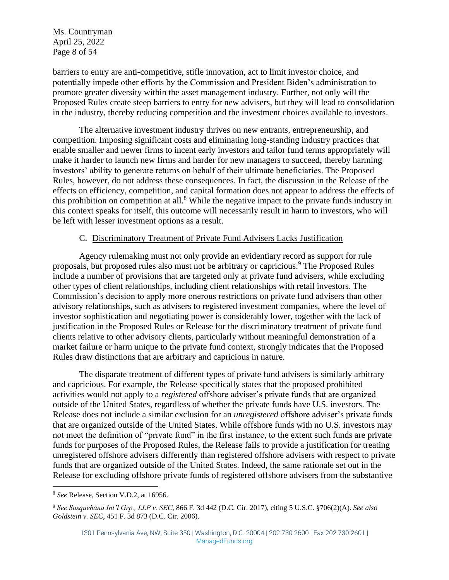Ms. Countryman April 25, 2022 Page 8 of 54

barriers to entry are anti-competitive, stifle innovation, act to limit investor choice, and potentially impede other efforts by the Commission and President Biden's administration to promote greater diversity within the asset management industry. Further, not only will the Proposed Rules create steep barriers to entry for new advisers, but they will lead to consolidation in the industry, thereby reducing competition and the investment choices available to investors.

The alternative investment industry thrives on new entrants, entrepreneurship, and competition. Imposing significant costs and eliminating long-standing industry practices that enable smaller and newer firms to incent early investors and tailor fund terms appropriately will make it harder to launch new firms and harder for new managers to succeed, thereby harming investors' ability to generate returns on behalf of their ultimate beneficiaries. The Proposed Rules, however, do not address these consequences. In fact, the discussion in the Release of the effects on efficiency, competition, and capital formation does not appear to address the effects of this prohibition on competition at all.<sup>8</sup> While the negative impact to the private funds industry in this context speaks for itself, this outcome will necessarily result in harm to investors, who will be left with lesser investment options as a result.

#### <span id="page-7-0"></span>C. Discriminatory Treatment of Private Fund Advisers Lacks Justification

Agency rulemaking must not only provide an evidentiary record as support for rule proposals, but proposed rules also must not be arbitrary or capricious.<sup>9</sup> The Proposed Rules include a number of provisions that are targeted only at private fund advisers, while excluding other types of client relationships, including client relationships with retail investors. The Commission's decision to apply more onerous restrictions on private fund advisers than other advisory relationships, such as advisers to registered investment companies, where the level of investor sophistication and negotiating power is considerably lower, together with the lack of justification in the Proposed Rules or Release for the discriminatory treatment of private fund clients relative to other advisory clients, particularly without meaningful demonstration of a market failure or harm unique to the private fund context, strongly indicates that the Proposed Rules draw distinctions that are arbitrary and capricious in nature.

The disparate treatment of different types of private fund advisers is similarly arbitrary and capricious. For example, the Release specifically states that the proposed prohibited activities would not apply to a *registered* offshore adviser's private funds that are organized outside of the United States, regardless of whether the private funds have U.S. investors. The Release does not include a similar exclusion for an *unregistered* offshore adviser's private funds that are organized outside of the United States. While offshore funds with no U.S. investors may not meet the definition of "private fund" in the first instance, to the extent such funds are private funds for purposes of the Proposed Rules, the Release fails to provide a justification for treating unregistered offshore advisers differently than registered offshore advisers with respect to private funds that are organized outside of the United States. Indeed, the same rationale set out in the Release for excluding offshore private funds of registered offshore advisers from the substantive

<sup>8</sup> *See* Release, Section V.D.2, at 16956.

<sup>9</sup> *See Susquehana Int'l Grp., LLP v. SEC*, 866 F. 3d 442 (D.C. Cir. 2017), citing 5 U.S.C. §706(2)(A). *See also Goldstein v. SEC*, 451 F. 3d 873 (D.C. Cir. 2006).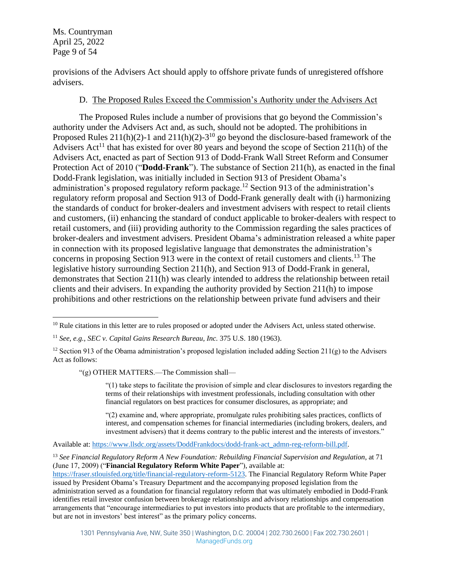Ms. Countryman April 25, 2022 Page 9 of 54

provisions of the Advisers Act should apply to offshore private funds of unregistered offshore advisers.

#### D. The Proposed Rules Exceed the Commission's Authority under the Advisers Act

The Proposed Rules include a number of provisions that go beyond the Commission's authority under the Advisers Act and, as such, should not be adopted. The prohibitions in Proposed Rules  $211(h)(2)$ -1 and  $211(h)(2)$ - $3^{10}$  go beyond the disclosure-based framework of the Advisers Act<sup>11</sup> that has existed for over 80 years and beyond the scope of Section 211(h) of the Advisers Act, enacted as part of Section 913 of Dodd-Frank Wall Street Reform and Consumer Protection Act of 2010 ("**Dodd-Frank**"). The substance of Section 211(h), as enacted in the final Dodd-Frank legislation, was initially included in Section 913 of President Obama's administration's proposed regulatory reform package.<sup>12</sup> Section 913 of the administration's regulatory reform proposal and Section 913 of Dodd-Frank generally dealt with (i) harmonizing the standards of conduct for broker-dealers and investment advisers with respect to retail clients and customers, (ii) enhancing the standard of conduct applicable to broker-dealers with respect to retail customers, and (iii) providing authority to the Commission regarding the sales practices of broker-dealers and investment advisers. President Obama's administration released a white paper in connection with its proposed legislative language that demonstrates the administration's concerns in proposing Section 913 were in the context of retail customers and clients.<sup>13</sup> The legislative history surrounding Section 211(h), and Section 913 of Dodd-Frank in general, demonstrates that Section 211(h) was clearly intended to address the relationship between retail clients and their advisers. In expanding the authority provided by Section 211(h) to impose prohibitions and other restrictions on the relationship between private fund advisers and their

"(g) OTHER MATTERS.—The Commission shall—

"(1) take steps to facilitate the provision of simple and clear disclosures to investors regarding the terms of their relationships with investment professionals, including consultation with other financial regulators on best practices for consumer disclosures, as appropriate; and

"(2) examine and, where appropriate, promulgate rules prohibiting sales practices, conflicts of interest, and compensation schemes for financial intermediaries (including brokers, dealers, and investment advisers) that it deems contrary to the public interest and the interests of investors."

Available at: [https://www.llsdc.org/assets/DoddFrankdocs/dodd-frank-act\\_admn-reg-reform-bill.pdf.](https://www.llsdc.org/assets/DoddFrankdocs/dodd-frank-act_admn-reg-reform-bill.pdf)

<sup>13</sup> *See Financial Regulatory Reform A New Foundation: Rebuilding Financial Supervision and Regulation*, at 71 (June 17, 2009) ("**Financial Regulatory Reform White Paper**"), available at:

[https://fraser.stlouisfed.org/title/financial-regulatory-reform-5123.](https://fraser.stlouisfed.org/title/financial-regulatory-reform-5123) The Financial Regulatory Reform White Paper issued by President Obama's Treasury Department and the accompanying proposed legislation from the administration served as a foundation for financial regulatory reform that was ultimately embodied in Dodd-Frank identifies retail investor confusion between brokerage relationships and advisory relationships and compensation arrangements that "encourage intermediaries to put investors into products that are profitable to the intermediary, but are not in investors' best interest" as the primary policy concerns.

<sup>&</sup>lt;sup>10</sup> Rule citations in this letter are to rules proposed or adopted under the Advisers Act, unless stated otherwise.

<sup>11</sup> *See, e.g., SEC v. Capital Gains Research Bureau, Inc.* 375 U.S. 180 (1963).

<sup>&</sup>lt;sup>12</sup> Section 913 of the Obama administration's proposed legislation included adding Section 211(g) to the Advisers Act as follows: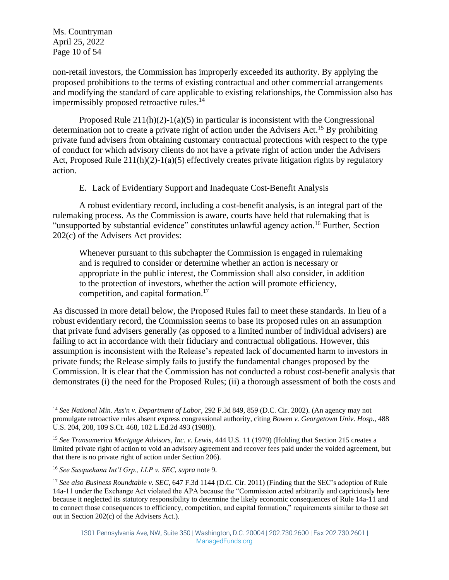Ms. Countryman April 25, 2022 Page 10 of 54

non-retail investors, the Commission has improperly exceeded its authority. By applying the proposed prohibitions to the terms of existing contractual and other commercial arrangements and modifying the standard of care applicable to existing relationships, the Commission also has impermissibly proposed retroactive rules.<sup>14</sup>

Proposed Rule  $211(h)(2)-1(a)(5)$  in particular is inconsistent with the Congressional determination not to create a private right of action under the Advisers Act.<sup>15</sup> By prohibiting private fund advisers from obtaining customary contractual protections with respect to the type of conduct for which advisory clients do not have a private right of action under the Advisers Act, Proposed Rule 211(h)(2)-1(a)(5) effectively creates private litigation rights by regulatory action.

#### E. Lack of Evidentiary Support and Inadequate Cost-Benefit Analysis

A robust evidentiary record, including a cost-benefit analysis, is an integral part of the rulemaking process. As the Commission is aware, courts have held that rulemaking that is "unsupported by substantial evidence" constitutes unlawful agency action.<sup>16</sup> Further, Section 202(c) of the Advisers Act provides:

Whenever pursuant to this subchapter the Commission is engaged in rulemaking and is required to consider or determine whether an action is necessary or appropriate in the public interest, the Commission shall also consider, in addition to the protection of investors, whether the action will promote efficiency, competition, and capital formation.<sup>17</sup>

As discussed in more detail below, the Proposed Rules fail to meet these standards. In lieu of a robust evidentiary record, the Commission seems to base its proposed rules on an assumption that private fund advisers generally (as opposed to a limited number of individual advisers) are failing to act in accordance with their fiduciary and contractual obligations. However, this assumption is inconsistent with the Release's repeated lack of documented harm to investors in private funds; the Release simply fails to justify the fundamental changes proposed by the Commission. It is clear that the Commission has not conducted a robust cost-benefit analysis that demonstrates (i) the need for the Proposed Rules; (ii) a thorough assessment of both the costs and

<sup>14</sup> *See National Min. Ass'n v. Department of Labor*, 292 F.3d 849, 859 (D.C. Cir. 2002). (An agency may not promulgate retroactive rules absent express congressional authority, citing *Bowen v. Georgetown Univ. Hosp*., 488 U.S. 204, 208, 109 S.Ct. 468, 102 L.Ed.2d 493 (1988)).

<sup>15</sup> *See Transamerica Mortgage Advisors, Inc. v. Lewis*, 444 U.S. 11 (1979) (Holding that Section 215 creates a limited private right of action to void an advisory agreement and recover fees paid under the voided agreement, but that there is no private right of action under Section 206).

<sup>16</sup> *See Susquehana Int'l Grp., LLP v. SEC*, *supra* note [9.](#page-7-0)

<sup>17</sup> *See also Business Roundtable v. SEC*, 647 F.3d 1144 (D.C. Cir. 2011) (Finding that the SEC's adoption of Rule 14a-11 under the Exchange Act violated the APA because the "Commission acted arbitrarily and capriciously here because it neglected its statutory responsibility to determine the likely economic consequences of Rule 14a-11 and to connect those consequences to efficiency, competition, and capital formation," requirements similar to those set out in Section 202(c) of the Advisers Act.).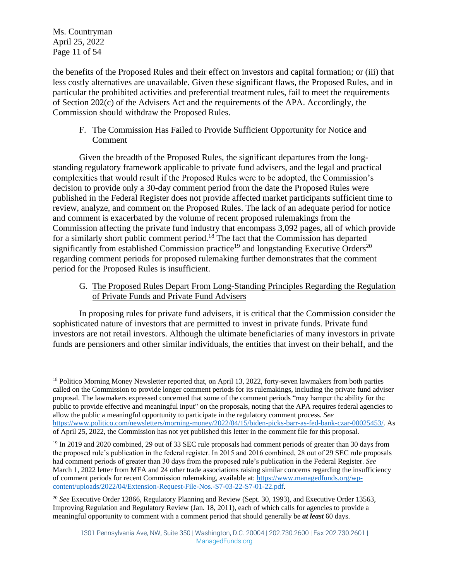the benefits of the Proposed Rules and their effect on investors and capital formation; or (iii) that less costly alternatives are unavailable. Given these significant flaws, the Proposed Rules, and in particular the prohibited activities and preferential treatment rules, fail to meet the requirements of Section 202(c) of the Advisers Act and the requirements of the APA. Accordingly, the Commission should withdraw the Proposed Rules.

# F. The Commission Has Failed to Provide Sufficient Opportunity for Notice and Comment

Given the breadth of the Proposed Rules, the significant departures from the longstanding regulatory framework applicable to private fund advisers, and the legal and practical complexities that would result if the Proposed Rules were to be adopted, the Commission's decision to provide only a 30-day comment period from the date the Proposed Rules were published in the Federal Register does not provide affected market participants sufficient time to review, analyze, and comment on the Proposed Rules. The lack of an adequate period for notice and comment is exacerbated by the volume of recent proposed rulemakings from the Commission affecting the private fund industry that encompass 3,092 pages, all of which provide for a similarly short public comment period.<sup>18</sup> The fact that the Commission has departed significantly from established Commission practice<sup>19</sup> and longstanding Executive Orders<sup>20</sup> regarding comment periods for proposed rulemaking further demonstrates that the comment period for the Proposed Rules is insufficient.

G. The Proposed Rules Depart From Long-Standing Principles Regarding the Regulation of Private Funds and Private Fund Advisers

In proposing rules for private fund advisers, it is critical that the Commission consider the sophisticated nature of investors that are permitted to invest in private funds. Private fund investors are not retail investors. Although the ultimate beneficiaries of many investors in private funds are pensioners and other similar individuals, the entities that invest on their behalf, and the

<sup>&</sup>lt;sup>18</sup> Politico Morning Money Newsletter reported that, on April 13, 2022, forty-seven lawmakers from both parties called on the Commission to provide longer comment periods for its rulemakings, including the private fund adviser proposal. The lawmakers expressed concerned that some of the comment periods "may hamper the ability for the public to provide effective and meaningful input" on the proposals, noting that the APA requires federal agencies to allow the public a meaningful opportunity to participate in the regulatory comment process. *See* [https://www.politico.com/newsletters/morning-money/2022/04/15/biden-picks-barr-as-fed-bank-czar-00025453/.](https://www.politico.com/newsletters/morning-money/2022/04/15/biden-picks-barr-as-fed-bank-czar-00025453/) As of April 25, 2022, the Commission has not yet published this letter in the comment file for this proposal.

<sup>&</sup>lt;sup>19</sup> In 2019 and 2020 combined, 29 out of 33 SEC rule proposals had comment periods of greater than 30 days from the proposed rule's publication in the federal register. In 2015 and 2016 combined, 28 out of 29 SEC rule proposals had comment periods of greater than 30 days from the proposed rule's publication in the Federal Register. *See* March 1, 2022 letter from MFA and 24 other trade associations raising similar concerns regarding the insufficiency of comment periods for recent Commission rulemaking, available at: [https://www.managedfunds.org/wp](https://www.managedfunds.org/wp-content/uploads/2022/04/Extension-Request-File-Nos.-S7-03-22-S7-01-22.pdf)[content/uploads/2022/04/Extension-Request-File-Nos.-S7-03-22-S7-01-22.pdf.](https://www.managedfunds.org/wp-content/uploads/2022/04/Extension-Request-File-Nos.-S7-03-22-S7-01-22.pdf)

<sup>20</sup> *See* Executive Order 12866, Regulatory Planning and Review (Sept. 30, 1993), and Executive Order 13563, Improving Regulation and Regulatory Review (Jan. 18, 2011), each of which calls for agencies to provide a meaningful opportunity to comment with a comment period that should generally be *at least* 60 days.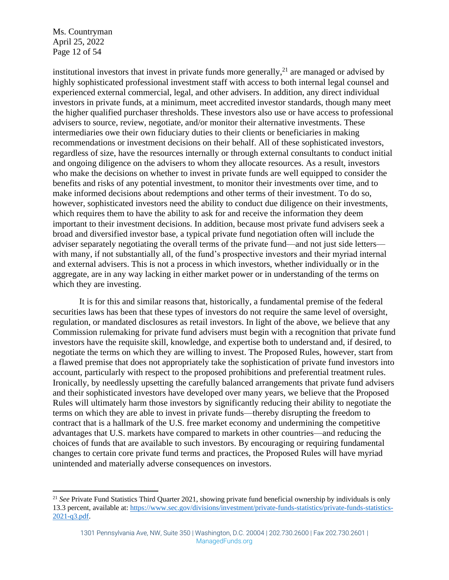Ms. Countryman April 25, 2022 Page 12 of 54

institutional investors that invest in private funds more generally, $^{21}$  are managed or advised by highly sophisticated professional investment staff with access to both internal legal counsel and experienced external commercial, legal, and other advisers. In addition, any direct individual investors in private funds, at a minimum, meet accredited investor standards, though many meet the higher qualified purchaser thresholds. These investors also use or have access to professional advisers to source, review, negotiate, and/or monitor their alternative investments. These intermediaries owe their own fiduciary duties to their clients or beneficiaries in making recommendations or investment decisions on their behalf. All of these sophisticated investors, regardless of size, have the resources internally or through external consultants to conduct initial and ongoing diligence on the advisers to whom they allocate resources. As a result, investors who make the decisions on whether to invest in private funds are well equipped to consider the benefits and risks of any potential investment, to monitor their investments over time, and to make informed decisions about redemptions and other terms of their investment. To do so, however, sophisticated investors need the ability to conduct due diligence on their investments, which requires them to have the ability to ask for and receive the information they deem important to their investment decisions. In addition, because most private fund advisers seek a broad and diversified investor base, a typical private fund negotiation often will include the adviser separately negotiating the overall terms of the private fund—and not just side letters with many, if not substantially all, of the fund's prospective investors and their myriad internal and external advisers. This is not a process in which investors, whether individually or in the aggregate, are in any way lacking in either market power or in understanding of the terms on which they are investing.

It is for this and similar reasons that, historically, a fundamental premise of the federal securities laws has been that these types of investors do not require the same level of oversight, regulation, or mandated disclosures as retail investors. In light of the above, we believe that any Commission rulemaking for private fund advisers must begin with a recognition that private fund investors have the requisite skill, knowledge, and expertise both to understand and, if desired, to negotiate the terms on which they are willing to invest. The Proposed Rules, however, start from a flawed premise that does not appropriately take the sophistication of private fund investors into account, particularly with respect to the proposed prohibitions and preferential treatment rules. Ironically, by needlessly upsetting the carefully balanced arrangements that private fund advisers and their sophisticated investors have developed over many years, we believe that the Proposed Rules will ultimately harm those investors by significantly reducing their ability to negotiate the terms on which they are able to invest in private funds—thereby disrupting the freedom to contract that is a hallmark of the U.S. free market economy and undermining the competitive advantages that U.S. markets have compared to markets in other countries—and reducing the choices of funds that are available to such investors. By encouraging or requiring fundamental changes to certain core private fund terms and practices, the Proposed Rules will have myriad unintended and materially adverse consequences on investors.

<sup>21</sup> *See* Private Fund Statistics Third Quarter 2021, showing private fund beneficial ownership by individuals is only 13.3 percent, available at: [https://www.sec.gov/divisions/investment/private-funds-statistics/private-funds-statistics-](https://www.sec.gov/divisions/investment/private-funds-statistics/private-funds-statistics-2021-q3.pdf)[2021-q3.pdf.](https://www.sec.gov/divisions/investment/private-funds-statistics/private-funds-statistics-2021-q3.pdf)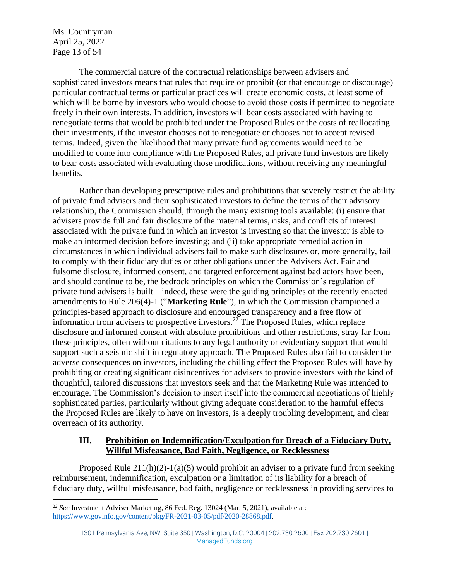Ms. Countryman April 25, 2022 Page 13 of 54

The commercial nature of the contractual relationships between advisers and sophisticated investors means that rules that require or prohibit (or that encourage or discourage) particular contractual terms or particular practices will create economic costs, at least some of which will be borne by investors who would choose to avoid those costs if permitted to negotiate freely in their own interests. In addition, investors will bear costs associated with having to renegotiate terms that would be prohibited under the Proposed Rules or the costs of reallocating their investments, if the investor chooses not to renegotiate or chooses not to accept revised terms. Indeed, given the likelihood that many private fund agreements would need to be modified to come into compliance with the Proposed Rules, all private fund investors are likely to bear costs associated with evaluating those modifications, without receiving any meaningful benefits.

Rather than developing prescriptive rules and prohibitions that severely restrict the ability of private fund advisers and their sophisticated investors to define the terms of their advisory relationship, the Commission should, through the many existing tools available: (i) ensure that advisers provide full and fair disclosure of the material terms, risks, and conflicts of interest associated with the private fund in which an investor is investing so that the investor is able to make an informed decision before investing; and (ii) take appropriate remedial action in circumstances in which individual advisers fail to make such disclosures or, more generally, fail to comply with their fiduciary duties or other obligations under the Advisers Act. Fair and fulsome disclosure, informed consent, and targeted enforcement against bad actors have been, and should continue to be, the bedrock principles on which the Commission's regulation of private fund advisers is built—indeed, these were the guiding principles of the recently enacted amendments to Rule 206(4)-1 ("**Marketing Rule**"), in which the Commission championed a principles-based approach to disclosure and encouraged transparency and a free flow of information from advisers to prospective investors. <sup>22</sup> The Proposed Rules, which replace disclosure and informed consent with absolute prohibitions and other restrictions, stray far from these principles, often without citations to any legal authority or evidentiary support that would support such a seismic shift in regulatory approach. The Proposed Rules also fail to consider the adverse consequences on investors, including the chilling effect the Proposed Rules will have by prohibiting or creating significant disincentives for advisers to provide investors with the kind of thoughtful, tailored discussions that investors seek and that the Marketing Rule was intended to encourage. The Commission's decision to insert itself into the commercial negotiations of highly sophisticated parties, particularly without giving adequate consideration to the harmful effects the Proposed Rules are likely to have on investors, is a deeply troubling development, and clear overreach of its authority.

## **III. Prohibition on Indemnification/Exculpation for Breach of a Fiduciary Duty, Willful Misfeasance, Bad Faith, Negligence, or Recklessness**

Proposed Rule  $211(h)(2)-1(a)(5)$  would prohibit an adviser to a private fund from seeking reimbursement, indemnification, exculpation or a limitation of its liability for a breach of fiduciary duty, willful misfeasance, bad faith, negligence or recklessness in providing services to

<sup>22</sup> *See* Investment Adviser Marketing, 86 Fed. Reg. 13024 (Mar. 5, 2021), available at: [https://www.govinfo.gov/content/pkg/FR-2021-03-05/pdf/2020-28868.pdf.](https://www.govinfo.gov/content/pkg/FR-2021-03-05/pdf/2020-28868.pdf)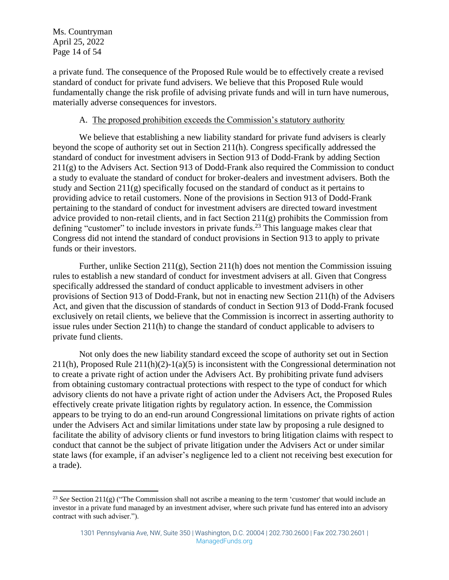a private fund. The consequence of the Proposed Rule would be to effectively create a revised standard of conduct for private fund advisers. We believe that this Proposed Rule would fundamentally change the risk profile of advising private funds and will in turn have numerous, materially adverse consequences for investors.

#### A. The proposed prohibition exceeds the Commission's statutory authority

We believe that establishing a new liability standard for private fund advisers is clearly beyond the scope of authority set out in Section 211(h). Congress specifically addressed the standard of conduct for investment advisers in Section 913 of Dodd-Frank by adding Section  $211(g)$  to the Advisers Act. Section 913 of Dodd-Frank also required the Commission to conduct a study to evaluate the standard of conduct for broker-dealers and investment advisers. Both the study and Section 211(g) specifically focused on the standard of conduct as it pertains to providing advice to retail customers. None of the provisions in Section 913 of Dodd-Frank pertaining to the standard of conduct for investment advisers are directed toward investment advice provided to non-retail clients, and in fact Section 211(g) prohibits the Commission from defining "customer" to include investors in private funds.<sup>23</sup> This language makes clear that Congress did not intend the standard of conduct provisions in Section 913 to apply to private funds or their investors.

Further, unlike Section 211(g), Section 211(h) does not mention the Commission issuing rules to establish a new standard of conduct for investment advisers at all. Given that Congress specifically addressed the standard of conduct applicable to investment advisers in other provisions of Section 913 of Dodd-Frank, but not in enacting new Section 211(h) of the Advisers Act, and given that the discussion of standards of conduct in Section 913 of Dodd-Frank focused exclusively on retail clients, we believe that the Commission is incorrect in asserting authority to issue rules under Section 211(h) to change the standard of conduct applicable to advisers to private fund clients.

Not only does the new liability standard exceed the scope of authority set out in Section 211(h), Proposed Rule 211(h)(2)-1(a)(5) is inconsistent with the Congressional determination not to create a private right of action under the Advisers Act. By prohibiting private fund advisers from obtaining customary contractual protections with respect to the type of conduct for which advisory clients do not have a private right of action under the Advisers Act, the Proposed Rules effectively create private litigation rights by regulatory action. In essence, the Commission appears to be trying to do an end-run around Congressional limitations on private rights of action under the Advisers Act and similar limitations under state law by proposing a rule designed to facilitate the ability of advisory clients or fund investors to bring litigation claims with respect to conduct that cannot be the subject of private litigation under the Advisers Act or under similar state laws (for example, if an adviser's negligence led to a client not receiving best execution for a trade).

<sup>&</sup>lt;sup>23</sup> See Section 211(g) ("The Commission shall not ascribe a meaning to the term 'customer' that would include an investor in a private fund managed by an investment adviser, where such private fund has entered into an advisory contract with such adviser.").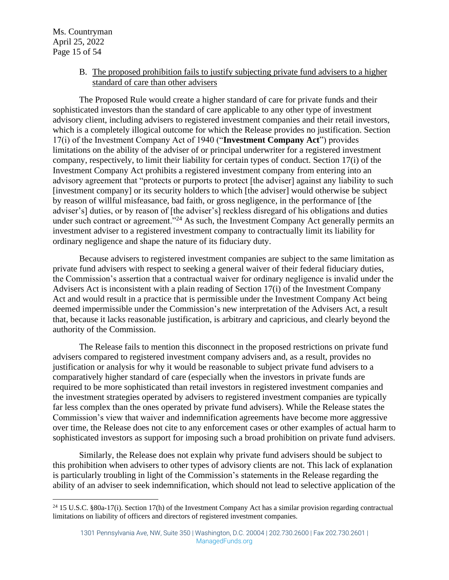B. The proposed prohibition fails to justify subjecting private fund advisers to a higher standard of care than other advisers

The Proposed Rule would create a higher standard of care for private funds and their sophisticated investors than the standard of care applicable to any other type of investment advisory client, including advisers to registered investment companies and their retail investors, which is a completely illogical outcome for which the Release provides no justification. Section 17(i) of the Investment Company Act of 1940 ("**Investment Company Act**") provides limitations on the ability of the adviser of or principal underwriter for a registered investment company, respectively, to limit their liability for certain types of conduct. Section 17(i) of the Investment Company Act prohibits a registered investment company from entering into an advisory agreement that "protects or purports to protect [the adviser] against any liability to such [investment company] or its security holders to which [the adviser] would otherwise be subject by reason of willful misfeasance, bad faith, or gross negligence, in the performance of [the adviser's] duties, or by reason of [the adviser's] reckless disregard of his obligations and duties under such contract or agreement."<sup>24</sup> As such, the Investment Company Act generally permits an investment adviser to a registered investment company to contractually limit its liability for ordinary negligence and shape the nature of its fiduciary duty.

Because advisers to registered investment companies are subject to the same limitation as private fund advisers with respect to seeking a general waiver of their federal fiduciary duties, the Commission's assertion that a contractual waiver for ordinary negligence is invalid under the Advisers Act is inconsistent with a plain reading of Section 17(i) of the Investment Company Act and would result in a practice that is permissible under the Investment Company Act being deemed impermissible under the Commission's new interpretation of the Advisers Act, a result that, because it lacks reasonable justification, is arbitrary and capricious, and clearly beyond the authority of the Commission.

The Release fails to mention this disconnect in the proposed restrictions on private fund advisers compared to registered investment company advisers and, as a result, provides no justification or analysis for why it would be reasonable to subject private fund advisers to a comparatively higher standard of care (especially when the investors in private funds are required to be more sophisticated than retail investors in registered investment companies and the investment strategies operated by advisers to registered investment companies are typically far less complex than the ones operated by private fund advisers). While the Release states the Commission's view that waiver and indemnification agreements have become more aggressive over time, the Release does not cite to any enforcement cases or other examples of actual harm to sophisticated investors as support for imposing such a broad prohibition on private fund advisers.

Similarly, the Release does not explain why private fund advisers should be subject to this prohibition when advisers to other types of advisory clients are not. This lack of explanation is particularly troubling in light of the Commission's statements in the Release regarding the ability of an adviser to seek indemnification, which should not lead to selective application of the

<sup>&</sup>lt;sup>24</sup> 15 U.S.C. §80a-17(i). Section 17(h) of the Investment Company Act has a similar provision regarding contractual limitations on liability of officers and directors of registered investment companies.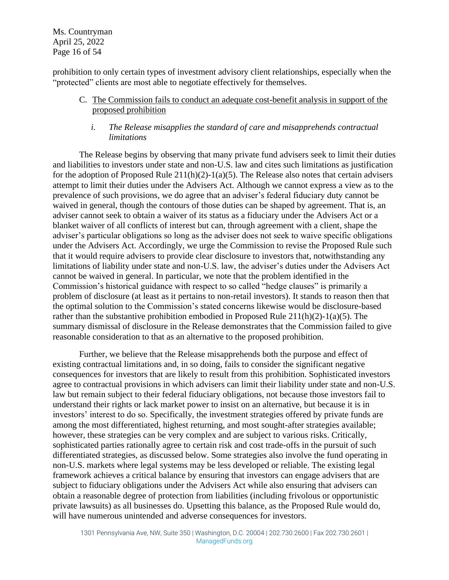Ms. Countryman April 25, 2022 Page 16 of 54

prohibition to only certain types of investment advisory client relationships, especially when the "protected" clients are most able to negotiate effectively for themselves.

## C. The Commission fails to conduct an adequate cost-benefit analysis in support of the proposed prohibition

#### *i. The Release misapplies the standard of care and misapprehends contractual limitations*

The Release begins by observing that many private fund advisers seek to limit their duties and liabilities to investors under state and non-U.S. law and cites such limitations as justification for the adoption of Proposed Rule 211(h)(2)-1(a)(5). The Release also notes that certain advisers attempt to limit their duties under the Advisers Act. Although we cannot express a view as to the prevalence of such provisions, we do agree that an adviser's federal fiduciary duty cannot be waived in general, though the contours of those duties can be shaped by agreement. That is, an adviser cannot seek to obtain a waiver of its status as a fiduciary under the Advisers Act or a blanket waiver of all conflicts of interest but can, through agreement with a client, shape the adviser's particular obligations so long as the adviser does not seek to waive specific obligations under the Advisers Act. Accordingly, we urge the Commission to revise the Proposed Rule such that it would require advisers to provide clear disclosure to investors that, notwithstanding any limitations of liability under state and non-U.S. law, the adviser's duties under the Advisers Act cannot be waived in general. In particular, we note that the problem identified in the Commission's historical guidance with respect to so called "hedge clauses" is primarily a problem of disclosure (at least as it pertains to non-retail investors). It stands to reason then that the optimal solution to the Commission's stated concerns likewise would be disclosure-based rather than the substantive prohibition embodied in Proposed Rule  $211(h)(2)-1(a)(5)$ . The summary dismissal of disclosure in the Release demonstrates that the Commission failed to give reasonable consideration to that as an alternative to the proposed prohibition.

Further, we believe that the Release misapprehends both the purpose and effect of existing contractual limitations and, in so doing, fails to consider the significant negative consequences for investors that are likely to result from this prohibition. Sophisticated investors agree to contractual provisions in which advisers can limit their liability under state and non-U.S. law but remain subject to their federal fiduciary obligations, not because those investors fail to understand their rights or lack market power to insist on an alternative, but because it is in investors' interest to do so. Specifically, the investment strategies offered by private funds are among the most differentiated, highest returning, and most sought-after strategies available; however, these strategies can be very complex and are subject to various risks. Critically, sophisticated parties rationally agree to certain risk and cost trade-offs in the pursuit of such differentiated strategies, as discussed below. Some strategies also involve the fund operating in non-U.S. markets where legal systems may be less developed or reliable. The existing legal framework achieves a critical balance by ensuring that investors can engage advisers that are subject to fiduciary obligations under the Advisers Act while also ensuring that advisers can obtain a reasonable degree of protection from liabilities (including frivolous or opportunistic private lawsuits) as all businesses do. Upsetting this balance, as the Proposed Rule would do, will have numerous unintended and adverse consequences for investors.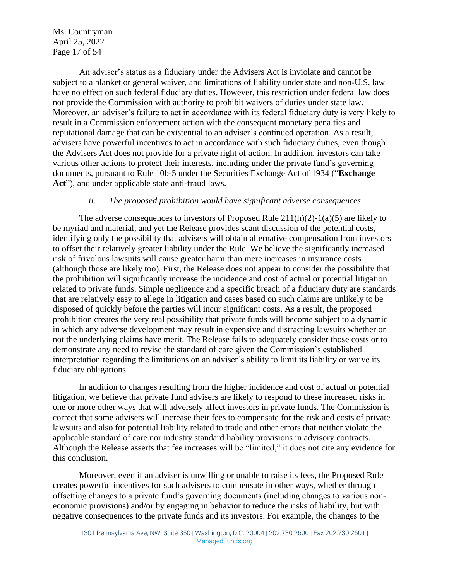Ms. Countryman April 25, 2022 Page 17 of 54

An adviser's status as a fiduciary under the Advisers Act is inviolate and cannot be subject to a blanket or general waiver, and limitations of liability under state and non-U.S. law have no effect on such federal fiduciary duties. However, this restriction under federal law does not provide the Commission with authority to prohibit waivers of duties under state law. Moreover, an adviser's failure to act in accordance with its federal fiduciary duty is very likely to result in a Commission enforcement action with the consequent monetary penalties and reputational damage that can be existential to an adviser's continued operation. As a result, advisers have powerful incentives to act in accordance with such fiduciary duties, even though the Advisers Act does not provide for a private right of action. In addition, investors can take various other actions to protect their interests, including under the private fund's governing documents, pursuant to Rule 10b-5 under the Securities Exchange Act of 1934 ("**Exchange Act**"), and under applicable state anti-fraud laws.

#### *ii. The proposed prohibition would have significant adverse consequences*

The adverse consequences to investors of Proposed Rule 211(h)(2)-1(a)(5) are likely to be myriad and material, and yet the Release provides scant discussion of the potential costs, identifying only the possibility that advisers will obtain alternative compensation from investors to offset their relatively greater liability under the Rule. We believe the significantly increased risk of frivolous lawsuits will cause greater harm than mere increases in insurance costs (although those are likely too). First, the Release does not appear to consider the possibility that the prohibition will significantly increase the incidence and cost of actual or potential litigation related to private funds. Simple negligence and a specific breach of a fiduciary duty are standards that are relatively easy to allege in litigation and cases based on such claims are unlikely to be disposed of quickly before the parties will incur significant costs. As a result, the proposed prohibition creates the very real possibility that private funds will become subject to a dynamic in which any adverse development may result in expensive and distracting lawsuits whether or not the underlying claims have merit. The Release fails to adequately consider those costs or to demonstrate any need to revise the standard of care given the Commission's established interpretation regarding the limitations on an adviser's ability to limit its liability or waive its fiduciary obligations.

In addition to changes resulting from the higher incidence and cost of actual or potential litigation, we believe that private fund advisers are likely to respond to these increased risks in one or more other ways that will adversely affect investors in private funds. The Commission is correct that some advisers will increase their fees to compensate for the risk and costs of private lawsuits and also for potential liability related to trade and other errors that neither violate the applicable standard of care nor industry standard liability provisions in advisory contracts. Although the Release asserts that fee increases will be "limited," it does not cite any evidence for this conclusion.

Moreover, even if an adviser is unwilling or unable to raise its fees, the Proposed Rule creates powerful incentives for such advisers to compensate in other ways, whether through offsetting changes to a private fund's governing documents (including changes to various noneconomic provisions) and/or by engaging in behavior to reduce the risks of liability, but with negative consequences to the private funds and its investors. For example, the changes to the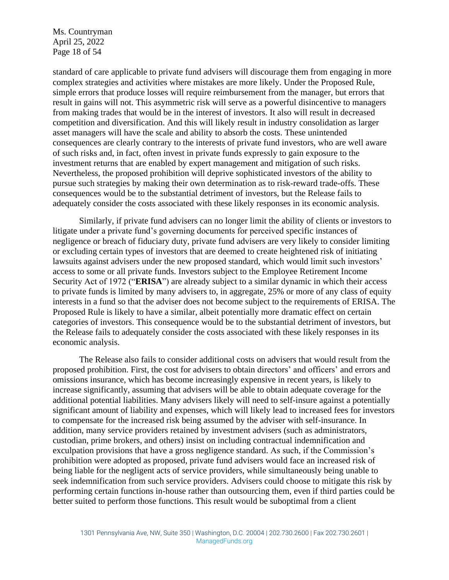Ms. Countryman April 25, 2022 Page 18 of 54

standard of care applicable to private fund advisers will discourage them from engaging in more complex strategies and activities where mistakes are more likely. Under the Proposed Rule, simple errors that produce losses will require reimbursement from the manager, but errors that result in gains will not. This asymmetric risk will serve as a powerful disincentive to managers from making trades that would be in the interest of investors. It also will result in decreased competition and diversification. And this will likely result in industry consolidation as larger asset managers will have the scale and ability to absorb the costs. These unintended consequences are clearly contrary to the interests of private fund investors, who are well aware of such risks and, in fact, often invest in private funds expressly to gain exposure to the investment returns that are enabled by expert management and mitigation of such risks. Nevertheless, the proposed prohibition will deprive sophisticated investors of the ability to pursue such strategies by making their own determination as to risk-reward trade-offs. These consequences would be to the substantial detriment of investors, but the Release fails to adequately consider the costs associated with these likely responses in its economic analysis.

Similarly, if private fund advisers can no longer limit the ability of clients or investors to litigate under a private fund's governing documents for perceived specific instances of negligence or breach of fiduciary duty, private fund advisers are very likely to consider limiting or excluding certain types of investors that are deemed to create heightened risk of initiating lawsuits against advisers under the new proposed standard, which would limit such investors' access to some or all private funds. Investors subject to the Employee Retirement Income Security Act of 1972 ("**ERISA**") are already subject to a similar dynamic in which their access to private funds is limited by many advisers to, in aggregate, 25% or more of any class of equity interests in a fund so that the adviser does not become subject to the requirements of ERISA. The Proposed Rule is likely to have a similar, albeit potentially more dramatic effect on certain categories of investors. This consequence would be to the substantial detriment of investors, but the Release fails to adequately consider the costs associated with these likely responses in its economic analysis.

The Release also fails to consider additional costs on advisers that would result from the proposed prohibition. First, the cost for advisers to obtain directors' and officers' and errors and omissions insurance, which has become increasingly expensive in recent years, is likely to increase significantly, assuming that advisers will be able to obtain adequate coverage for the additional potential liabilities. Many advisers likely will need to self-insure against a potentially significant amount of liability and expenses, which will likely lead to increased fees for investors to compensate for the increased risk being assumed by the adviser with self-insurance. In addition, many service providers retained by investment advisers (such as administrators, custodian, prime brokers, and others) insist on including contractual indemnification and exculpation provisions that have a gross negligence standard. As such, if the Commission's prohibition were adopted as proposed, private fund advisers would face an increased risk of being liable for the negligent acts of service providers, while simultaneously being unable to seek indemnification from such service providers. Advisers could choose to mitigate this risk by performing certain functions in-house rather than outsourcing them, even if third parties could be better suited to perform those functions. This result would be suboptimal from a client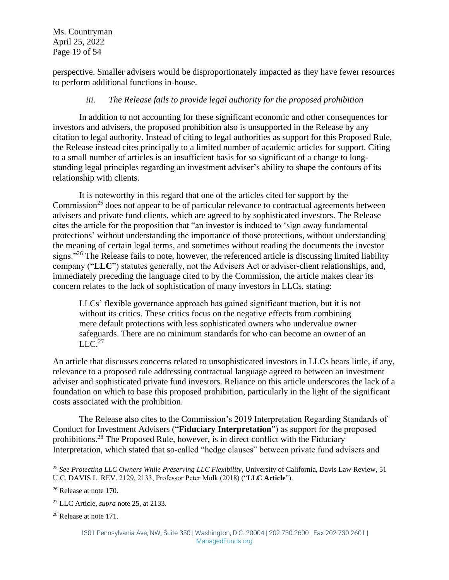Ms. Countryman April 25, 2022 Page 19 of 54

perspective. Smaller advisers would be disproportionately impacted as they have fewer resources to perform additional functions in-house.

# *iii. The Release fails to provide legal authority for the proposed prohibition*

In addition to not accounting for these significant economic and other consequences for investors and advisers, the proposed prohibition also is unsupported in the Release by any citation to legal authority. Instead of citing to legal authorities as support for this Proposed Rule, the Release instead cites principally to a limited number of academic articles for support. Citing to a small number of articles is an insufficient basis for so significant of a change to longstanding legal principles regarding an investment adviser's ability to shape the contours of its relationship with clients.

<span id="page-18-0"></span>It is noteworthy in this regard that one of the articles cited for support by the Commission<sup>25</sup> does not appear to be of particular relevance to contractual agreements between advisers and private fund clients, which are agreed to by sophisticated investors. The Release cites the article for the proposition that "an investor is induced to 'sign away fundamental protections' without understanding the importance of those protections, without understanding the meaning of certain legal terms, and sometimes without reading the documents the investor signs."<sup>26</sup> The Release fails to note, however, the referenced article is discussing limited liability company ("**LLC**") statutes generally, not the Advisers Act or adviser-client relationships, and, immediately preceding the language cited to by the Commission, the article makes clear its concern relates to the lack of sophistication of many investors in LLCs, stating:

LLCs' flexible governance approach has gained significant traction, but it is not without its critics. These critics focus on the negative effects from combining mere default protections with less sophisticated owners who undervalue owner safeguards. There are no minimum standards for who can become an owner of an  $LLC.<sup>27</sup>$ 

An article that discusses concerns related to unsophisticated investors in LLCs bears little, if any, relevance to a proposed rule addressing contractual language agreed to between an investment adviser and sophisticated private fund investors. Reliance on this article underscores the lack of a foundation on which to base this proposed prohibition, particularly in the light of the significant costs associated with the prohibition.

The Release also cites to the Commission's 2019 Interpretation Regarding Standards of Conduct for Investment Advisers ("**Fiduciary Interpretation**") as support for the proposed prohibitions.<sup>28</sup> The Proposed Rule, however, is in direct conflict with the Fiduciary Interpretation, which stated that so-called "hedge clauses" between private fund advisers and

<sup>28</sup> Release at note 171.

<sup>25</sup> *See Protecting LLC Owners While Preserving LLC Flexibility*, University of California, Davis Law Review, 51 U.C. DAVIS L. REV. 2129, 2133, Professor Peter Molk (2018) ("**LLC Article**").

<sup>26</sup> Release at note 170.

<sup>27</sup> LLC Article, *supra* note [25,](#page-18-0) at 2133.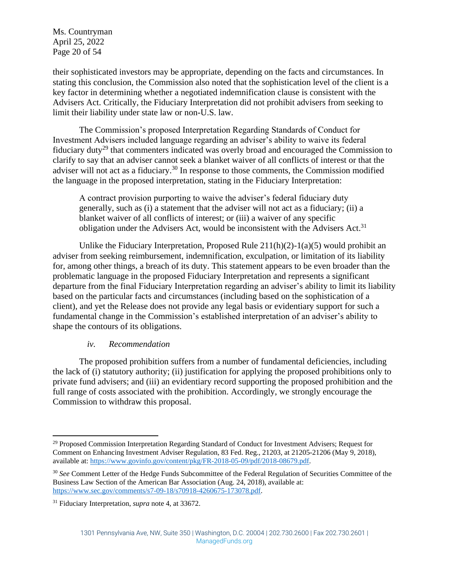Ms. Countryman April 25, 2022 Page 20 of 54

their sophisticated investors may be appropriate, depending on the facts and circumstances. In stating this conclusion, the Commission also noted that the sophistication level of the client is a key factor in determining whether a negotiated indemnification clause is consistent with the Advisers Act. Critically, the Fiduciary Interpretation did not prohibit advisers from seeking to limit their liability under state law or non-U.S. law.

The Commission's proposed Interpretation Regarding Standards of Conduct for Investment Advisers included language regarding an adviser's ability to waive its federal fiduciary duty<sup>29</sup> that commenters indicated was overly broad and encouraged the Commission to clarify to say that an adviser cannot seek a blanket waiver of all conflicts of interest or that the adviser will not act as a fiduciary.<sup>30</sup> In response to those comments, the Commission modified the language in the proposed interpretation, stating in the Fiduciary Interpretation:

A contract provision purporting to waive the adviser's federal fiduciary duty generally, such as (i) a statement that the adviser will not act as a fiduciary; (ii) a blanket waiver of all conflicts of interest; or (iii) a waiver of any specific obligation under the Advisers Act, would be inconsistent with the Advisers Act.<sup>31</sup>

Unlike the Fiduciary Interpretation, Proposed Rule  $211(h)(2)-1(a)(5)$  would prohibit an adviser from seeking reimbursement, indemnification, exculpation, or limitation of its liability for, among other things, a breach of its duty. This statement appears to be even broader than the problematic language in the proposed Fiduciary Interpretation and represents a significant departure from the final Fiduciary Interpretation regarding an adviser's ability to limit its liability based on the particular facts and circumstances (including based on the sophistication of a client), and yet the Release does not provide any legal basis or evidentiary support for such a fundamental change in the Commission's established interpretation of an adviser's ability to shape the contours of its obligations.

#### *iv. Recommendation*

The proposed prohibition suffers from a number of fundamental deficiencies, including the lack of (i) statutory authority; (ii) justification for applying the proposed prohibitions only to private fund advisers; and (iii) an evidentiary record supporting the proposed prohibition and the full range of costs associated with the prohibition. Accordingly, we strongly encourage the Commission to withdraw this proposal.

<sup>&</sup>lt;sup>29</sup> Proposed Commission Interpretation Regarding Standard of Conduct for Investment Advisers; Request for Comment on Enhancing Investment Adviser Regulation, 83 Fed. Reg., 21203, at 21205-21206 (May 9, 2018), available at: [https://www.govinfo.gov/content/pkg/FR-2018-05-09/pdf/2018-08679.pdf.](https://www.govinfo.gov/content/pkg/FR-2018-05-09/pdf/2018-08679.pdf)

<sup>30</sup> *See* Comment Letter of the Hedge Funds Subcommittee of the Federal Regulation of Securities Committee of the Business Law Section of the American Bar Association (Aug. 24, 2018), available at: [https://www.sec.gov/comments/s7-09-18/s70918-4260675-173078.pdf.](https://www.sec.gov/comments/s7-09-18/s70918-4260675-173078.pdf)

<sup>31</sup> Fiduciary Interpretation, *supra* note [4,](#page-3-0) at 33672.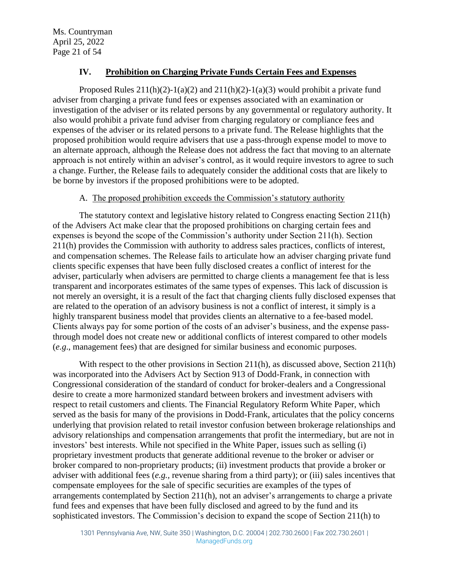## **IV. Prohibition on Charging Private Funds Certain Fees and Expenses**

Proposed Rules  $211(h)(2)-1(a)(2)$  and  $211(h)(2)-1(a)(3)$  would prohibit a private fund adviser from charging a private fund fees or expenses associated with an examination or investigation of the adviser or its related persons by any governmental or regulatory authority. It also would prohibit a private fund adviser from charging regulatory or compliance fees and expenses of the adviser or its related persons to a private fund. The Release highlights that the proposed prohibition would require advisers that use a pass-through expense model to move to an alternate approach, although the Release does not address the fact that moving to an alternate approach is not entirely within an adviser's control, as it would require investors to agree to such a change. Further, the Release fails to adequately consider the additional costs that are likely to be borne by investors if the proposed prohibitions were to be adopted.

#### A. The proposed prohibition exceeds the Commission's statutory authority

The statutory context and legislative history related to Congress enacting Section 211(h) of the Advisers Act make clear that the proposed prohibitions on charging certain fees and expenses is beyond the scope of the Commission's authority under Section 211(h). Section 211(h) provides the Commission with authority to address sales practices, conflicts of interest, and compensation schemes. The Release fails to articulate how an adviser charging private fund clients specific expenses that have been fully disclosed creates a conflict of interest for the adviser, particularly when advisers are permitted to charge clients a management fee that is less transparent and incorporates estimates of the same types of expenses. This lack of discussion is not merely an oversight, it is a result of the fact that charging clients fully disclosed expenses that are related to the operation of an advisory business is not a conflict of interest, it simply is a highly transparent business model that provides clients an alternative to a fee-based model. Clients always pay for some portion of the costs of an adviser's business, and the expense passthrough model does not create new or additional conflicts of interest compared to other models (*e.g*., management fees) that are designed for similar business and economic purposes.

With respect to the other provisions in Section 211(h), as discussed above, Section 211(h) was incorporated into the Advisers Act by Section 913 of Dodd-Frank, in connection with Congressional consideration of the standard of conduct for broker-dealers and a Congressional desire to create a more harmonized standard between brokers and investment advisers with respect to retail customers and clients. The Financial Regulatory Reform White Paper, which served as the basis for many of the provisions in Dodd-Frank, articulates that the policy concerns underlying that provision related to retail investor confusion between brokerage relationships and advisory relationships and compensation arrangements that profit the intermediary, but are not in investors' best interests. While not specified in the White Paper, issues such as selling (i) proprietary investment products that generate additional revenue to the broker or adviser or broker compared to non-proprietary products; (ii) investment products that provide a broker or adviser with additional fees (*e.g.,* revenue sharing from a third party); or (iii) sales incentives that compensate employees for the sale of specific securities are examples of the types of arrangements contemplated by Section 211(h), not an adviser's arrangements to charge a private fund fees and expenses that have been fully disclosed and agreed to by the fund and its sophisticated investors. The Commission's decision to expand the scope of Section 211(h) to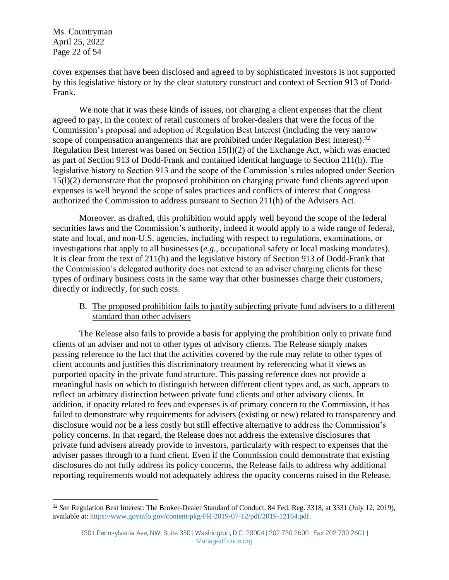Ms. Countryman April 25, 2022 Page 22 of 54

cover expenses that have been disclosed and agreed to by sophisticated investors is not supported by this legislative history or by the clear statutory construct and context of Section 913 of Dodd-Frank.

We note that it was these kinds of issues, not charging a client expenses that the client agreed to pay, in the context of retail customers of broker-dealers that were the focus of the Commission's proposal and adoption of Regulation Best Interest (including the very narrow scope of compensation arrangements that are prohibited under Regulation Best Interest).<sup>32</sup> Regulation Best Interest was based on Section  $15(1)(2)$  of the Exchange Act, which was enacted as part of Section 913 of Dodd-Frank and contained identical language to Section 211(h). The legislative history to Section 913 and the scope of the Commission's rules adopted under Section 15(l)(2) demonstrate that the proposed prohibition on charging private fund clients agreed upon expenses is well beyond the scope of sales practices and conflicts of interest that Congress authorized the Commission to address pursuant to Section 211(h) of the Advisers Act.

Moreover, as drafted, this prohibition would apply well beyond the scope of the federal securities laws and the Commission's authority, indeed it would apply to a wide range of federal, state and local, and non-U.S. agencies, including with respect to regulations, examinations, or investigations that apply to all businesses (*e.g.*, occupational safety or local masking mandates). It is clear from the text of 211(h) and the legislative history of Section 913 of Dodd-Frank that the Commission's delegated authority does not extend to an adviser charging clients for these types of ordinary business costs in the same way that other businesses charge their customers, directly or indirectly, for such costs.

## B. The proposed prohibition fails to justify subjecting private fund advisers to a different standard than other advisers

The Release also fails to provide a basis for applying the prohibition only to private fund clients of an adviser and not to other types of advisory clients. The Release simply makes passing reference to the fact that the activities covered by the rule may relate to other types of client accounts and justifies this discriminatory treatment by referencing what it views as purported opacity in the private fund structure. This passing reference does not provide a meaningful basis on which to distinguish between different client types and, as such, appears to reflect an arbitrary distinction between private fund clients and other advisory clients. In addition, if opacity related to fees and expenses is of primary concern to the Commission, it has failed to demonstrate why requirements for advisers (existing or new) related to transparency and disclosure would *not* be a less costly but still effective alternative to address the Commission's policy concerns. In that regard, the Release does not address the extensive disclosures that private fund advisers already provide to investors, particularly with respect to expenses that the adviser passes through to a fund client. Even if the Commission could demonstrate that existing disclosures do not fully address its policy concerns, the Release fails to address why additional reporting requirements would not adequately address the opacity concerns raised in the Release.

<sup>32</sup> *See* Regulation Best Interest: The Broker-Dealer Standard of Conduct, 84 Fed. Reg. 3318, at 3331 (July 12, 2019), available at: [https://www.govinfo.gov/content/pkg/FR-2019-07-12/pdf/2019-12164.pdf.](https://www.govinfo.gov/content/pkg/FR-2019-07-12/pdf/2019-12164.pdf)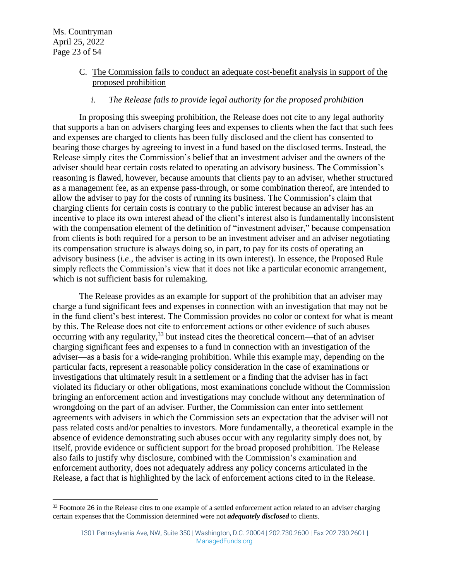## C. The Commission fails to conduct an adequate cost-benefit analysis in support of the proposed prohibition

## *i. The Release fails to provide legal authority for the proposed prohibition*

In proposing this sweeping prohibition, the Release does not cite to any legal authority that supports a ban on advisers charging fees and expenses to clients when the fact that such fees and expenses are charged to clients has been fully disclosed and the client has consented to bearing those charges by agreeing to invest in a fund based on the disclosed terms. Instead, the Release simply cites the Commission's belief that an investment adviser and the owners of the adviser should bear certain costs related to operating an advisory business. The Commission's reasoning is flawed, however, because amounts that clients pay to an adviser, whether structured as a management fee, as an expense pass-through, or some combination thereof, are intended to allow the adviser to pay for the costs of running its business. The Commission's claim that charging clients for certain costs is contrary to the public interest because an adviser has an incentive to place its own interest ahead of the client's interest also is fundamentally inconsistent with the compensation element of the definition of "investment adviser," because compensation from clients is both required for a person to be an investment adviser and an adviser negotiating its compensation structure is always doing so, in part, to pay for its costs of operating an advisory business (*i.e*., the adviser is acting in its own interest). In essence, the Proposed Rule simply reflects the Commission's view that it does not like a particular economic arrangement, which is not sufficient basis for rulemaking.

The Release provides as an example for support of the prohibition that an adviser may charge a fund significant fees and expenses in connection with an investigation that may not be in the fund client's best interest. The Commission provides no color or context for what is meant by this. The Release does not cite to enforcement actions or other evidence of such abuses occurring with any regularity,<sup>33</sup> but instead cites the theoretical concern—that of an adviser charging significant fees and expenses to a fund in connection with an investigation of the adviser—as a basis for a wide-ranging prohibition. While this example may, depending on the particular facts, represent a reasonable policy consideration in the case of examinations or investigations that ultimately result in a settlement or a finding that the adviser has in fact violated its fiduciary or other obligations, most examinations conclude without the Commission bringing an enforcement action and investigations may conclude without any determination of wrongdoing on the part of an adviser. Further, the Commission can enter into settlement agreements with advisers in which the Commission sets an expectation that the adviser will not pass related costs and/or penalties to investors. More fundamentally, a theoretical example in the absence of evidence demonstrating such abuses occur with any regularity simply does not, by itself, provide evidence or sufficient support for the broad proposed prohibition. The Release also fails to justify why disclosure, combined with the Commission's examination and enforcement authority, does not adequately address any policy concerns articulated in the Release, a fact that is highlighted by the lack of enforcement actions cited to in the Release.

<sup>&</sup>lt;sup>33</sup> Footnote 26 in the Release cites to one example of a settled enforcement action related to an adviser charging certain expenses that the Commission determined were not *adequately disclosed* to clients.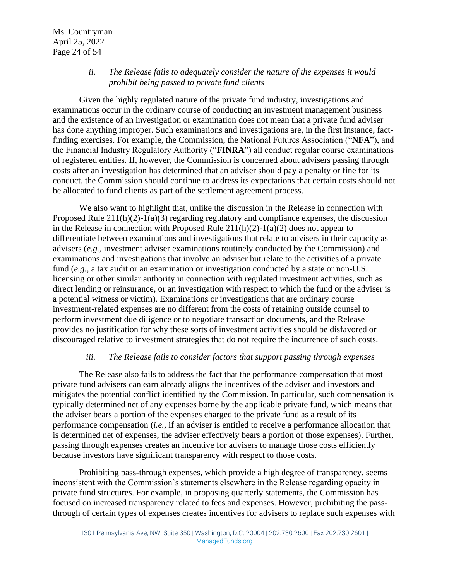#### *ii. The Release fails to adequately consider the nature of the expenses it would prohibit being passed to private fund clients*

Given the highly regulated nature of the private fund industry, investigations and examinations occur in the ordinary course of conducting an investment management business and the existence of an investigation or examination does not mean that a private fund adviser has done anything improper. Such examinations and investigations are, in the first instance, factfinding exercises. For example, the Commission, the National Futures Association ("**NFA**"), and the Financial Industry Regulatory Authority ("**FINRA**") all conduct regular course examinations of registered entities. If, however, the Commission is concerned about advisers passing through costs after an investigation has determined that an adviser should pay a penalty or fine for its conduct, the Commission should continue to address its expectations that certain costs should not be allocated to fund clients as part of the settlement agreement process.

We also want to highlight that, unlike the discussion in the Release in connection with Proposed Rule 211(h)(2)-1(a)(3) regarding regulatory and compliance expenses, the discussion in the Release in connection with Proposed Rule  $211(h)(2)-1(a)(2)$  does not appear to differentiate between examinations and investigations that relate to advisers in their capacity as advisers (*e.g.*, investment adviser examinations routinely conducted by the Commission) and examinations and investigations that involve an adviser but relate to the activities of a private fund (*e.g.*, a tax audit or an examination or investigation conducted by a state or non-U.S. licensing or other similar authority in connection with regulated investment activities, such as direct lending or reinsurance, or an investigation with respect to which the fund or the adviser is a potential witness or victim). Examinations or investigations that are ordinary course investment-related expenses are no different from the costs of retaining outside counsel to perform investment due diligence or to negotiate transaction documents, and the Release provides no justification for why these sorts of investment activities should be disfavored or discouraged relative to investment strategies that do not require the incurrence of such costs.

#### *iii. The Release fails to consider factors that support passing through expenses*

The Release also fails to address the fact that the performance compensation that most private fund advisers can earn already aligns the incentives of the adviser and investors and mitigates the potential conflict identified by the Commission. In particular, such compensation is typically determined net of any expenses borne by the applicable private fund, which means that the adviser bears a portion of the expenses charged to the private fund as a result of its performance compensation (*i.e.,* if an adviser is entitled to receive a performance allocation that is determined net of expenses, the adviser effectively bears a portion of those expenses). Further, passing through expenses creates an incentive for advisers to manage those costs efficiently because investors have significant transparency with respect to those costs.

Prohibiting pass-through expenses, which provide a high degree of transparency, seems inconsistent with the Commission's statements elsewhere in the Release regarding opacity in private fund structures. For example, in proposing quarterly statements, the Commission has focused on increased transparency related to fees and expenses. However, prohibiting the passthrough of certain types of expenses creates incentives for advisers to replace such expenses with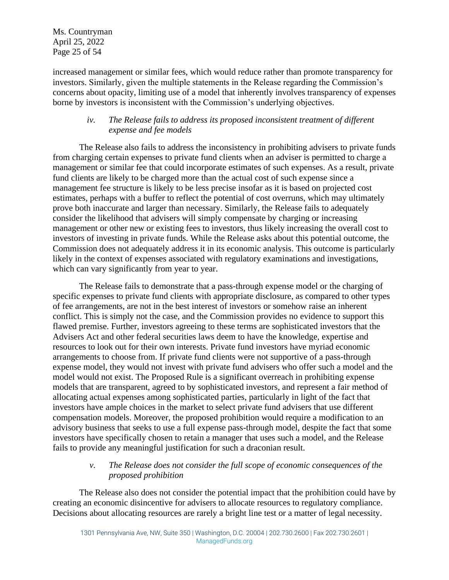Ms. Countryman April 25, 2022 Page 25 of 54

increased management or similar fees, which would reduce rather than promote transparency for investors. Similarly, given the multiple statements in the Release regarding the Commission's concerns about opacity, limiting use of a model that inherently involves transparency of expenses borne by investors is inconsistent with the Commission's underlying objectives.

# *iv. The Release fails to address its proposed inconsistent treatment of different expense and fee models*

The Release also fails to address the inconsistency in prohibiting advisers to private funds from charging certain expenses to private fund clients when an adviser is permitted to charge a management or similar fee that could incorporate estimates of such expenses. As a result, private fund clients are likely to be charged more than the actual cost of such expense since a management fee structure is likely to be less precise insofar as it is based on projected cost estimates, perhaps with a buffer to reflect the potential of cost overruns, which may ultimately prove both inaccurate and larger than necessary. Similarly, the Release fails to adequately consider the likelihood that advisers will simply compensate by charging or increasing management or other new or existing fees to investors, thus likely increasing the overall cost to investors of investing in private funds. While the Release asks about this potential outcome, the Commission does not adequately address it in its economic analysis. This outcome is particularly likely in the context of expenses associated with regulatory examinations and investigations, which can vary significantly from year to year.

The Release fails to demonstrate that a pass-through expense model or the charging of specific expenses to private fund clients with appropriate disclosure, as compared to other types of fee arrangements, are not in the best interest of investors or somehow raise an inherent conflict. This is simply not the case, and the Commission provides no evidence to support this flawed premise. Further, investors agreeing to these terms are sophisticated investors that the Advisers Act and other federal securities laws deem to have the knowledge, expertise and resources to look out for their own interests. Private fund investors have myriad economic arrangements to choose from. If private fund clients were not supportive of a pass-through expense model, they would not invest with private fund advisers who offer such a model and the model would not exist. The Proposed Rule is a significant overreach in prohibiting expense models that are transparent, agreed to by sophisticated investors, and represent a fair method of allocating actual expenses among sophisticated parties, particularly in light of the fact that investors have ample choices in the market to select private fund advisers that use different compensation models. Moreover, the proposed prohibition would require a modification to an advisory business that seeks to use a full expense pass-through model, despite the fact that some investors have specifically chosen to retain a manager that uses such a model, and the Release fails to provide any meaningful justification for such a draconian result.

# *v. The Release does not consider the full scope of economic consequences of the proposed prohibition*

The Release also does not consider the potential impact that the prohibition could have by creating an economic disincentive for advisers to allocate resources to regulatory compliance. Decisions about allocating resources are rarely a bright line test or a matter of legal necessity.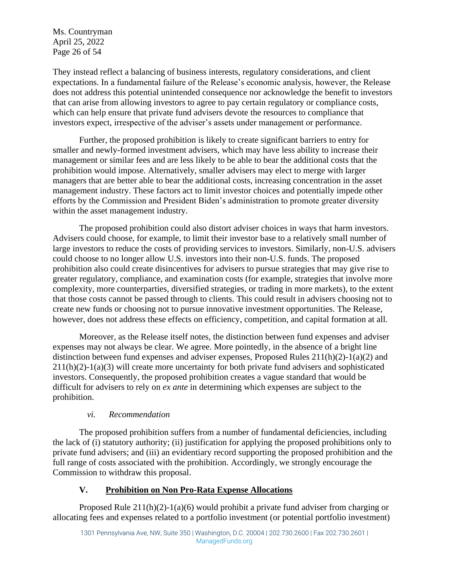Ms. Countryman April 25, 2022 Page 26 of 54

They instead reflect a balancing of business interests, regulatory considerations, and client expectations. In a fundamental failure of the Release's economic analysis, however, the Release does not address this potential unintended consequence nor acknowledge the benefit to investors that can arise from allowing investors to agree to pay certain regulatory or compliance costs, which can help ensure that private fund advisers devote the resources to compliance that investors expect, irrespective of the adviser's assets under management or performance.

Further, the proposed prohibition is likely to create significant barriers to entry for smaller and newly-formed investment advisers, which may have less ability to increase their management or similar fees and are less likely to be able to bear the additional costs that the prohibition would impose. Alternatively, smaller advisers may elect to merge with larger managers that are better able to bear the additional costs, increasing concentration in the asset management industry. These factors act to limit investor choices and potentially impede other efforts by the Commission and President Biden's administration to promote greater diversity within the asset management industry.

The proposed prohibition could also distort adviser choices in ways that harm investors. Advisers could choose, for example, to limit their investor base to a relatively small number of large investors to reduce the costs of providing services to investors. Similarly, non-U.S. advisers could choose to no longer allow U.S. investors into their non-U.S. funds. The proposed prohibition also could create disincentives for advisers to pursue strategies that may give rise to greater regulatory, compliance, and examination costs (for example, strategies that involve more complexity, more counterparties, diversified strategies, or trading in more markets), to the extent that those costs cannot be passed through to clients. This could result in advisers choosing not to create new funds or choosing not to pursue innovative investment opportunities. The Release, however, does not address these effects on efficiency, competition, and capital formation at all.

Moreover, as the Release itself notes, the distinction between fund expenses and adviser expenses may not always be clear. We agree. More pointedly, in the absence of a bright line distinction between fund expenses and adviser expenses, Proposed Rules  $211(h)(2)-1(a)(2)$  and 211(h)(2)-1(a)(3) will create more uncertainty for both private fund advisers and sophisticated investors. Consequently, the proposed prohibition creates a vague standard that would be difficult for advisers to rely on *ex ante* in determining which expenses are subject to the prohibition.

# *vi. Recommendation*

The proposed prohibition suffers from a number of fundamental deficiencies, including the lack of (i) statutory authority; (ii) justification for applying the proposed prohibitions only to private fund advisers; and (iii) an evidentiary record supporting the proposed prohibition and the full range of costs associated with the prohibition. Accordingly, we strongly encourage the Commission to withdraw this proposal.

# **V. Prohibition on Non Pro-Rata Expense Allocations**

Proposed Rule 211(h)(2)-1(a)(6) would prohibit a private fund adviser from charging or allocating fees and expenses related to a portfolio investment (or potential portfolio investment)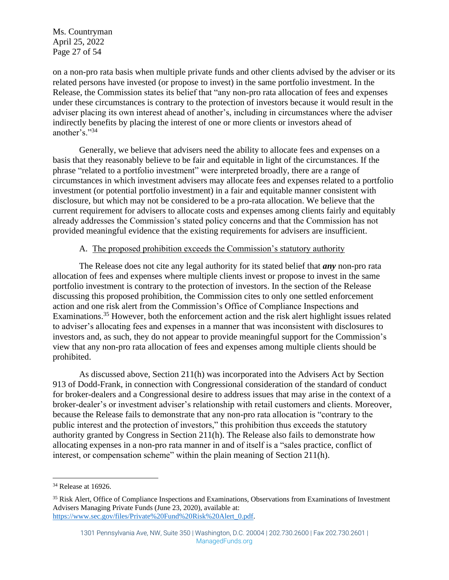Ms. Countryman April 25, 2022 Page 27 of 54

on a non-pro rata basis when multiple private funds and other clients advised by the adviser or its related persons have invested (or propose to invest) in the same portfolio investment. In the Release, the Commission states its belief that "any non-pro rata allocation of fees and expenses under these circumstances is contrary to the protection of investors because it would result in the adviser placing its own interest ahead of another's, including in circumstances where the adviser indirectly benefits by placing the interest of one or more clients or investors ahead of another's."<sup>34</sup>

Generally, we believe that advisers need the ability to allocate fees and expenses on a basis that they reasonably believe to be fair and equitable in light of the circumstances. If the phrase "related to a portfolio investment" were interpreted broadly, there are a range of circumstances in which investment advisers may allocate fees and expenses related to a portfolio investment (or potential portfolio investment) in a fair and equitable manner consistent with disclosure, but which may not be considered to be a pro-rata allocation. We believe that the current requirement for advisers to allocate costs and expenses among clients fairly and equitably already addresses the Commission's stated policy concerns and that the Commission has not provided meaningful evidence that the existing requirements for advisers are insufficient.

#### A. The proposed prohibition exceeds the Commission's statutory authority

The Release does not cite any legal authority for its stated belief that *any* non-pro rata allocation of fees and expenses where multiple clients invest or propose to invest in the same portfolio investment is contrary to the protection of investors. In the section of the Release discussing this proposed prohibition, the Commission cites to only one settled enforcement action and one risk alert from the Commission's Office of Compliance Inspections and Examinations.<sup>35</sup> However, both the enforcement action and the risk alert highlight issues related to adviser's allocating fees and expenses in a manner that was inconsistent with disclosures to investors and, as such, they do not appear to provide meaningful support for the Commission's view that any non-pro rata allocation of fees and expenses among multiple clients should be prohibited.

As discussed above, Section 211(h) was incorporated into the Advisers Act by Section 913 of Dodd-Frank, in connection with Congressional consideration of the standard of conduct for broker-dealers and a Congressional desire to address issues that may arise in the context of a broker-dealer's or investment adviser's relationship with retail customers and clients. Moreover, because the Release fails to demonstrate that any non-pro rata allocation is "contrary to the public interest and the protection of investors," this prohibition thus exceeds the statutory authority granted by Congress in Section 211(h). The Release also fails to demonstrate how allocating expenses in a non-pro rata manner in and of itself is a "sales practice, conflict of interest, or compensation scheme" within the plain meaning of Section 211(h).

<sup>34</sup> Release at 16926.

<sup>&</sup>lt;sup>35</sup> Risk Alert, Office of Compliance Inspections and Examinations, Observations from Examinations of Investment Advisers Managing Private Funds (June 23, 2020), available at: [https://www.sec.gov/files/Private%20Fund%20Risk%20Alert\\_0.pdf.](https://www.sec.gov/files/Private%20Fund%20Risk%20Alert_0.pdf)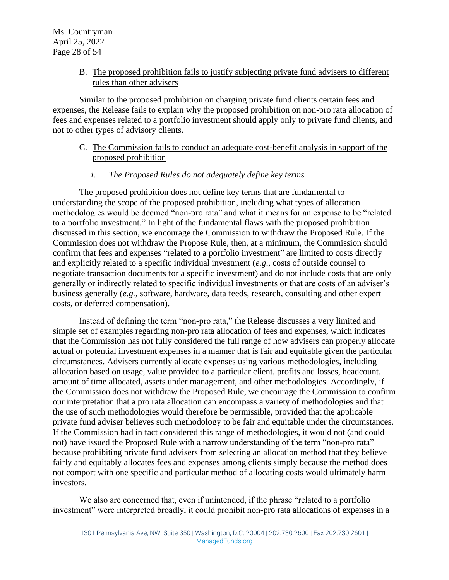## B. The proposed prohibition fails to justify subjecting private fund advisers to different rules than other advisers

Similar to the proposed prohibition on charging private fund clients certain fees and expenses, the Release fails to explain why the proposed prohibition on non-pro rata allocation of fees and expenses related to a portfolio investment should apply only to private fund clients, and not to other types of advisory clients.

C. The Commission fails to conduct an adequate cost-benefit analysis in support of the proposed prohibition

#### *i. The Proposed Rules do not adequately define key terms*

The proposed prohibition does not define key terms that are fundamental to understanding the scope of the proposed prohibition, including what types of allocation methodologies would be deemed "non-pro rata" and what it means for an expense to be "related to a portfolio investment." In light of the fundamental flaws with the proposed prohibition discussed in this section, we encourage the Commission to withdraw the Proposed Rule. If the Commission does not withdraw the Propose Rule, then, at a minimum, the Commission should confirm that fees and expenses "related to a portfolio investment" are limited to costs directly and explicitly related to a specific individual investment (*e.g*., costs of outside counsel to negotiate transaction documents for a specific investment) and do not include costs that are only generally or indirectly related to specific individual investments or that are costs of an adviser's business generally (*e.g.,* software, hardware, data feeds, research, consulting and other expert costs, or deferred compensation).

Instead of defining the term "non-pro rata," the Release discusses a very limited and simple set of examples regarding non-pro rata allocation of fees and expenses, which indicates that the Commission has not fully considered the full range of how advisers can properly allocate actual or potential investment expenses in a manner that is fair and equitable given the particular circumstances. Advisers currently allocate expenses using various methodologies, including allocation based on usage, value provided to a particular client, profits and losses, headcount, amount of time allocated, assets under management, and other methodologies. Accordingly, if the Commission does not withdraw the Proposed Rule, we encourage the Commission to confirm our interpretation that a pro rata allocation can encompass a variety of methodologies and that the use of such methodologies would therefore be permissible, provided that the applicable private fund adviser believes such methodology to be fair and equitable under the circumstances. If the Commission had in fact considered this range of methodologies, it would not (and could not) have issued the Proposed Rule with a narrow understanding of the term "non-pro rata" because prohibiting private fund advisers from selecting an allocation method that they believe fairly and equitably allocates fees and expenses among clients simply because the method does not comport with one specific and particular method of allocating costs would ultimately harm investors.

We also are concerned that, even if unintended, if the phrase "related to a portfolio investment" were interpreted broadly, it could prohibit non-pro rata allocations of expenses in a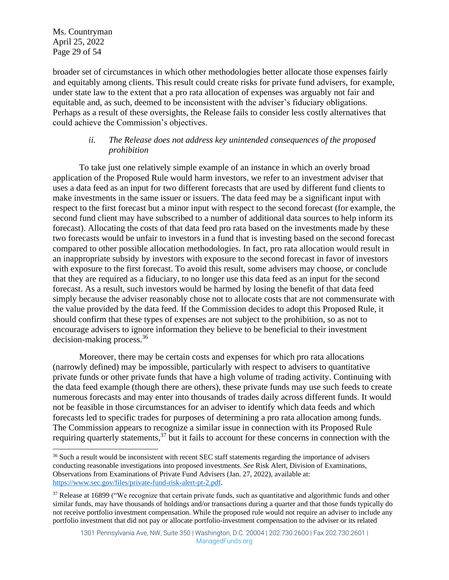Ms. Countryman April 25, 2022 Page 29 of 54

broader set of circumstances in which other methodologies better allocate those expenses fairly and equitably among clients. This result could create risks for private fund advisers, for example, under state law to the extent that a pro rata allocation of expenses was arguably not fair and equitable and, as such, deemed to be inconsistent with the adviser's fiduciary obligations. Perhaps as a result of these oversights, the Release fails to consider less costly alternatives that could achieve the Commission's objectives.

## *ii. The Release does not address key unintended consequences of the proposed prohibition*

To take just one relatively simple example of an instance in which an overly broad application of the Proposed Rule would harm investors, we refer to an investment adviser that uses a data feed as an input for two different forecasts that are used by different fund clients to make investments in the same issuer or issuers. The data feed may be a significant input with respect to the first forecast but a minor input with respect to the second forecast (for example, the second fund client may have subscribed to a number of additional data sources to help inform its forecast). Allocating the costs of that data feed pro rata based on the investments made by these two forecasts would be unfair to investors in a fund that is investing based on the second forecast compared to other possible allocation methodologies. In fact, pro rata allocation would result in an inappropriate subsidy by investors with exposure to the second forecast in favor of investors with exposure to the first forecast. To avoid this result, some advisers may choose, or conclude that they are required as a fiduciary, to no longer use this data feed as an input for the second forecast. As a result, such investors would be harmed by losing the benefit of that data feed simply because the adviser reasonably chose not to allocate costs that are not commensurate with the value provided by the data feed. If the Commission decides to adopt this Proposed Rule, it should confirm that these types of expenses are not subject to the prohibition, so as not to encourage advisers to ignore information they believe to be beneficial to their investment decision-making process.<sup>36</sup>

Moreover, there may be certain costs and expenses for which pro rata allocations (narrowly defined) may be impossible, particularly with respect to advisers to quantitative private funds or other private funds that have a high volume of trading activity. Continuing with the data feed example (though there are others), these private funds may use such feeds to create numerous forecasts and may enter into thousands of trades daily across different funds. It would not be feasible in those circumstances for an adviser to identify which data feeds and which forecasts led to specific trades for purposes of determining a pro rata allocation among funds. The Commission appears to recognize a similar issue in connection with its Proposed Rule requiring quarterly statements,<sup>37</sup> but it fails to account for these concerns in connection with the

<sup>&</sup>lt;sup>36</sup> Such a result would be inconsistent with recent SEC staff statements regarding the importance of advisers conducting reasonable investigations into proposed investments. *See* Risk Alert, Division of Examinations, Observations from Examinations of Private Fund Advisers (Jan. 27, 2022), available at: [https://www.sec.gov/files/private-fund-risk-alert-pt-2.pdf.](https://www.sec.gov/files/private-fund-risk-alert-pt-2.pdf)

<sup>&</sup>lt;sup>37</sup> Release at 16899 ("We recognize that certain private funds, such as quantitative and algorithmic funds and other similar funds, may have thousands of holdings and/or transactions during a quarter and that those funds typically do not receive portfolio investment compensation. While the proposed rule would not require an adviser to include any portfolio investment that did not pay or allocate portfolio-investment compensation to the adviser or its related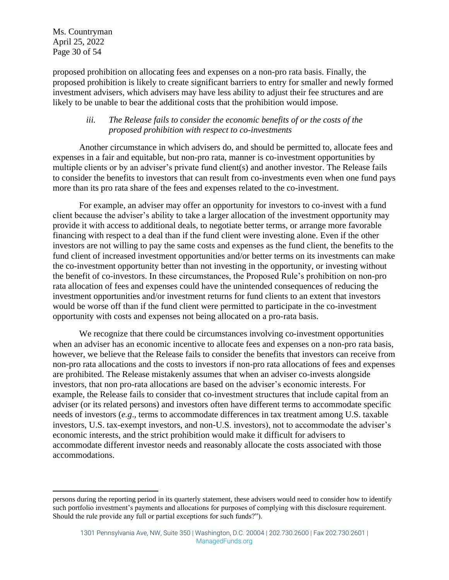Ms. Countryman April 25, 2022 Page 30 of 54

proposed prohibition on allocating fees and expenses on a non-pro rata basis. Finally, the proposed prohibition is likely to create significant barriers to entry for smaller and newly formed investment advisers, which advisers may have less ability to adjust their fee structures and are likely to be unable to bear the additional costs that the prohibition would impose.

## *iii. The Release fails to consider the economic benefits of or the costs of the proposed prohibition with respect to co-investments*

Another circumstance in which advisers do, and should be permitted to, allocate fees and expenses in a fair and equitable, but non-pro rata, manner is co-investment opportunities by multiple clients or by an adviser's private fund client(s) and another investor. The Release fails to consider the benefits to investors that can result from co-investments even when one fund pays more than its pro rata share of the fees and expenses related to the co-investment.

For example, an adviser may offer an opportunity for investors to co-invest with a fund client because the adviser's ability to take a larger allocation of the investment opportunity may provide it with access to additional deals, to negotiate better terms, or arrange more favorable financing with respect to a deal than if the fund client were investing alone. Even if the other investors are not willing to pay the same costs and expenses as the fund client, the benefits to the fund client of increased investment opportunities and/or better terms on its investments can make the co-investment opportunity better than not investing in the opportunity, or investing without the benefit of co-investors. In these circumstances, the Proposed Rule's prohibition on non-pro rata allocation of fees and expenses could have the unintended consequences of reducing the investment opportunities and/or investment returns for fund clients to an extent that investors would be worse off than if the fund client were permitted to participate in the co-investment opportunity with costs and expenses not being allocated on a pro-rata basis.

We recognize that there could be circumstances involving co-investment opportunities when an adviser has an economic incentive to allocate fees and expenses on a non-pro rata basis, however, we believe that the Release fails to consider the benefits that investors can receive from non-pro rata allocations and the costs to investors if non-pro rata allocations of fees and expenses are prohibited. The Release mistakenly assumes that when an adviser co-invests alongside investors, that non pro-rata allocations are based on the adviser's economic interests. For example, the Release fails to consider that co-investment structures that include capital from an adviser (or its related persons) and investors often have different terms to accommodate specific needs of investors (*e.g*., terms to accommodate differences in tax treatment among U.S. taxable investors, U.S. tax-exempt investors, and non-U.S. investors), not to accommodate the adviser's economic interests, and the strict prohibition would make it difficult for advisers to accommodate different investor needs and reasonably allocate the costs associated with those accommodations.

persons during the reporting period in its quarterly statement, these advisers would need to consider how to identify such portfolio investment's payments and allocations for purposes of complying with this disclosure requirement. Should the rule provide any full or partial exceptions for such funds?").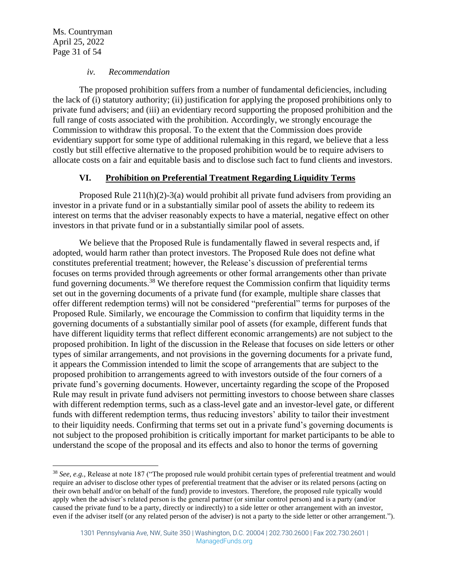Ms. Countryman April 25, 2022 Page 31 of 54

#### *iv. Recommendation*

The proposed prohibition suffers from a number of fundamental deficiencies, including the lack of (i) statutory authority; (ii) justification for applying the proposed prohibitions only to private fund advisers; and (iii) an evidentiary record supporting the proposed prohibition and the full range of costs associated with the prohibition. Accordingly, we strongly encourage the Commission to withdraw this proposal. To the extent that the Commission does provide evidentiary support for some type of additional rulemaking in this regard, we believe that a less costly but still effective alternative to the proposed prohibition would be to require advisers to allocate costs on a fair and equitable basis and to disclose such fact to fund clients and investors.

## **VI. Prohibition on Preferential Treatment Regarding Liquidity Terms**

Proposed Rule 211(h)(2)-3(a) would prohibit all private fund advisers from providing an investor in a private fund or in a substantially similar pool of assets the ability to redeem its interest on terms that the adviser reasonably expects to have a material, negative effect on other investors in that private fund or in a substantially similar pool of assets.

We believe that the Proposed Rule is fundamentally flawed in several respects and, if adopted, would harm rather than protect investors. The Proposed Rule does not define what constitutes preferential treatment; however, the Release's discussion of preferential terms focuses on terms provided through agreements or other formal arrangements other than private fund governing documents.<sup>38</sup> We therefore request the Commission confirm that liquidity terms set out in the governing documents of a private fund (for example, multiple share classes that offer different redemption terms) will not be considered "preferential" terms for purposes of the Proposed Rule. Similarly, we encourage the Commission to confirm that liquidity terms in the governing documents of a substantially similar pool of assets (for example, different funds that have different liquidity terms that reflect different economic arrangements) are not subject to the proposed prohibition. In light of the discussion in the Release that focuses on side letters or other types of similar arrangements, and not provisions in the governing documents for a private fund, it appears the Commission intended to limit the scope of arrangements that are subject to the proposed prohibition to arrangements agreed to with investors outside of the four corners of a private fund's governing documents. However, uncertainty regarding the scope of the Proposed Rule may result in private fund advisers not permitting investors to choose between share classes with different redemption terms, such as a class-level gate and an investor-level gate, or different funds with different redemption terms, thus reducing investors' ability to tailor their investment to their liquidity needs. Confirming that terms set out in a private fund's governing documents is not subject to the proposed prohibition is critically important for market participants to be able to understand the scope of the proposal and its effects and also to honor the terms of governing

<sup>38</sup> *See, e.g.,* Release at note 187 ("The proposed rule would prohibit certain types of preferential treatment and would require an adviser to disclose other types of preferential treatment that the adviser or its related persons (acting on their own behalf and/or on behalf of the fund) provide to investors. Therefore, the proposed rule typically would apply when the adviser's related person is the general partner (or similar control person) and is a party (and/or caused the private fund to be a party, directly or indirectly) to a side letter or other arrangement with an investor, even if the adviser itself (or any related person of the adviser) is not a party to the side letter or other arrangement.").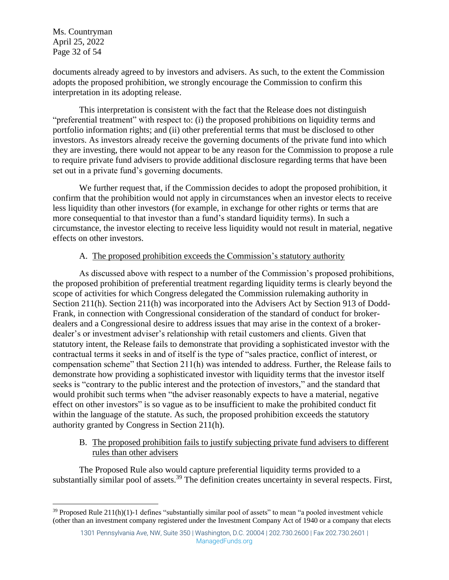Ms. Countryman April 25, 2022 Page 32 of 54

documents already agreed to by investors and advisers. As such, to the extent the Commission adopts the proposed prohibition, we strongly encourage the Commission to confirm this interpretation in its adopting release.

This interpretation is consistent with the fact that the Release does not distinguish "preferential treatment" with respect to: (i) the proposed prohibitions on liquidity terms and portfolio information rights; and (ii) other preferential terms that must be disclosed to other investors. As investors already receive the governing documents of the private fund into which they are investing, there would not appear to be any reason for the Commission to propose a rule to require private fund advisers to provide additional disclosure regarding terms that have been set out in a private fund's governing documents.

We further request that, if the Commission decides to adopt the proposed prohibition, it confirm that the prohibition would not apply in circumstances when an investor elects to receive less liquidity than other investors (for example, in exchange for other rights or terms that are more consequential to that investor than a fund's standard liquidity terms). In such a circumstance, the investor electing to receive less liquidity would not result in material, negative effects on other investors.

## A. The proposed prohibition exceeds the Commission's statutory authority

As discussed above with respect to a number of the Commission's proposed prohibitions, the proposed prohibition of preferential treatment regarding liquidity terms is clearly beyond the scope of activities for which Congress delegated the Commission rulemaking authority in Section 211(h). Section 211(h) was incorporated into the Advisers Act by Section 913 of Dodd-Frank, in connection with Congressional consideration of the standard of conduct for brokerdealers and a Congressional desire to address issues that may arise in the context of a brokerdealer's or investment adviser's relationship with retail customers and clients. Given that statutory intent, the Release fails to demonstrate that providing a sophisticated investor with the contractual terms it seeks in and of itself is the type of "sales practice, conflict of interest, or compensation scheme" that Section 211(h) was intended to address. Further, the Release fails to demonstrate how providing a sophisticated investor with liquidity terms that the investor itself seeks is "contrary to the public interest and the protection of investors," and the standard that would prohibit such terms when "the adviser reasonably expects to have a material, negative effect on other investors" is so vague as to be insufficient to make the prohibited conduct fit within the language of the statute. As such, the proposed prohibition exceeds the statutory authority granted by Congress in Section 211(h).

B. The proposed prohibition fails to justify subjecting private fund advisers to different rules than other advisers

The Proposed Rule also would capture preferential liquidity terms provided to a substantially similar pool of assets.<sup>39</sup> The definition creates uncertainty in several respects. First,

 $39$  Proposed Rule 211(h)(1)-1 defines "substantially similar pool of assets" to mean "a pooled investment vehicle (other than an investment company registered under the Investment Company Act of 1940 or a company that elects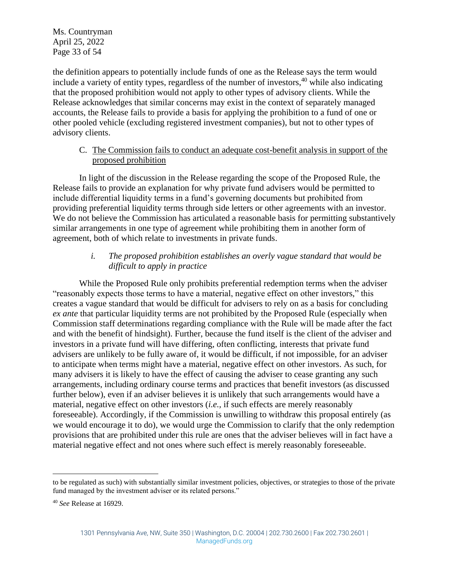Ms. Countryman April 25, 2022 Page 33 of 54

the definition appears to potentially include funds of one as the Release says the term would include a variety of entity types, regardless of the number of investors,  $40$  while also indicating that the proposed prohibition would not apply to other types of advisory clients. While the Release acknowledges that similar concerns may exist in the context of separately managed accounts, the Release fails to provide a basis for applying the prohibition to a fund of one or other pooled vehicle (excluding registered investment companies), but not to other types of advisory clients.

## C. The Commission fails to conduct an adequate cost-benefit analysis in support of the proposed prohibition

In light of the discussion in the Release regarding the scope of the Proposed Rule, the Release fails to provide an explanation for why private fund advisers would be permitted to include differential liquidity terms in a fund's governing documents but prohibited from providing preferential liquidity terms through side letters or other agreements with an investor. We do not believe the Commission has articulated a reasonable basis for permitting substantively similar arrangements in one type of agreement while prohibiting them in another form of agreement, both of which relate to investments in private funds.

## *i. The proposed prohibition establishes an overly vague standard that would be difficult to apply in practice*

While the Proposed Rule only prohibits preferential redemption terms when the adviser "reasonably expects those terms to have a material, negative effect on other investors," this creates a vague standard that would be difficult for advisers to rely on as a basis for concluding *ex ante* that particular liquidity terms are not prohibited by the Proposed Rule (especially when Commission staff determinations regarding compliance with the Rule will be made after the fact and with the benefit of hindsight). Further, because the fund itself is the client of the adviser and investors in a private fund will have differing, often conflicting, interests that private fund advisers are unlikely to be fully aware of, it would be difficult, if not impossible, for an adviser to anticipate when terms might have a material, negative effect on other investors. As such, for many advisers it is likely to have the effect of causing the adviser to cease granting any such arrangements, including ordinary course terms and practices that benefit investors (as discussed further below), even if an adviser believes it is unlikely that such arrangements would have a material, negative effect on other investors (*i.e.,* if such effects are merely reasonably foreseeable). Accordingly, if the Commission is unwilling to withdraw this proposal entirely (as we would encourage it to do), we would urge the Commission to clarify that the only redemption provisions that are prohibited under this rule are ones that the adviser believes will in fact have a material negative effect and not ones where such effect is merely reasonably foreseeable.

to be regulated as such) with substantially similar investment policies, objectives, or strategies to those of the private fund managed by the investment adviser or its related persons."

<sup>40</sup> *See* Release at 16929.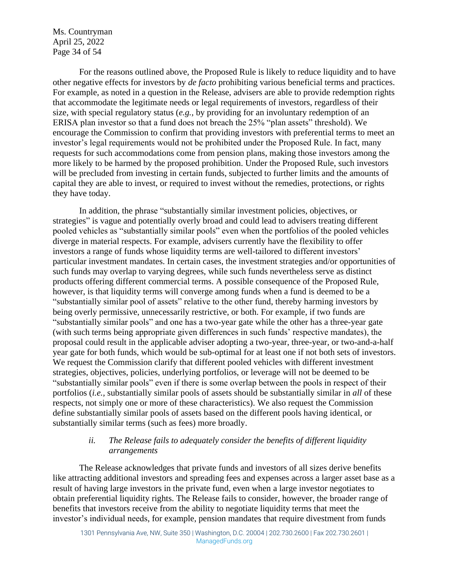Ms. Countryman April 25, 2022 Page 34 of 54

For the reasons outlined above, the Proposed Rule is likely to reduce liquidity and to have other negative effects for investors by *de facto* prohibiting various beneficial terms and practices. For example, as noted in a question in the Release, advisers are able to provide redemption rights that accommodate the legitimate needs or legal requirements of investors, regardless of their size, with special regulatory status (*e.g.,* by providing for an involuntary redemption of an ERISA plan investor so that a fund does not breach the 25% "plan assets" threshold). We encourage the Commission to confirm that providing investors with preferential terms to meet an investor's legal requirements would not be prohibited under the Proposed Rule. In fact, many requests for such accommodations come from pension plans, making those investors among the more likely to be harmed by the proposed prohibition. Under the Proposed Rule, such investors will be precluded from investing in certain funds, subjected to further limits and the amounts of capital they are able to invest, or required to invest without the remedies, protections, or rights they have today.

In addition, the phrase "substantially similar investment policies, objectives, or strategies" is vague and potentially overly broad and could lead to advisers treating different pooled vehicles as "substantially similar pools" even when the portfolios of the pooled vehicles diverge in material respects. For example, advisers currently have the flexibility to offer investors a range of funds whose liquidity terms are well-tailored to different investors' particular investment mandates. In certain cases, the investment strategies and/or opportunities of such funds may overlap to varying degrees, while such funds nevertheless serve as distinct products offering different commercial terms. A possible consequence of the Proposed Rule, however, is that liquidity terms will converge among funds when a fund is deemed to be a "substantially similar pool of assets" relative to the other fund, thereby harming investors by being overly permissive, unnecessarily restrictive, or both. For example, if two funds are "substantially similar pools" and one has a two-year gate while the other has a three-year gate (with such terms being appropriate given differences in such funds' respective mandates), the proposal could result in the applicable adviser adopting a two-year, three-year, or two-and-a-half year gate for both funds, which would be sub-optimal for at least one if not both sets of investors. We request the Commission clarify that different pooled vehicles with different investment strategies, objectives, policies, underlying portfolios, or leverage will not be deemed to be "substantially similar pools" even if there is some overlap between the pools in respect of their portfolios (*i.e.,* substantially similar pools of assets should be substantially similar in *all* of these respects, not simply one or more of these characteristics). We also request the Commission define substantially similar pools of assets based on the different pools having identical, or substantially similar terms (such as fees) more broadly.

## *ii. The Release fails to adequately consider the benefits of different liquidity arrangements*

The Release acknowledges that private funds and investors of all sizes derive benefits like attracting additional investors and spreading fees and expenses across a larger asset base as a result of having large investors in the private fund, even when a large investor negotiates to obtain preferential liquidity rights. The Release fails to consider, however, the broader range of benefits that investors receive from the ability to negotiate liquidity terms that meet the investor's individual needs, for example, pension mandates that require divestment from funds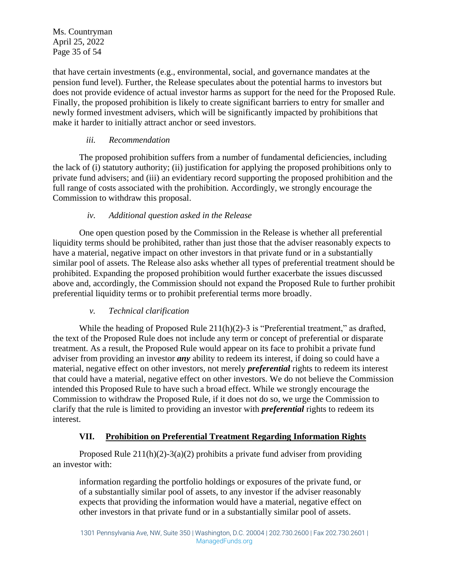Ms. Countryman April 25, 2022 Page 35 of 54

that have certain investments (e.g., environmental, social, and governance mandates at the pension fund level). Further, the Release speculates about the potential harms to investors but does not provide evidence of actual investor harms as support for the need for the Proposed Rule. Finally, the proposed prohibition is likely to create significant barriers to entry for smaller and newly formed investment advisers, which will be significantly impacted by prohibitions that make it harder to initially attract anchor or seed investors.

# *iii. Recommendation*

The proposed prohibition suffers from a number of fundamental deficiencies, including the lack of (i) statutory authority; (ii) justification for applying the proposed prohibitions only to private fund advisers; and (iii) an evidentiary record supporting the proposed prohibition and the full range of costs associated with the prohibition. Accordingly, we strongly encourage the Commission to withdraw this proposal.

# *iv. Additional question asked in the Release*

One open question posed by the Commission in the Release is whether all preferential liquidity terms should be prohibited, rather than just those that the adviser reasonably expects to have a material, negative impact on other investors in that private fund or in a substantially similar pool of assets. The Release also asks whether all types of preferential treatment should be prohibited. Expanding the proposed prohibition would further exacerbate the issues discussed above and, accordingly, the Commission should not expand the Proposed Rule to further prohibit preferential liquidity terms or to prohibit preferential terms more broadly.

# *v. Technical clarification*

While the heading of Proposed Rule 211(h)(2)-3 is "Preferential treatment," as drafted, the text of the Proposed Rule does not include any term or concept of preferential or disparate treatment. As a result, the Proposed Rule would appear on its face to prohibit a private fund adviser from providing an investor *any* ability to redeem its interest, if doing so could have a material, negative effect on other investors, not merely *preferential* rights to redeem its interest that could have a material, negative effect on other investors. We do not believe the Commission intended this Proposed Rule to have such a broad effect. While we strongly encourage the Commission to withdraw the Proposed Rule, if it does not do so, we urge the Commission to clarify that the rule is limited to providing an investor with *preferential* rights to redeem its interest.

# **VII. Prohibition on Preferential Treatment Regarding Information Rights**

Proposed Rule  $211(h)(2)-3(a)(2)$  prohibits a private fund adviser from providing an investor with:

information regarding the portfolio holdings or exposures of the private fund, or of a substantially similar pool of assets, to any investor if the adviser reasonably expects that providing the information would have a material, negative effect on other investors in that private fund or in a substantially similar pool of assets.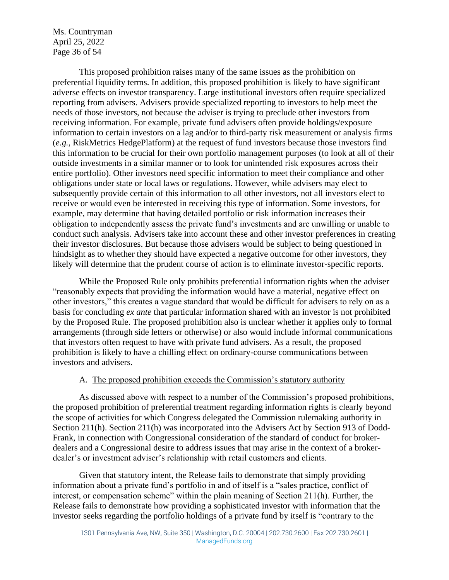Ms. Countryman April 25, 2022 Page 36 of 54

This proposed prohibition raises many of the same issues as the prohibition on preferential liquidity terms. In addition, this proposed prohibition is likely to have significant adverse effects on investor transparency. Large institutional investors often require specialized reporting from advisers. Advisers provide specialized reporting to investors to help meet the needs of those investors, not because the adviser is trying to preclude other investors from receiving information. For example, private fund advisers often provide holdings/exposure information to certain investors on a lag and/or to third-party risk measurement or analysis firms (*e.g.*, RiskMetrics HedgePlatform) at the request of fund investors because those investors find this information to be crucial for their own portfolio management purposes (to look at all of their outside investments in a similar manner or to look for unintended risk exposures across their entire portfolio). Other investors need specific information to meet their compliance and other obligations under state or local laws or regulations. However, while advisers may elect to subsequently provide certain of this information to all other investors, not all investors elect to receive or would even be interested in receiving this type of information. Some investors, for example, may determine that having detailed portfolio or risk information increases their obligation to independently assess the private fund's investments and are unwilling or unable to conduct such analysis. Advisers take into account these and other investor preferences in creating their investor disclosures. But because those advisers would be subject to being questioned in hindsight as to whether they should have expected a negative outcome for other investors, they likely will determine that the prudent course of action is to eliminate investor-specific reports.

While the Proposed Rule only prohibits preferential information rights when the adviser "reasonably expects that providing the information would have a material, negative effect on other investors," this creates a vague standard that would be difficult for advisers to rely on as a basis for concluding *ex ante* that particular information shared with an investor is not prohibited by the Proposed Rule. The proposed prohibition also is unclear whether it applies only to formal arrangements (through side letters or otherwise) or also would include informal communications that investors often request to have with private fund advisers. As a result, the proposed prohibition is likely to have a chilling effect on ordinary-course communications between investors and advisers.

#### A. The proposed prohibition exceeds the Commission's statutory authority

As discussed above with respect to a number of the Commission's proposed prohibitions, the proposed prohibition of preferential treatment regarding information rights is clearly beyond the scope of activities for which Congress delegated the Commission rulemaking authority in Section 211(h). Section 211(h) was incorporated into the Advisers Act by Section 913 of Dodd-Frank, in connection with Congressional consideration of the standard of conduct for brokerdealers and a Congressional desire to address issues that may arise in the context of a brokerdealer's or investment adviser's relationship with retail customers and clients.

Given that statutory intent, the Release fails to demonstrate that simply providing information about a private fund's portfolio in and of itself is a "sales practice, conflict of interest, or compensation scheme" within the plain meaning of Section 211(h). Further, the Release fails to demonstrate how providing a sophisticated investor with information that the investor seeks regarding the portfolio holdings of a private fund by itself is "contrary to the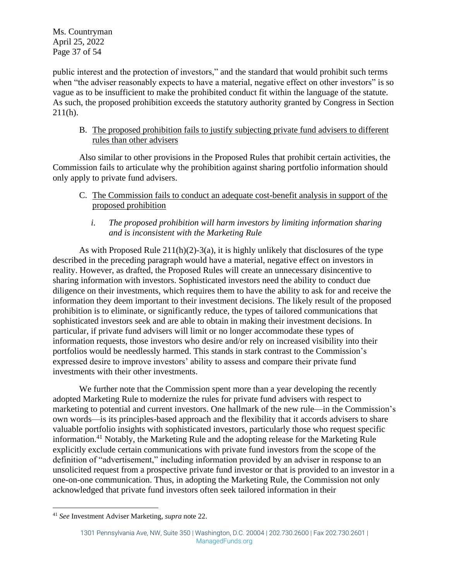Ms. Countryman April 25, 2022 Page 37 of 54

public interest and the protection of investors," and the standard that would prohibit such terms when "the adviser reasonably expects to have a material, negative effect on other investors" is so vague as to be insufficient to make the prohibited conduct fit within the language of the statute. As such, the proposed prohibition exceeds the statutory authority granted by Congress in Section  $211(h)$ .

B. The proposed prohibition fails to justify subjecting private fund advisers to different rules than other advisers

Also similar to other provisions in the Proposed Rules that prohibit certain activities, the Commission fails to articulate why the prohibition against sharing portfolio information should only apply to private fund advisers.

- C. The Commission fails to conduct an adequate cost-benefit analysis in support of the proposed prohibition
	- *i. The proposed prohibition will harm investors by limiting information sharing and is inconsistent with the Marketing Rule*

As with Proposed Rule  $211(h)(2)-3(a)$ , it is highly unlikely that disclosures of the type described in the preceding paragraph would have a material, negative effect on investors in reality. However, as drafted, the Proposed Rules will create an unnecessary disincentive to sharing information with investors. Sophisticated investors need the ability to conduct due diligence on their investments, which requires them to have the ability to ask for and receive the information they deem important to their investment decisions. The likely result of the proposed prohibition is to eliminate, or significantly reduce, the types of tailored communications that sophisticated investors seek and are able to obtain in making their investment decisions. In particular, if private fund advisers will limit or no longer accommodate these types of information requests, those investors who desire and/or rely on increased visibility into their portfolios would be needlessly harmed. This stands in stark contrast to the Commission's expressed desire to improve investors' ability to assess and compare their private fund investments with their other investments.

We further note that the Commission spent more than a year developing the recently adopted Marketing Rule to modernize the rules for private fund advisers with respect to marketing to potential and current investors. One hallmark of the new rule—in the Commission's own words—is its principles-based approach and the flexibility that it accords advisers to share valuable portfolio insights with sophisticated investors, particularly those who request specific information.<sup>41</sup> Notably, the Marketing Rule and the adopting release for the Marketing Rule explicitly exclude certain communications with private fund investors from the scope of the definition of "advertisement," including information provided by an adviser in response to an unsolicited request from a prospective private fund investor or that is provided to an investor in a one-on-one communication. Thus, in adopting the Marketing Rule, the Commission not only acknowledged that private fund investors often seek tailored information in their

<sup>41</sup> *See* Investment Adviser Marketing, *supra* note [22.](#page-12-0)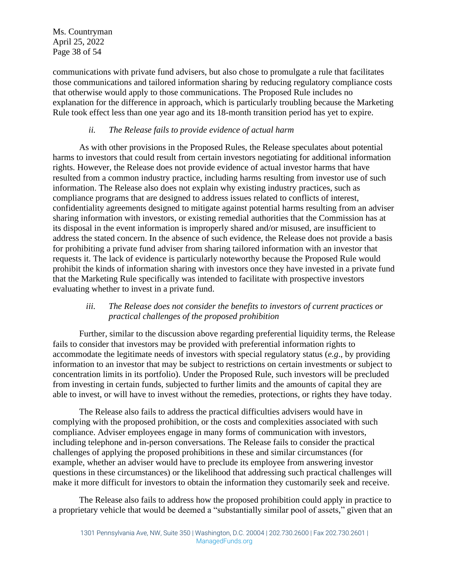Ms. Countryman April 25, 2022 Page 38 of 54

communications with private fund advisers, but also chose to promulgate a rule that facilitates those communications and tailored information sharing by reducing regulatory compliance costs that otherwise would apply to those communications. The Proposed Rule includes no explanation for the difference in approach, which is particularly troubling because the Marketing Rule took effect less than one year ago and its 18-month transition period has yet to expire.

#### *ii. The Release fails to provide evidence of actual harm*

As with other provisions in the Proposed Rules, the Release speculates about potential harms to investors that could result from certain investors negotiating for additional information rights. However, the Release does not provide evidence of actual investor harms that have resulted from a common industry practice, including harms resulting from investor use of such information. The Release also does not explain why existing industry practices, such as compliance programs that are designed to address issues related to conflicts of interest, confidentiality agreements designed to mitigate against potential harms resulting from an adviser sharing information with investors, or existing remedial authorities that the Commission has at its disposal in the event information is improperly shared and/or misused, are insufficient to address the stated concern. In the absence of such evidence, the Release does not provide a basis for prohibiting a private fund adviser from sharing tailored information with an investor that requests it. The lack of evidence is particularly noteworthy because the Proposed Rule would prohibit the kinds of information sharing with investors once they have invested in a private fund that the Marketing Rule specifically was intended to facilitate with prospective investors evaluating whether to invest in a private fund.

#### *iii. The Release does not consider the benefits to investors of current practices or practical challenges of the proposed prohibition*

Further, similar to the discussion above regarding preferential liquidity terms, the Release fails to consider that investors may be provided with preferential information rights to accommodate the legitimate needs of investors with special regulatory status (*e.g*., by providing information to an investor that may be subject to restrictions on certain investments or subject to concentration limits in its portfolio). Under the Proposed Rule, such investors will be precluded from investing in certain funds, subjected to further limits and the amounts of capital they are able to invest, or will have to invest without the remedies, protections, or rights they have today.

The Release also fails to address the practical difficulties advisers would have in complying with the proposed prohibition, or the costs and complexities associated with such compliance. Adviser employees engage in many forms of communication with investors, including telephone and in-person conversations. The Release fails to consider the practical challenges of applying the proposed prohibitions in these and similar circumstances (for example, whether an adviser would have to preclude its employee from answering investor questions in these circumstances) or the likelihood that addressing such practical challenges will make it more difficult for investors to obtain the information they customarily seek and receive.

The Release also fails to address how the proposed prohibition could apply in practice to a proprietary vehicle that would be deemed a "substantially similar pool of assets," given that an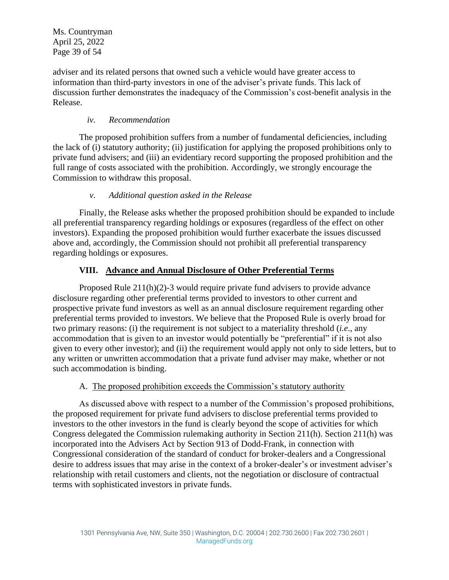Ms. Countryman April 25, 2022 Page 39 of 54

adviser and its related persons that owned such a vehicle would have greater access to information than third-party investors in one of the adviser's private funds. This lack of discussion further demonstrates the inadequacy of the Commission's cost-benefit analysis in the Release.

#### *iv. Recommendation*

The proposed prohibition suffers from a number of fundamental deficiencies, including the lack of (i) statutory authority; (ii) justification for applying the proposed prohibitions only to private fund advisers; and (iii) an evidentiary record supporting the proposed prohibition and the full range of costs associated with the prohibition. Accordingly, we strongly encourage the Commission to withdraw this proposal.

# *v. Additional question asked in the Release*

Finally, the Release asks whether the proposed prohibition should be expanded to include all preferential transparency regarding holdings or exposures (regardless of the effect on other investors). Expanding the proposed prohibition would further exacerbate the issues discussed above and, accordingly, the Commission should not prohibit all preferential transparency regarding holdings or exposures.

# **VIII. Advance and Annual Disclosure of Other Preferential Terms**

Proposed Rule 211(h)(2)-3 would require private fund advisers to provide advance disclosure regarding other preferential terms provided to investors to other current and prospective private fund investors as well as an annual disclosure requirement regarding other preferential terms provided to investors. We believe that the Proposed Rule is overly broad for two primary reasons: (i) the requirement is not subject to a materiality threshold (*i.e*., any accommodation that is given to an investor would potentially be "preferential" if it is not also given to every other investor); and (ii) the requirement would apply not only to side letters, but to any written or unwritten accommodation that a private fund adviser may make, whether or not such accommodation is binding.

#### A. The proposed prohibition exceeds the Commission's statutory authority

As discussed above with respect to a number of the Commission's proposed prohibitions, the proposed requirement for private fund advisers to disclose preferential terms provided to investors to the other investors in the fund is clearly beyond the scope of activities for which Congress delegated the Commission rulemaking authority in Section 211(h). Section 211(h) was incorporated into the Advisers Act by Section 913 of Dodd-Frank, in connection with Congressional consideration of the standard of conduct for broker-dealers and a Congressional desire to address issues that may arise in the context of a broker-dealer's or investment adviser's relationship with retail customers and clients, not the negotiation or disclosure of contractual terms with sophisticated investors in private funds.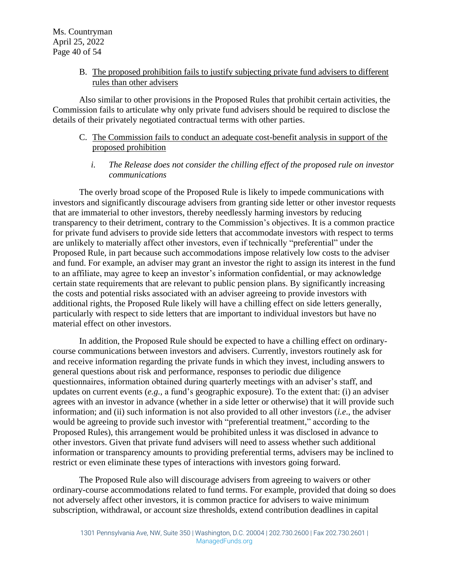#### B. The proposed prohibition fails to justify subjecting private fund advisers to different rules than other advisers

Also similar to other provisions in the Proposed Rules that prohibit certain activities, the Commission fails to articulate why only private fund advisers should be required to disclose the details of their privately negotiated contractual terms with other parties.

#### C. The Commission fails to conduct an adequate cost-benefit analysis in support of the proposed prohibition

*i. The Release does not consider the chilling effect of the proposed rule on investor communications*

The overly broad scope of the Proposed Rule is likely to impede communications with investors and significantly discourage advisers from granting side letter or other investor requests that are immaterial to other investors, thereby needlessly harming investors by reducing transparency to their detriment, contrary to the Commission's objectives. It is a common practice for private fund advisers to provide side letters that accommodate investors with respect to terms are unlikely to materially affect other investors, even if technically "preferential" under the Proposed Rule, in part because such accommodations impose relatively low costs to the adviser and fund. For example, an adviser may grant an investor the right to assign its interest in the fund to an affiliate, may agree to keep an investor's information confidential, or may acknowledge certain state requirements that are relevant to public pension plans. By significantly increasing the costs and potential risks associated with an adviser agreeing to provide investors with additional rights, the Proposed Rule likely will have a chilling effect on side letters generally, particularly with respect to side letters that are important to individual investors but have no material effect on other investors.

In addition, the Proposed Rule should be expected to have a chilling effect on ordinarycourse communications between investors and advisers. Currently, investors routinely ask for and receive information regarding the private funds in which they invest, including answers to general questions about risk and performance, responses to periodic due diligence questionnaires, information obtained during quarterly meetings with an adviser's staff, and updates on current events (*e.g.,* a fund's geographic exposure). To the extent that: (i) an adviser agrees with an investor in advance (whether in a side letter or otherwise) that it will provide such information; and (ii) such information is not also provided to all other investors (*i.e*., the adviser would be agreeing to provide such investor with "preferential treatment," according to the Proposed Rules), this arrangement would be prohibited unless it was disclosed in advance to other investors. Given that private fund advisers will need to assess whether such additional information or transparency amounts to providing preferential terms, advisers may be inclined to restrict or even eliminate these types of interactions with investors going forward.

The Proposed Rule also will discourage advisers from agreeing to waivers or other ordinary-course accommodations related to fund terms. For example, provided that doing so does not adversely affect other investors, it is common practice for advisers to waive minimum subscription, withdrawal, or account size thresholds, extend contribution deadlines in capital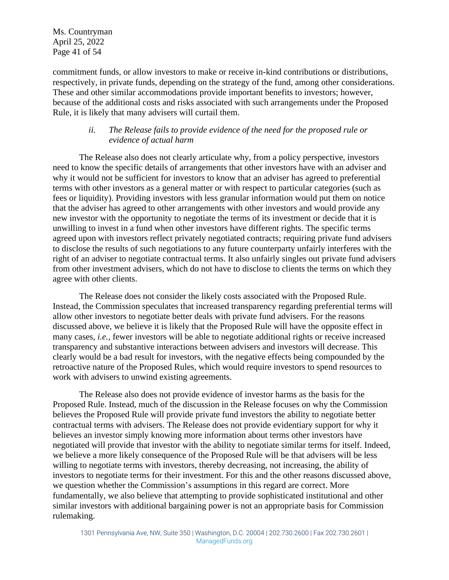Ms. Countryman April 25, 2022 Page 41 of 54

commitment funds, or allow investors to make or receive in-kind contributions or distributions, respectively, in private funds, depending on the strategy of the fund, among other considerations. These and other similar accommodations provide important benefits to investors; however, because of the additional costs and risks associated with such arrangements under the Proposed Rule, it is likely that many advisers will curtail them.

#### *ii. The Release fails to provide evidence of the need for the proposed rule or evidence of actual harm*

The Release also does not clearly articulate why, from a policy perspective, investors need to know the specific details of arrangements that other investors have with an adviser and why it would not be sufficient for investors to know that an adviser has agreed to preferential terms with other investors as a general matter or with respect to particular categories (such as fees or liquidity). Providing investors with less granular information would put them on notice that the adviser has agreed to other arrangements with other investors and would provide any new investor with the opportunity to negotiate the terms of its investment or decide that it is unwilling to invest in a fund when other investors have different rights. The specific terms agreed upon with investors reflect privately negotiated contracts; requiring private fund advisers to disclose the results of such negotiations to any future counterparty unfairly interferes with the right of an adviser to negotiate contractual terms. It also unfairly singles out private fund advisers from other investment advisers, which do not have to disclose to clients the terms on which they agree with other clients.

The Release does not consider the likely costs associated with the Proposed Rule. Instead, the Commission speculates that increased transparency regarding preferential terms will allow other investors to negotiate better deals with private fund advisers. For the reasons discussed above, we believe it is likely that the Proposed Rule will have the opposite effect in many cases, *i.e.,* fewer investors will be able to negotiate additional rights or receive increased transparency and substantive interactions between advisers and investors will decrease. This clearly would be a bad result for investors, with the negative effects being compounded by the retroactive nature of the Proposed Rules, which would require investors to spend resources to work with advisers to unwind existing agreements.

The Release also does not provide evidence of investor harms as the basis for the Proposed Rule. Instead, much of the discussion in the Release focuses on why the Commission believes the Proposed Rule will provide private fund investors the ability to negotiate better contractual terms with advisers. The Release does not provide evidentiary support for why it believes an investor simply knowing more information about terms other investors have negotiated will provide that investor with the ability to negotiate similar terms for itself. Indeed, we believe a more likely consequence of the Proposed Rule will be that advisers will be less willing to negotiate terms with investors, thereby decreasing, not increasing, the ability of investors to negotiate terms for their investment. For this and the other reasons discussed above, we question whether the Commission's assumptions in this regard are correct. More fundamentally, we also believe that attempting to provide sophisticated institutional and other similar investors with additional bargaining power is not an appropriate basis for Commission rulemaking.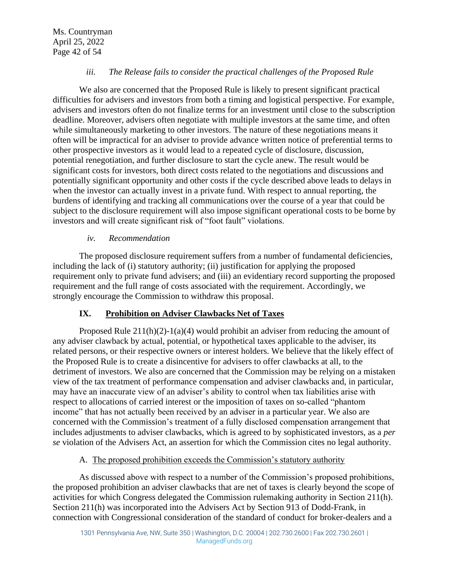Ms. Countryman April 25, 2022 Page 42 of 54

#### *iii. The Release fails to consider the practical challenges of the Proposed Rule*

We also are concerned that the Proposed Rule is likely to present significant practical difficulties for advisers and investors from both a timing and logistical perspective. For example, advisers and investors often do not finalize terms for an investment until close to the subscription deadline. Moreover, advisers often negotiate with multiple investors at the same time, and often while simultaneously marketing to other investors. The nature of these negotiations means it often will be impractical for an adviser to provide advance written notice of preferential terms to other prospective investors as it would lead to a repeated cycle of disclosure, discussion, potential renegotiation, and further disclosure to start the cycle anew. The result would be significant costs for investors, both direct costs related to the negotiations and discussions and potentially significant opportunity and other costs if the cycle described above leads to delays in when the investor can actually invest in a private fund. With respect to annual reporting, the burdens of identifying and tracking all communications over the course of a year that could be subject to the disclosure requirement will also impose significant operational costs to be borne by investors and will create significant risk of "foot fault" violations.

#### *iv. Recommendation*

The proposed disclosure requirement suffers from a number of fundamental deficiencies, including the lack of (i) statutory authority; (ii) justification for applying the proposed requirement only to private fund advisers; and (iii) an evidentiary record supporting the proposed requirement and the full range of costs associated with the requirement. Accordingly, we strongly encourage the Commission to withdraw this proposal.

#### **IX. Prohibition on Adviser Clawbacks Net of Taxes**

Proposed Rule  $211(h)(2)-1(a)(4)$  would prohibit an adviser from reducing the amount of any adviser clawback by actual, potential, or hypothetical taxes applicable to the adviser, its related persons, or their respective owners or interest holders. We believe that the likely effect of the Proposed Rule is to create a disincentive for advisers to offer clawbacks at all, to the detriment of investors. We also are concerned that the Commission may be relying on a mistaken view of the tax treatment of performance compensation and adviser clawbacks and, in particular, may have an inaccurate view of an adviser's ability to control when tax liabilities arise with respect to allocations of carried interest or the imposition of taxes on so-called "phantom income" that has not actually been received by an adviser in a particular year. We also are concerned with the Commission's treatment of a fully disclosed compensation arrangement that includes adjustments to adviser clawbacks, which is agreed to by sophisticated investors, as a *per se* violation of the Advisers Act, an assertion for which the Commission cites no legal authority.

#### A. The proposed prohibition exceeds the Commission's statutory authority

As discussed above with respect to a number of the Commission's proposed prohibitions, the proposed prohibition an adviser clawbacks that are net of taxes is clearly beyond the scope of activities for which Congress delegated the Commission rulemaking authority in Section 211(h). Section 211(h) was incorporated into the Advisers Act by Section 913 of Dodd-Frank, in connection with Congressional consideration of the standard of conduct for broker-dealers and a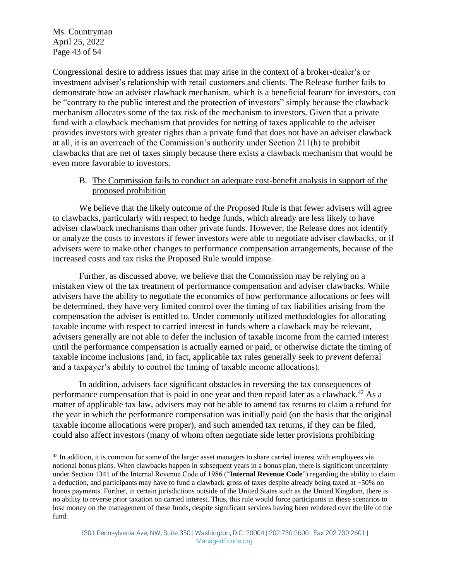Ms. Countryman April 25, 2022 Page 43 of 54

Congressional desire to address issues that may arise in the context of a broker-dealer's or investment adviser's relationship with retail customers and clients. The Release further fails to demonstrate how an adviser clawback mechanism, which is a beneficial feature for investors, can be "contrary to the public interest and the protection of investors" simply because the clawback mechanism allocates some of the tax risk of the mechanism to investors. Given that a private fund with a clawback mechanism that provides for netting of taxes applicable to the adviser provides investors with greater rights than a private fund that does not have an adviser clawback at all, it is an overreach of the Commission's authority under Section 211(h) to prohibit clawbacks that are net of taxes simply because there exists a clawback mechanism that would be even more favorable to investors.

#### B. The Commission fails to conduct an adequate cost-benefit analysis in support of the proposed prohibition

We believe that the likely outcome of the Proposed Rule is that fewer advisers will agree to clawbacks, particularly with respect to hedge funds, which already are less likely to have adviser clawback mechanisms than other private funds. However, the Release does not identify or analyze the costs to investors if fewer investors were able to negotiate adviser clawbacks, or if advisers were to make other changes to performance compensation arrangements, because of the increased costs and tax risks the Proposed Rule would impose.

Further, as discussed above, we believe that the Commission may be relying on a mistaken view of the tax treatment of performance compensation and adviser clawbacks. While advisers have the ability to negotiate the economics of how performance allocations or fees will be determined, they have very limited control over the timing of tax liabilities arising from the compensation the adviser is entitled to. Under commonly utilized methodologies for allocating taxable income with respect to carried interest in funds where a clawback may be relevant, advisers generally are not able to defer the inclusion of taxable income from the carried interest until the performance compensation is actually earned or paid, or otherwise dictate the timing of taxable income inclusions (and, in fact, applicable tax rules generally seek to *prevent* deferral and a taxpayer's ability to control the timing of taxable income allocations).

In addition, advisers face significant obstacles in reversing the tax consequences of performance compensation that is paid in one year and then repaid later as a clawback.<sup>42</sup> As a matter of applicable tax law, advisers may not be able to amend tax returns to claim a refund for the year in which the performance compensation was initially paid (on the basis that the original taxable income allocations were proper), and such amended tax returns, if they can be filed, could also affect investors (many of whom often negotiate side letter provisions prohibiting

 $42$  In addition, it is common for some of the larger asset managers to share carried interest with employees via notional bonus plans. When clawbacks happen in subsequent years in a bonus plan, there is significant uncertainty under Section 1341 of the Internal Revenue Code of 1986 ("**Internal Revenue Code**") regarding the ability to claim a deduction, and participants may have to fund a clawback gross of taxes despite already being taxed at ~50% on bonus payments. Further, in certain jurisdictions outside of the United States such as the United Kingdom, there is no ability to reverse prior taxation on carried interest. Thus, this rule would force participants in these scenarios to lose money on the management of these funds, despite significant services having been rendered over the life of the fund.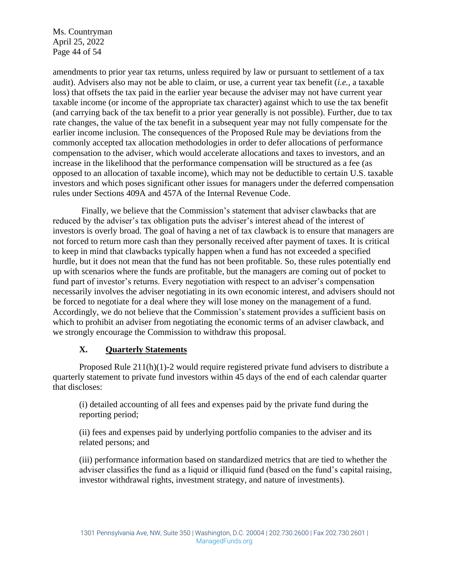Ms. Countryman April 25, 2022 Page 44 of 54

amendments to prior year tax returns, unless required by law or pursuant to settlement of a tax audit). Advisers also may not be able to claim, or use, a current year tax benefit (*i.e.*, a taxable loss) that offsets the tax paid in the earlier year because the adviser may not have current year taxable income (or income of the appropriate tax character) against which to use the tax benefit (and carrying back of the tax benefit to a prior year generally is not possible). Further, due to tax rate changes, the value of the tax benefit in a subsequent year may not fully compensate for the earlier income inclusion. The consequences of the Proposed Rule may be deviations from the commonly accepted tax allocation methodologies in order to defer allocations of performance compensation to the adviser, which would accelerate allocations and taxes to investors, and an increase in the likelihood that the performance compensation will be structured as a fee (as opposed to an allocation of taxable income), which may not be deductible to certain U.S. taxable investors and which poses significant other issues for managers under the deferred compensation rules under Sections 409A and 457A of the Internal Revenue Code.

Finally, we believe that the Commission's statement that adviser clawbacks that are reduced by the adviser's tax obligation puts the adviser's interest ahead of the interest of investors is overly broad. The goal of having a net of tax clawback is to ensure that managers are not forced to return more cash than they personally received after payment of taxes. It is critical to keep in mind that clawbacks typically happen when a fund has not exceeded a specified hurdle, but it does not mean that the fund has not been profitable. So, these rules potentially end up with scenarios where the funds are profitable, but the managers are coming out of pocket to fund part of investor's returns. Every negotiation with respect to an adviser's compensation necessarily involves the adviser negotiating in its own economic interest, and advisers should not be forced to negotiate for a deal where they will lose money on the management of a fund. Accordingly, we do not believe that the Commission's statement provides a sufficient basis on which to prohibit an adviser from negotiating the economic terms of an adviser clawback, and we strongly encourage the Commission to withdraw this proposal.

#### **X. Quarterly Statements**

Proposed Rule 211(h)(1)-2 would require registered private fund advisers to distribute a quarterly statement to private fund investors within 45 days of the end of each calendar quarter that discloses:

(i) detailed accounting of all fees and expenses paid by the private fund during the reporting period;

(ii) fees and expenses paid by underlying portfolio companies to the adviser and its related persons; and

(iii) performance information based on standardized metrics that are tied to whether the adviser classifies the fund as a liquid or illiquid fund (based on the fund's capital raising, investor withdrawal rights, investment strategy, and nature of investments).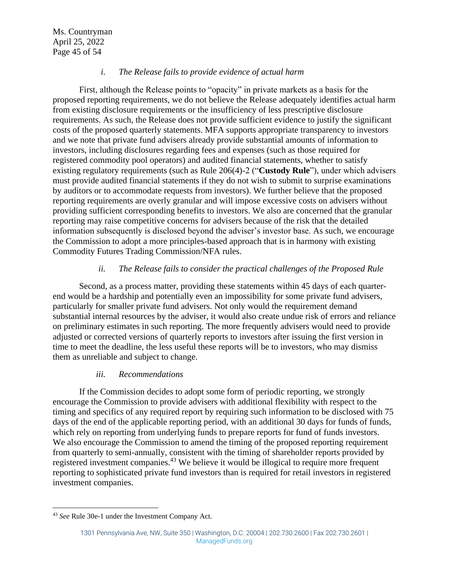#### *i. The Release fails to provide evidence of actual harm*

First, although the Release points to "opacity" in private markets as a basis for the proposed reporting requirements, we do not believe the Release adequately identifies actual harm from existing disclosure requirements or the insufficiency of less prescriptive disclosure requirements. As such, the Release does not provide sufficient evidence to justify the significant costs of the proposed quarterly statements. MFA supports appropriate transparency to investors and we note that private fund advisers already provide substantial amounts of information to investors, including disclosures regarding fees and expenses (such as those required for registered commodity pool operators) and audited financial statements, whether to satisfy existing regulatory requirements (such as Rule 206(4)-2 ("**Custody Rule**"), under which advisers must provide audited financial statements if they do not wish to submit to surprise examinations by auditors or to accommodate requests from investors). We further believe that the proposed reporting requirements are overly granular and will impose excessive costs on advisers without providing sufficient corresponding benefits to investors. We also are concerned that the granular reporting may raise competitive concerns for advisers because of the risk that the detailed information subsequently is disclosed beyond the adviser's investor base. As such, we encourage the Commission to adopt a more principles-based approach that is in harmony with existing Commodity Futures Trading Commission/NFA rules.

#### *ii. The Release fails to consider the practical challenges of the Proposed Rule*

Second, as a process matter, providing these statements within 45 days of each quarterend would be a hardship and potentially even an impossibility for some private fund advisers, particularly for smaller private fund advisers. Not only would the requirement demand substantial internal resources by the adviser, it would also create undue risk of errors and reliance on preliminary estimates in such reporting. The more frequently advisers would need to provide adjusted or corrected versions of quarterly reports to investors after issuing the first version in time to meet the deadline, the less useful these reports will be to investors, who may dismiss them as unreliable and subject to change.

#### *iii. Recommendations*

If the Commission decides to adopt some form of periodic reporting, we strongly encourage the Commission to provide advisers with additional flexibility with respect to the timing and specifics of any required report by requiring such information to be disclosed with 75 days of the end of the applicable reporting period, with an additional 30 days for funds of funds, which rely on reporting from underlying funds to prepare reports for fund of funds investors. We also encourage the Commission to amend the timing of the proposed reporting requirement from quarterly to semi-annually, consistent with the timing of shareholder reports provided by registered investment companies.<sup>43</sup> We believe it would be illogical to require more frequent reporting to sophisticated private fund investors than is required for retail investors in registered investment companies.

<sup>43</sup> *See* Rule 30e-1 under the Investment Company Act.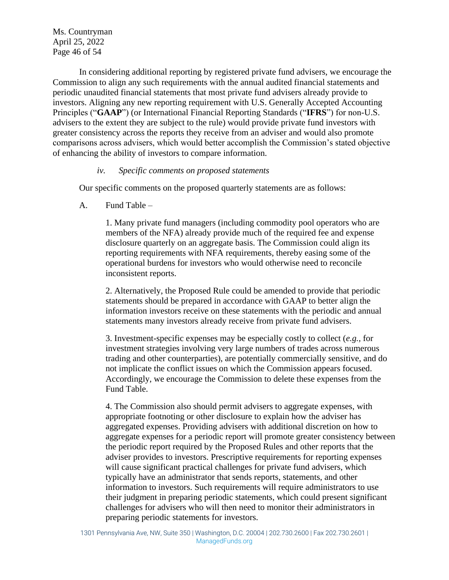Ms. Countryman April 25, 2022 Page 46 of 54

In considering additional reporting by registered private fund advisers, we encourage the Commission to align any such requirements with the annual audited financial statements and periodic unaudited financial statements that most private fund advisers already provide to investors. Aligning any new reporting requirement with U.S. Generally Accepted Accounting Principles ("**GAAP**") (or International Financial Reporting Standards ("**IFRS**") for non-U.S. advisers to the extent they are subject to the rule) would provide private fund investors with greater consistency across the reports they receive from an adviser and would also promote comparisons across advisers, which would better accomplish the Commission's stated objective of enhancing the ability of investors to compare information.

#### *iv. Specific comments on proposed statements*

Our specific comments on the proposed quarterly statements are as follows:

A. Fund Table –

1. Many private fund managers (including commodity pool operators who are members of the NFA) already provide much of the required fee and expense disclosure quarterly on an aggregate basis. The Commission could align its reporting requirements with NFA requirements, thereby easing some of the operational burdens for investors who would otherwise need to reconcile inconsistent reports.

2. Alternatively, the Proposed Rule could be amended to provide that periodic statements should be prepared in accordance with GAAP to better align the information investors receive on these statements with the periodic and annual statements many investors already receive from private fund advisers.

3. Investment-specific expenses may be especially costly to collect (*e.g.,* for investment strategies involving very large numbers of trades across numerous trading and other counterparties), are potentially commercially sensitive, and do not implicate the conflict issues on which the Commission appears focused. Accordingly, we encourage the Commission to delete these expenses from the Fund Table.

4. The Commission also should permit advisers to aggregate expenses, with appropriate footnoting or other disclosure to explain how the adviser has aggregated expenses. Providing advisers with additional discretion on how to aggregate expenses for a periodic report will promote greater consistency between the periodic report required by the Proposed Rules and other reports that the adviser provides to investors. Prescriptive requirements for reporting expenses will cause significant practical challenges for private fund advisers, which typically have an administrator that sends reports, statements, and other information to investors. Such requirements will require administrators to use their judgment in preparing periodic statements, which could present significant challenges for advisers who will then need to monitor their administrators in preparing periodic statements for investors.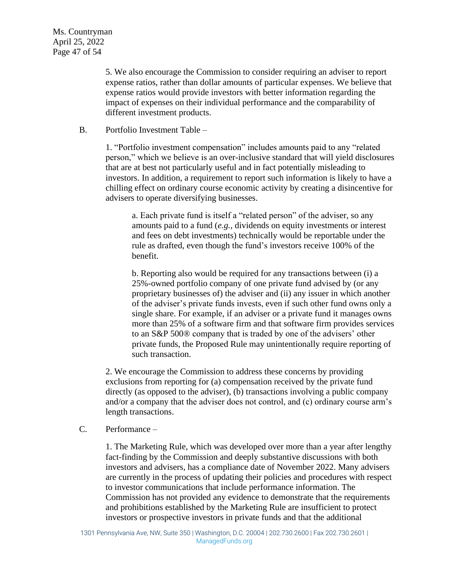5. We also encourage the Commission to consider requiring an adviser to report expense ratios, rather than dollar amounts of particular expenses. We believe that expense ratios would provide investors with better information regarding the impact of expenses on their individual performance and the comparability of different investment products.

#### B. Portfolio Investment Table –

1. "Portfolio investment compensation" includes amounts paid to any "related person," which we believe is an over-inclusive standard that will yield disclosures that are at best not particularly useful and in fact potentially misleading to investors. In addition, a requirement to report such information is likely to have a chilling effect on ordinary course economic activity by creating a disincentive for advisers to operate diversifying businesses.

a. Each private fund is itself a "related person" of the adviser, so any amounts paid to a fund (*e.g.*, dividends on equity investments or interest and fees on debt investments) technically would be reportable under the rule as drafted, even though the fund's investors receive 100% of the benefit.

b. Reporting also would be required for any transactions between (i) a 25%-owned portfolio company of one private fund advised by (or any proprietary businesses of) the adviser and (ii) any issuer in which another of the adviser's private funds invests, even if such other fund owns only a single share. For example, if an adviser or a private fund it manages owns more than 25% of a software firm and that software firm provides services to an S&P 500® company that is traded by one of the advisers' other private funds, the Proposed Rule may unintentionally require reporting of such transaction.

2. We encourage the Commission to address these concerns by providing exclusions from reporting for (a) compensation received by the private fund directly (as opposed to the adviser), (b) transactions involving a public company and/or a company that the adviser does not control, and (c) ordinary course arm's length transactions.

#### C. Performance –

1. The Marketing Rule, which was developed over more than a year after lengthy fact-finding by the Commission and deeply substantive discussions with both investors and advisers, has a compliance date of November 2022. Many advisers are currently in the process of updating their policies and procedures with respect to investor communications that include performance information. The Commission has not provided any evidence to demonstrate that the requirements and prohibitions established by the Marketing Rule are insufficient to protect investors or prospective investors in private funds and that the additional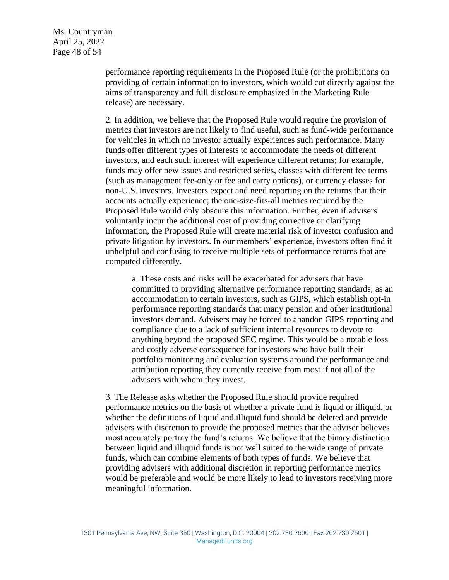Ms. Countryman April 25, 2022 Page 48 of 54

> performance reporting requirements in the Proposed Rule (or the prohibitions on providing of certain information to investors, which would cut directly against the aims of transparency and full disclosure emphasized in the Marketing Rule release) are necessary.

> 2. In addition, we believe that the Proposed Rule would require the provision of metrics that investors are not likely to find useful, such as fund-wide performance for vehicles in which no investor actually experiences such performance. Many funds offer different types of interests to accommodate the needs of different investors, and each such interest will experience different returns; for example, funds may offer new issues and restricted series, classes with different fee terms (such as management fee-only or fee and carry options), or currency classes for non-U.S. investors. Investors expect and need reporting on the returns that their accounts actually experience; the one-size-fits-all metrics required by the Proposed Rule would only obscure this information. Further, even if advisers voluntarily incur the additional cost of providing corrective or clarifying information, the Proposed Rule will create material risk of investor confusion and private litigation by investors. In our members' experience, investors often find it unhelpful and confusing to receive multiple sets of performance returns that are computed differently.

a. These costs and risks will be exacerbated for advisers that have committed to providing alternative performance reporting standards, as an accommodation to certain investors, such as GIPS, which establish opt-in performance reporting standards that many pension and other institutional investors demand. Advisers may be forced to abandon GIPS reporting and compliance due to a lack of sufficient internal resources to devote to anything beyond the proposed SEC regime. This would be a notable loss and costly adverse consequence for investors who have built their portfolio monitoring and evaluation systems around the performance and attribution reporting they currently receive from most if not all of the advisers with whom they invest.

3. The Release asks whether the Proposed Rule should provide required performance metrics on the basis of whether a private fund is liquid or illiquid, or whether the definitions of liquid and illiquid fund should be deleted and provide advisers with discretion to provide the proposed metrics that the adviser believes most accurately portray the fund's returns. We believe that the binary distinction between liquid and illiquid funds is not well suited to the wide range of private funds, which can combine elements of both types of funds. We believe that providing advisers with additional discretion in reporting performance metrics would be preferable and would be more likely to lead to investors receiving more meaningful information.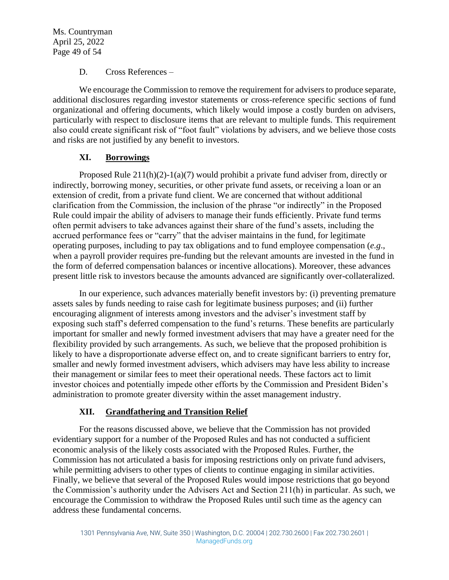Ms. Countryman April 25, 2022 Page 49 of 54

#### D. Cross References –

We encourage the Commission to remove the requirement for advisers to produce separate, additional disclosures regarding investor statements or cross-reference specific sections of fund organizational and offering documents, which likely would impose a costly burden on advisers, particularly with respect to disclosure items that are relevant to multiple funds. This requirement also could create significant risk of "foot fault" violations by advisers, and we believe those costs and risks are not justified by any benefit to investors.

#### **XI. Borrowings**

Proposed Rule  $211(h)(2)-1(a)(7)$  would prohibit a private fund adviser from, directly or indirectly, borrowing money, securities, or other private fund assets, or receiving a loan or an extension of credit, from a private fund client. We are concerned that without additional clarification from the Commission, the inclusion of the phrase "or indirectly" in the Proposed Rule could impair the ability of advisers to manage their funds efficiently. Private fund terms often permit advisers to take advances against their share of the fund's assets, including the accrued performance fees or "carry" that the adviser maintains in the fund, for legitimate operating purposes, including to pay tax obligations and to fund employee compensation (*e.g*., when a payroll provider requires pre-funding but the relevant amounts are invested in the fund in the form of deferred compensation balances or incentive allocations). Moreover, these advances present little risk to investors because the amounts advanced are significantly over-collateralized.

In our experience, such advances materially benefit investors by: (i) preventing premature assets sales by funds needing to raise cash for legitimate business purposes; and (ii) further encouraging alignment of interests among investors and the adviser's investment staff by exposing such staff's deferred compensation to the fund's returns. These benefits are particularly important for smaller and newly formed investment advisers that may have a greater need for the flexibility provided by such arrangements. As such, we believe that the proposed prohibition is likely to have a disproportionate adverse effect on, and to create significant barriers to entry for, smaller and newly formed investment advisers, which advisers may have less ability to increase their management or similar fees to meet their operational needs. These factors act to limit investor choices and potentially impede other efforts by the Commission and President Biden's administration to promote greater diversity within the asset management industry.

#### **XII. Grandfathering and Transition Relief**

For the reasons discussed above, we believe that the Commission has not provided evidentiary support for a number of the Proposed Rules and has not conducted a sufficient economic analysis of the likely costs associated with the Proposed Rules. Further, the Commission has not articulated a basis for imposing restrictions only on private fund advisers, while permitting advisers to other types of clients to continue engaging in similar activities. Finally, we believe that several of the Proposed Rules would impose restrictions that go beyond the Commission's authority under the Advisers Act and Section 211(h) in particular. As such, we encourage the Commission to withdraw the Proposed Rules until such time as the agency can address these fundamental concerns.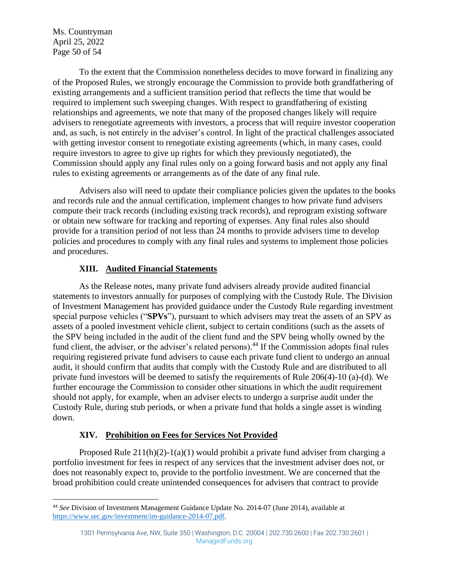Ms. Countryman April 25, 2022 Page 50 of 54

To the extent that the Commission nonetheless decides to move forward in finalizing any of the Proposed Rules, we strongly encourage the Commission to provide both grandfathering of existing arrangements and a sufficient transition period that reflects the time that would be required to implement such sweeping changes. With respect to grandfathering of existing relationships and agreements, we note that many of the proposed changes likely will require advisers to renegotiate agreements with investors, a process that will require investor cooperation and, as such, is not entirely in the adviser's control. In light of the practical challenges associated with getting investor consent to renegotiate existing agreements (which, in many cases, could require investors to agree to give up rights for which they previously negotiated), the Commission should apply any final rules only on a going forward basis and not apply any final rules to existing agreements or arrangements as of the date of any final rule.

Advisers also will need to update their compliance policies given the updates to the books and records rule and the annual certification, implement changes to how private fund advisers compute their track records (including existing track records), and reprogram existing software or obtain new software for tracking and reporting of expenses. Any final rules also should provide for a transition period of not less than 24 months to provide advisers time to develop policies and procedures to comply with any final rules and systems to implement those policies and procedures.

#### **XIII. Audited Financial Statements**

As the Release notes, many private fund advisers already provide audited financial statements to investors annually for purposes of complying with the Custody Rule. The Division of Investment Management has provided guidance under the Custody Rule regarding investment special purpose vehicles ("**SPVs**"), pursuant to which advisers may treat the assets of an SPV as assets of a pooled investment vehicle client, subject to certain conditions (such as the assets of the SPV being included in the audit of the client fund and the SPV being wholly owned by the fund client, the adviser, or the adviser's related persons).<sup>44</sup> If the Commission adopts final rules requiring registered private fund advisers to cause each private fund client to undergo an annual audit, it should confirm that audits that comply with the Custody Rule and are distributed to all private fund investors will be deemed to satisfy the requirements of Rule 206(4)-10 (a)-(d). We further encourage the Commission to consider other situations in which the audit requirement should not apply, for example, when an adviser elects to undergo a surprise audit under the Custody Rule, during stub periods, or when a private fund that holds a single asset is winding down.

#### **XIV. Prohibition on Fees for Services Not Provided**

Proposed Rule  $211(h)(2)-1(a)(1)$  would prohibit a private fund adviser from charging a portfolio investment for fees in respect of any services that the investment adviser does not, or does not reasonably expect to, provide to the portfolio investment. We are concerned that the broad prohibition could create unintended consequences for advisers that contract to provide

<sup>44</sup> *See* Division of Investment Management Guidance Update No. 2014-07 (June 2014), available at [https://www.sec.gov/investment/im-guidance-2014-07.pdf.](https://www.sec.gov/investment/im-guidance-2014-07.pdf)

<sup>1301</sup> Pennsylvania Ave, NW, Suite 350 | Washington, D.C. 20004 | 202.730.2600 | Fax 202.730.2601 | ManagedFunds.org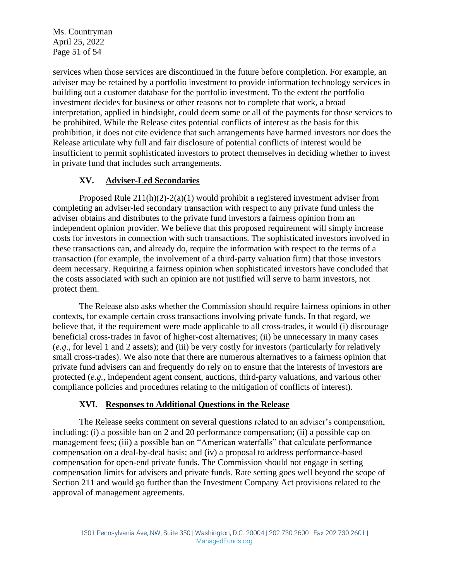Ms. Countryman April 25, 2022 Page 51 of 54

services when those services are discontinued in the future before completion. For example, an adviser may be retained by a portfolio investment to provide information technology services in building out a customer database for the portfolio investment. To the extent the portfolio investment decides for business or other reasons not to complete that work, a broad interpretation, applied in hindsight, could deem some or all of the payments for those services to be prohibited. While the Release cites potential conflicts of interest as the basis for this prohibition, it does not cite evidence that such arrangements have harmed investors nor does the Release articulate why full and fair disclosure of potential conflicts of interest would be insufficient to permit sophisticated investors to protect themselves in deciding whether to invest in private fund that includes such arrangements.

#### **XV. Adviser-Led Secondaries**

Proposed Rule 211(h)(2)-2(a)(1) would prohibit a registered investment adviser from completing an adviser-led secondary transaction with respect to any private fund unless the adviser obtains and distributes to the private fund investors a fairness opinion from an independent opinion provider. We believe that this proposed requirement will simply increase costs for investors in connection with such transactions. The sophisticated investors involved in these transactions can, and already do, require the information with respect to the terms of a transaction (for example, the involvement of a third-party valuation firm) that those investors deem necessary. Requiring a fairness opinion when sophisticated investors have concluded that the costs associated with such an opinion are not justified will serve to harm investors, not protect them.

The Release also asks whether the Commission should require fairness opinions in other contexts, for example certain cross transactions involving private funds. In that regard, we believe that, if the requirement were made applicable to all cross-trades, it would (i) discourage beneficial cross-trades in favor of higher-cost alternatives; (ii) be unnecessary in many cases (*e.g*., for level 1 and 2 assets); and (iii) be very costly for investors (particularly for relatively small cross-trades). We also note that there are numerous alternatives to a fairness opinion that private fund advisers can and frequently do rely on to ensure that the interests of investors are protected (*e.g.,* independent agent consent, auctions, third-party valuations, and various other compliance policies and procedures relating to the mitigation of conflicts of interest).

#### **XVI. Responses to Additional Questions in the Release**

The Release seeks comment on several questions related to an adviser's compensation, including: (i) a possible ban on 2 and 20 performance compensation; (ii) a possible cap on management fees; (iii) a possible ban on "American waterfalls" that calculate performance compensation on a deal-by-deal basis; and (iv) a proposal to address performance-based compensation for open-end private funds. The Commission should not engage in setting compensation limits for advisers and private funds. Rate setting goes well beyond the scope of Section 211 and would go further than the Investment Company Act provisions related to the approval of management agreements.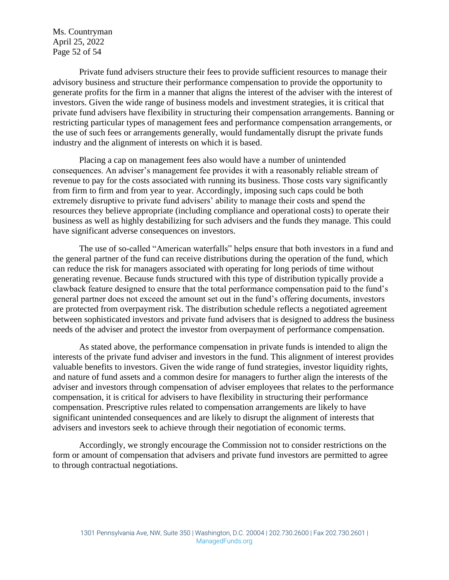Ms. Countryman April 25, 2022 Page 52 of 54

Private fund advisers structure their fees to provide sufficient resources to manage their advisory business and structure their performance compensation to provide the opportunity to generate profits for the firm in a manner that aligns the interest of the adviser with the interest of investors. Given the wide range of business models and investment strategies, it is critical that private fund advisers have flexibility in structuring their compensation arrangements. Banning or restricting particular types of management fees and performance compensation arrangements, or the use of such fees or arrangements generally, would fundamentally disrupt the private funds industry and the alignment of interests on which it is based.

Placing a cap on management fees also would have a number of unintended consequences. An adviser's management fee provides it with a reasonably reliable stream of revenue to pay for the costs associated with running its business. Those costs vary significantly from firm to firm and from year to year. Accordingly, imposing such caps could be both extremely disruptive to private fund advisers' ability to manage their costs and spend the resources they believe appropriate (including compliance and operational costs) to operate their business as well as highly destabilizing for such advisers and the funds they manage. This could have significant adverse consequences on investors.

The use of so-called "American waterfalls" helps ensure that both investors in a fund and the general partner of the fund can receive distributions during the operation of the fund, which can reduce the risk for managers associated with operating for long periods of time without generating revenue. Because funds structured with this type of distribution typically provide a clawback feature designed to ensure that the total performance compensation paid to the fund's general partner does not exceed the amount set out in the fund's offering documents, investors are protected from overpayment risk. The distribution schedule reflects a negotiated agreement between sophisticated investors and private fund advisers that is designed to address the business needs of the adviser and protect the investor from overpayment of performance compensation.

As stated above, the performance compensation in private funds is intended to align the interests of the private fund adviser and investors in the fund. This alignment of interest provides valuable benefits to investors. Given the wide range of fund strategies, investor liquidity rights, and nature of fund assets and a common desire for managers to further align the interests of the adviser and investors through compensation of adviser employees that relates to the performance compensation, it is critical for advisers to have flexibility in structuring their performance compensation. Prescriptive rules related to compensation arrangements are likely to have significant unintended consequences and are likely to disrupt the alignment of interests that advisers and investors seek to achieve through their negotiation of economic terms.

Accordingly, we strongly encourage the Commission not to consider restrictions on the form or amount of compensation that advisers and private fund investors are permitted to agree to through contractual negotiations.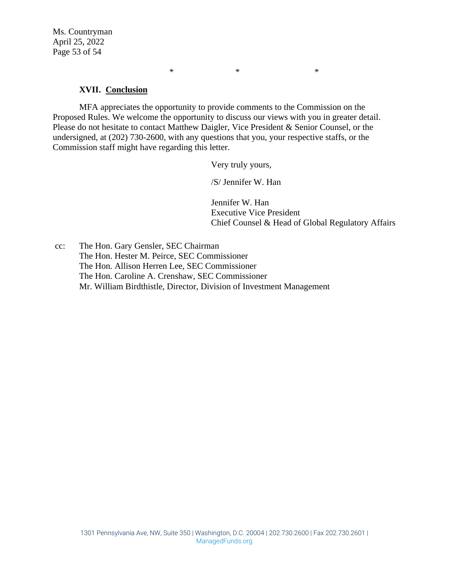Ms. Countryman April 25, 2022 Page 53 of 54

#### **XVII. Conclusion**

MFA appreciates the opportunity to provide comments to the Commission on the Proposed Rules. We welcome the opportunity to discuss our views with you in greater detail. Please do not hesitate to contact Matthew Daigler, Vice President & Senior Counsel, or the undersigned, at (202) 730-2600, with any questions that you, your respective staffs, or the Commission staff might have regarding this letter.

Very truly yours,

 $*$   $*$ 

/S/ Jennifer W. Han

Jennifer W. Han Executive Vice President Chief Counsel & Head of Global Regulatory Affairs

cc: The Hon. Gary Gensler, SEC Chairman The Hon. Hester M. Peirce, SEC Commissioner The Hon. Allison Herren Lee, SEC Commissioner The Hon. Caroline A. Crenshaw, SEC Commissioner Mr. William Birdthistle, Director, Division of Investment Management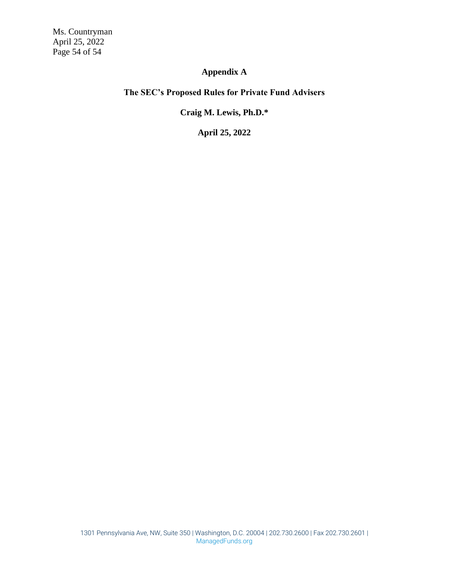Ms. Countryman April 25, 2022 Page 54 of 54

# **Appendix A**

#### **The SEC's Proposed Rules for Private Fund Advisers**

#### **Craig M. Lewis, Ph.D.\***

**April 25, 2022**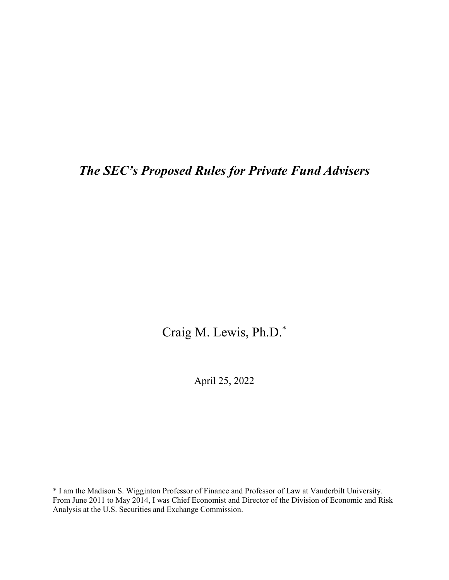# *The SEC's Proposed Rules for Private Fund Advisers*

Craig M. Lewis, Ph.D.\*

April 25, 2022

\* I am the Madison S. Wigginton Professor of Finance and Professor of Law at Vanderbilt University. From June 2011 to May 2014, I was Chief Economist and Director of the Division of Economic and Risk Analysis at the U.S. Securities and Exchange Commission.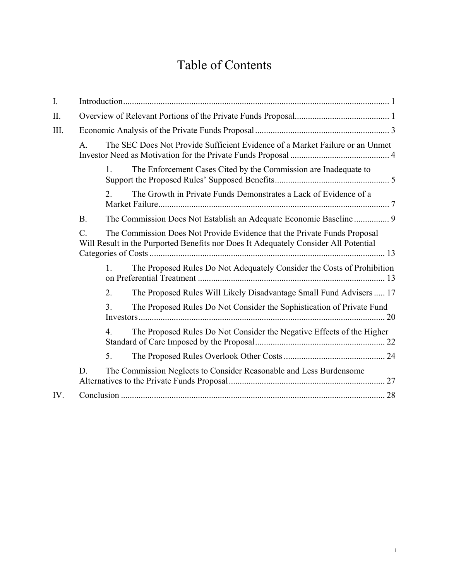# Table of Contents

| I.   |                                                                          |                                                                                                                                                                 |                                                                        |  |
|------|--------------------------------------------------------------------------|-----------------------------------------------------------------------------------------------------------------------------------------------------------------|------------------------------------------------------------------------|--|
| II.  |                                                                          |                                                                                                                                                                 |                                                                        |  |
| III. |                                                                          |                                                                                                                                                                 |                                                                        |  |
|      | $\mathsf{A}$ .                                                           | The SEC Does Not Provide Sufficient Evidence of a Market Failure or an Unmet                                                                                    |                                                                        |  |
|      |                                                                          | 1.                                                                                                                                                              | The Enforcement Cases Cited by the Commission are Inadequate to        |  |
|      |                                                                          | 2.                                                                                                                                                              | The Growth in Private Funds Demonstrates a Lack of Evidence of a       |  |
|      | <b>B.</b>                                                                |                                                                                                                                                                 | The Commission Does Not Establish an Adequate Economic Baseline  9     |  |
|      | $\mathcal{C}$ .                                                          | The Commission Does Not Provide Evidence that the Private Funds Proposal<br>Will Result in the Purported Benefits nor Does It Adequately Consider All Potential |                                                                        |  |
|      |                                                                          | 1.                                                                                                                                                              | The Proposed Rules Do Not Adequately Consider the Costs of Prohibition |  |
|      |                                                                          | 2.                                                                                                                                                              | The Proposed Rules Will Likely Disadvantage Small Fund Advisers  17    |  |
|      |                                                                          | 3.                                                                                                                                                              | The Proposed Rules Do Not Consider the Sophistication of Private Fund  |  |
|      |                                                                          | 4.                                                                                                                                                              | The Proposed Rules Do Not Consider the Negative Effects of the Higher  |  |
|      |                                                                          | 5.                                                                                                                                                              |                                                                        |  |
|      | The Commission Neglects to Consider Reasonable and Less Burdensome<br>D. |                                                                                                                                                                 |                                                                        |  |
| IV.  |                                                                          |                                                                                                                                                                 |                                                                        |  |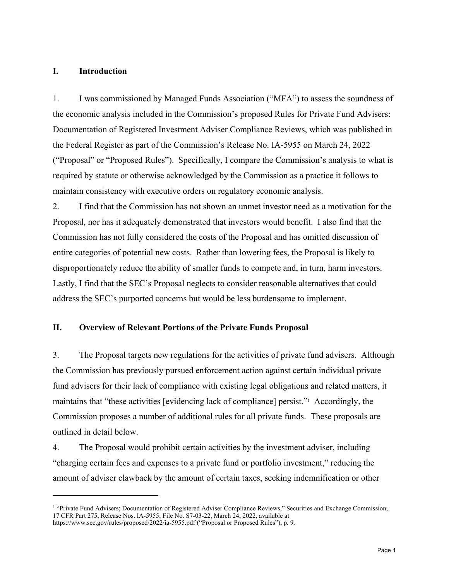#### **I. Introduction**

 $\overline{a}$ 

1. I was commissioned by Managed Funds Association ("MFA") to assess the soundness of the economic analysis included in the Commission's proposed Rules for Private Fund Advisers: Documentation of Registered Investment Adviser Compliance Reviews, which was published in the Federal Register as part of the Commission's Release No. IA-5955 on March 24, 2022 ("Proposal" or "Proposed Rules"). Specifically, I compare the Commission's analysis to what is required by statute or otherwise acknowledged by the Commission as a practice it follows to maintain consistency with executive orders on regulatory economic analysis.

2. I find that the Commission has not shown an unmet investor need as a motivation for the Proposal, nor has it adequately demonstrated that investors would benefit. I also find that the Commission has not fully considered the costs of the Proposal and has omitted discussion of entire categories of potential new costs. Rather than lowering fees, the Proposal is likely to disproportionately reduce the ability of smaller funds to compete and, in turn, harm investors. Lastly, I find that the SEC's Proposal neglects to consider reasonable alternatives that could address the SEC's purported concerns but would be less burdensome to implement.

#### **II. Overview of Relevant Portions of the Private Funds Proposal**

3. The Proposal targets new regulations for the activities of private fund advisers. Although the Commission has previously pursued enforcement action against certain individual private fund advisers for their lack of compliance with existing legal obligations and related matters, it maintains that "these activities [evidencing lack of compliance] persist."1 Accordingly, the Commission proposes a number of additional rules for all private funds. These proposals are outlined in detail below.

4. The Proposal would prohibit certain activities by the investment adviser, including "charging certain fees and expenses to a private fund or portfolio investment," reducing the amount of adviser clawback by the amount of certain taxes, seeking indemnification or other

<sup>&</sup>lt;sup>1</sup> "Private Fund Advisers; Documentation of Registered Adviser Compliance Reviews," Securities and Exchange Commission, 17 CFR Part 275, Release Nos. IA-5955; File No. S7-03-22, March 24, 2022, available at

https://www.sec.gov/rules/proposed/2022/ia-5955.pdf ("Proposal or Proposed Rules"), p. 9.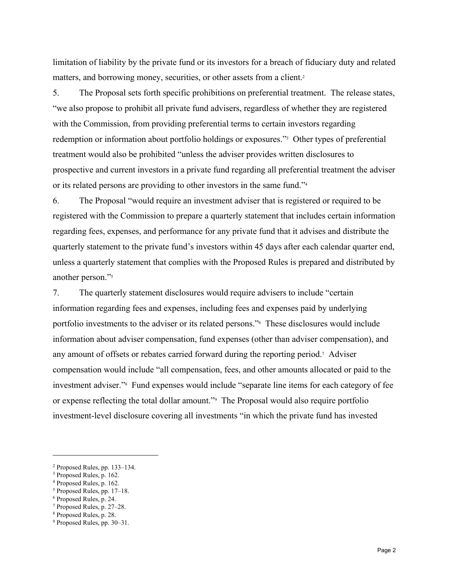limitation of liability by the private fund or its investors for a breach of fiduciary duty and related matters, and borrowing money, securities, or other assets from a client.<sup>2</sup>

5. The Proposal sets forth specific prohibitions on preferential treatment. The release states, "we also propose to prohibit all private fund advisers, regardless of whether they are registered with the Commission, from providing preferential terms to certain investors regarding redemption or information about portfolio holdings or exposures."3 Other types of preferential treatment would also be prohibited "unless the adviser provides written disclosures to prospective and current investors in a private fund regarding all preferential treatment the adviser or its related persons are providing to other investors in the same fund."4

6. The Proposal "would require an investment adviser that is registered or required to be registered with the Commission to prepare a quarterly statement that includes certain information regarding fees, expenses, and performance for any private fund that it advises and distribute the quarterly statement to the private fund's investors within 45 days after each calendar quarter end, unless a quarterly statement that complies with the Proposed Rules is prepared and distributed by another person."5

7. The quarterly statement disclosures would require advisers to include "certain information regarding fees and expenses, including fees and expenses paid by underlying portfolio investments to the adviser or its related persons."6 These disclosures would include information about adviser compensation, fund expenses (other than adviser compensation), and any amount of offsets or rebates carried forward during the reporting period.7 Adviser compensation would include "all compensation, fees, and other amounts allocated or paid to the investment adviser."8 Fund expenses would include "separate line items for each category of fee or expense reflecting the total dollar amount."9 The Proposal would also require portfolio investment-level disclosure covering all investments "in which the private fund has invested

1

<sup>2</sup> Proposed Rules, pp. 133–134.

<sup>&</sup>lt;sup>3</sup> Proposed Rules, p. 162.

<sup>4</sup> Proposed Rules, p. 162.

<sup>5</sup> Proposed Rules, pp. 17–18.

<sup>6</sup> Proposed Rules, p. 24.

<sup>7</sup> Proposed Rules, p. 27–28.

<sup>8</sup> Proposed Rules, p. 28.

<sup>9</sup> Proposed Rules, pp. 30–31.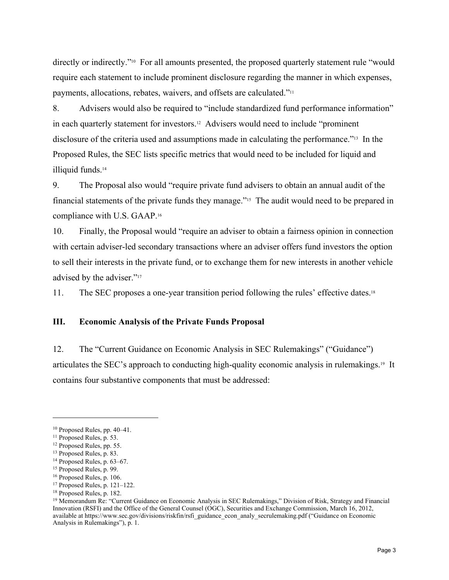directly or indirectly."10 For all amounts presented, the proposed quarterly statement rule "would require each statement to include prominent disclosure regarding the manner in which expenses, payments, allocations, rebates, waivers, and offsets are calculated."11

8. Advisers would also be required to "include standardized fund performance information" in each quarterly statement for investors.12 Advisers would need to include "prominent disclosure of the criteria used and assumptions made in calculating the performance."13 In the Proposed Rules, the SEC lists specific metrics that would need to be included for liquid and illiquid funds.<sup>14</sup>

9. The Proposal also would "require private fund advisers to obtain an annual audit of the financial statements of the private funds they manage."15 The audit would need to be prepared in compliance with U.S. GAAP.16

10. Finally, the Proposal would "require an adviser to obtain a fairness opinion in connection with certain adviser-led secondary transactions where an adviser offers fund investors the option to sell their interests in the private fund, or to exchange them for new interests in another vehicle advised by the adviser."<sup>17</sup>

11. The SEC proposes a one-year transition period following the rules' effective dates.18

#### **III. Economic Analysis of the Private Funds Proposal**

12. The "Current Guidance on Economic Analysis in SEC Rulemakings" ("Guidance") articulates the SEC's approach to conducting high-quality economic analysis in rulemakings.19 It contains four substantive components that must be addressed:

1

<sup>10</sup> Proposed Rules, pp. 40–41.

<sup>11</sup> Proposed Rules, p. 53.

<sup>12</sup> Proposed Rules, pp. 55.

<sup>13</sup> Proposed Rules, p. 83.

<sup>14</sup> Proposed Rules, p. 63–67.

<sup>15</sup> Proposed Rules, p. 99.

<sup>16</sup> Proposed Rules, p. 106.

<sup>17</sup> Proposed Rules, p. 121–122.

<sup>18</sup> Proposed Rules, p. 182.

<sup>&</sup>lt;sup>19</sup> Memorandum Re: "Current Guidance on Economic Analysis in SEC Rulemakings," Division of Risk, Strategy and Financial Innovation (RSFI) and the Office of the General Counsel (OGC), Securities and Exchange Commission, March 16, 2012, available at https://www.sec.gov/divisions/riskfin/rsfi\_guidance\_econ\_analy\_secrulemaking.pdf ("Guidance on Economic Analysis in Rulemakings"), p. 1.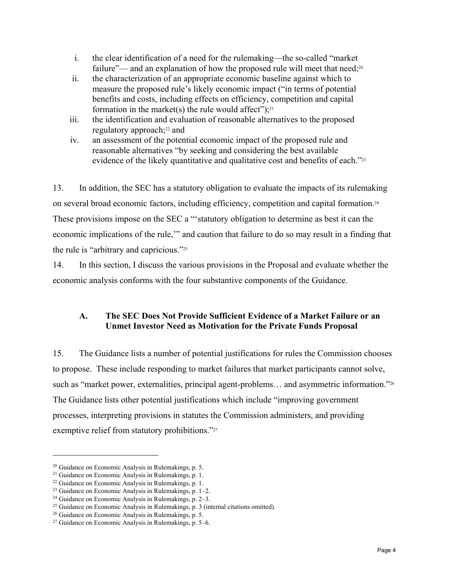- i. the clear identification of a need for the rulemaking—the so-called "market failure"— and an explanation of how the proposed rule will meet that need;<sup>20</sup>
- ii. the characterization of an appropriate economic baseline against which to measure the proposed rule's likely economic impact ("in terms of potential benefits and costs, including effects on efficiency, competition and capital formation in the market(s) the rule would affect"); $21$
- iii. the identification and evaluation of reasonable alternatives to the proposed regulatory approach;22 and
- iv. an assessment of the potential economic impact of the proposed rule and reasonable alternatives "by seeking and considering the best available evidence of the likely quantitative and qualitative cost and benefits of each."23

13. In addition, the SEC has a statutory obligation to evaluate the impacts of its rulemaking on several broad economic factors, including efficiency, competition and capital formation.24 These provisions impose on the SEC a "'statutory obligation to determine as best it can the economic implications of the rule,'" and caution that failure to do so may result in a finding that the rule is "arbitrary and capricious."25

14. In this section, I discuss the various provisions in the Proposal and evaluate whether the economic analysis conforms with the four substantive components of the Guidance.

# **A. The SEC Does Not Provide Sufficient Evidence of a Market Failure or an Unmet Investor Need as Motivation for the Private Funds Proposal**

15. The Guidance lists a number of potential justifications for rules the Commission chooses to propose. These include responding to market failures that market participants cannot solve, such as "market power, externalities, principal agent-problems… and asymmetric information."26 The Guidance lists other potential justifications which include "improving government processes, interpreting provisions in statutes the Commission administers, and providing exemptive relief from statutory prohibitions."27

<sup>&</sup>lt;sup>20</sup> Guidance on Economic Analysis in Rulemakings, p. 5.<br>
<sup>21</sup> Guidance on Economic Analysis in Rulemakings, p. 1.<br>
<sup>22</sup> Guidance on Economic Analysis in Rulemakings, p. 1.<br>
<sup>23</sup> Guidance on Economic Analysis in Rulemakin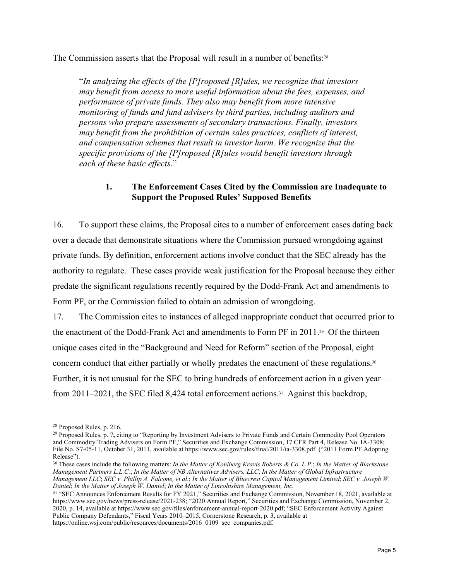The Commission asserts that the Proposal will result in a number of benefits:28

"*In analyzing the effects of the [P]roposed [R]ules, we recognize that investors may benefit from access to more useful information about the fees, expenses, and performance of private funds. They also may benefit from more intensive monitoring of funds and fund advisers by third parties, including auditors and persons who prepare assessments of secondary transactions. Finally, investors may benefit from the prohibition of certain sales practices, conflicts of interest, and compensation schemes that result in investor harm. We recognize that the specific provisions of the [P]roposed [R]ules would benefit investors through each of these basic effects*."

#### **1. The Enforcement Cases Cited by the Commission are Inadequate to Support the Proposed Rules' Supposed Benefits**

16. To support these claims, the Proposal cites to a number of enforcement cases dating back over a decade that demonstrate situations where the Commission pursued wrongdoing against private funds. By definition, enforcement actions involve conduct that the SEC already has the authority to regulate. These cases provide weak justification for the Proposal because they either predate the significant regulations recently required by the Dodd-Frank Act and amendments to Form PF, or the Commission failed to obtain an admission of wrongdoing.

17. The Commission cites to instances of alleged inappropriate conduct that occurred prior to the enactment of the Dodd-Frank Act and amendments to Form PF in 2011.29 Of the thirteen unique cases cited in the "Background and Need for Reform" section of the Proposal, eight concern conduct that either partially or wholly predates the enactment of these regulations.30 Further, it is not unusual for the SEC to bring hundreds of enforcement action in a given year from 2011–2021, the SEC filed 8,424 total enforcement actions.<sup>31</sup> Against this backdrop,

 $\overline{a}$ 

https://online.wsj.com/public/resources/documents/2016\_0109\_sec\_companies.pdf.

<sup>28</sup> Proposed Rules, p. 216.

<sup>&</sup>lt;sup>29</sup> Proposed Rules, p. 7, citing to "Reporting by Investment Advisers to Private Funds and Certain Commodity Pool Operators and Commodity Trading Advisers on Form PF," Securities and Exchange Commission, 17 CFR Part 4, Release No. IA-3308; File No. S7-05-11, October 31, 2011, available at https://www.sec.gov/rules/final/2011/ia-3308.pdf ("2011 Form PF Adopting Release").

<sup>30</sup> These cases include the following matters: *In the Matter of Kohlberg Kravis Roberts & Co. L.P.*; *In the Matter of Blackstone Management Partners L.L.C.*; *In the Matter of NB Alternatives Advisers, LLC*; *In the Matter of Global Infrastructure* 

*Management LLC*; *SEC v. Phillip A. Falcone, et al.*; *In the Matter of Bluecrest Capital Management Limited*; *SEC v. Joseph W. Daniel*; *In the Matter of Joseph W. Daniel*; *In the Matter of Lincolnshire Management, Inc.* 

<sup>31 &</sup>quot;SEC Announces Enforcement Results for FY 2021," Securities and Exchange Commission, November 18, 2021, available at https://www.sec.gov/news/press-release/2021-238; "2020 Annual Report," Securities and Exchange Commission, November 2, 2020, p. 14, available at https://www.sec.gov/files/enforcement-annual-report-2020.pdf; "SEC Enforcement Activity Against Public Company Defendants," Fiscal Years 2010–2015, Cornerstone Research, p. 3, available at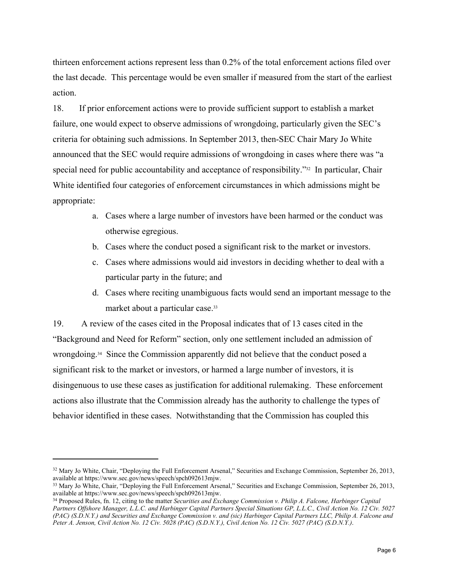thirteen enforcement actions represent less than 0.2% of the total enforcement actions filed over the last decade. This percentage would be even smaller if measured from the start of the earliest action.

18. If prior enforcement actions were to provide sufficient support to establish a market failure, one would expect to observe admissions of wrongdoing, particularly given the SEC's criteria for obtaining such admissions. In September 2013, then-SEC Chair Mary Jo White announced that the SEC would require admissions of wrongdoing in cases where there was "a special need for public accountability and acceptance of responsibility."32 In particular, Chair White identified four categories of enforcement circumstances in which admissions might be appropriate:

- a. Cases where a large number of investors have been harmed or the conduct was otherwise egregious.
- b. Cases where the conduct posed a significant risk to the market or investors.
- c. Cases where admissions would aid investors in deciding whether to deal with a particular party in the future; and
- d. Cases where reciting unambiguous facts would send an important message to the market about a particular case.33

19. A review of the cases cited in the Proposal indicates that of 13 cases cited in the "Background and Need for Reform" section, only one settlement included an admission of wrongdoing.34 Since the Commission apparently did not believe that the conduct posed a significant risk to the market or investors, or harmed a large number of investors, it is disingenuous to use these cases as justification for additional rulemaking. These enforcement actions also illustrate that the Commission already has the authority to challenge the types of behavior identified in these cases. Notwithstanding that the Commission has coupled this

<sup>&</sup>lt;sup>32</sup> Mary Jo White, Chair, "Deploying the Full Enforcement Arsenal," Securities and Exchange Commission, September 26, 2013,

available at https://www.sec.gov/news/speech/spch092613mjw.<br><sup>33</sup> Mary Jo White, Chair, "Deploying the Full Enforcement Arsenal," Securities and Exchange Commission, September 26, 2013, available at https://www.sec.gov/news

<sup>&</sup>lt;sup>34</sup> Proposed Rules, fn. 12, citing to the matter *Securities and Exchange Commission v. Philip A. Falcone, Harbinger Capital Partners Offshore Manager, L.L.C. and Harbinger Capital Partners Special Situations GP, L.L.C., Civil Action No. 12 Civ. 5027 (PAC) (S.D.N.Y.) and Securities and Exchange Commission v. and (sic) Harbinger Capital Partners LLC, Philip A. Falcone and Peter A. Jenson, Civil Action No. 12 Civ. 5028 (PAC) (S.D.N.Y.), Civil Action No. 12 Civ. 5027 (PAC) (S.D.N.Y.)*.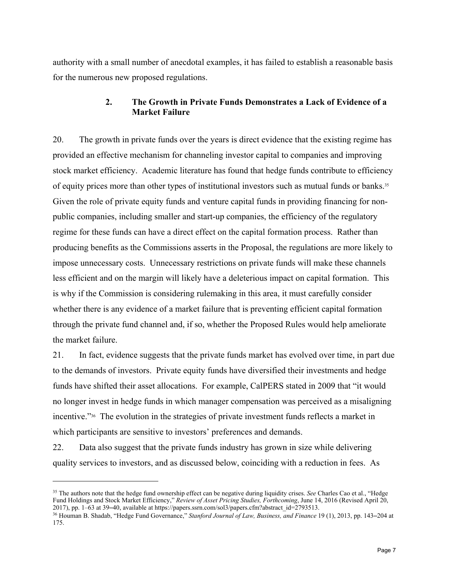authority with a small number of anecdotal examples, it has failed to establish a reasonable basis for the numerous new proposed regulations.

#### **2. The Growth in Private Funds Demonstrates a Lack of Evidence of a Market Failure**

20. The growth in private funds over the years is direct evidence that the existing regime has provided an effective mechanism for channeling investor capital to companies and improving stock market efficiency. Academic literature has found that hedge funds contribute to efficiency of equity prices more than other types of institutional investors such as mutual funds or banks.35 Given the role of private equity funds and venture capital funds in providing financing for nonpublic companies, including smaller and start-up companies, the efficiency of the regulatory regime for these funds can have a direct effect on the capital formation process. Rather than producing benefits as the Commissions asserts in the Proposal, the regulations are more likely to impose unnecessary costs. Unnecessary restrictions on private funds will make these channels less efficient and on the margin will likely have a deleterious impact on capital formation. This is why if the Commission is considering rulemaking in this area, it must carefully consider whether there is any evidence of a market failure that is preventing efficient capital formation through the private fund channel and, if so, whether the Proposed Rules would help ameliorate the market failure.

21. In fact, evidence suggests that the private funds market has evolved over time, in part due to the demands of investors. Private equity funds have diversified their investments and hedge funds have shifted their asset allocations. For example, CalPERS stated in 2009 that "it would no longer invest in hedge funds in which manager compensation was perceived as a misaligning incentive."36 The evolution in the strategies of private investment funds reflects a market in which participants are sensitive to investors' preferences and demands.

22. Data also suggest that the private funds industry has grown in size while delivering quality services to investors, and as discussed below, coinciding with a reduction in fees. As

<sup>35</sup> The authors note that the hedge fund ownership effect can be negative during liquidity crises. *See* Charles Cao et al., "Hedge Fund Holdings and Stock Market Efficiency," *Review of Asset Pricing Studies, Forthcoming*, June 14, 2016 (Revised April 20, 2017), pp. 1–63 at 39–40, available at https://papers.ssrn.com/sol3/papers.cfm?abstract\_id=279351

<sup>&</sup>lt;sup>36</sup> Houman B. Shadab, "Hedge Fund Governance," Stanford Journal of Law, Business, and Finance 19 (1), 2013, pp. 143–204 at 175.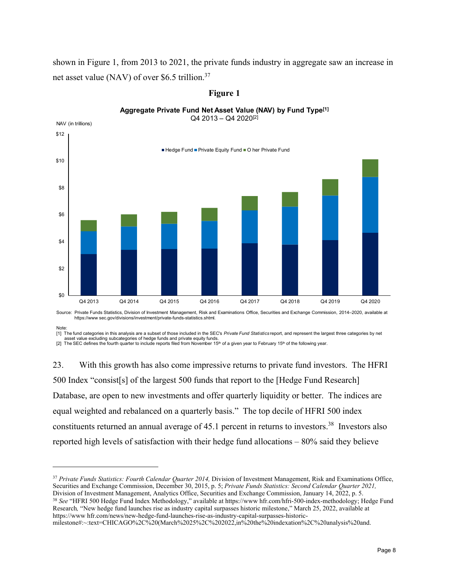shown in Figure 1, from 2013 to 2021, the private funds industry in aggregate saw an increase in net asset value (NAV) of over \$6.5 trillion.37

**Figure 1** 



#### **Aggregate Private Fund Net Asset Value (NAV) by Fund Type[1]**  $Q4$  2013 –  $Q4$  2020<sup>[2]</sup>

 $\overline{a}$ 

[1] The fund categories in this analysis are a subset of those included in the SEC's *Private Fund Statistics* report, and represent the largest three categories by net asset value excluding subcategories of hedge funds and private equity funds.

[2] The SEC defines the fourth quarter to include reports filed from November 15<sup>th</sup> of a given year to February 15<sup>th</sup> of the following year.

https://www sec.gov/divisions/investment/private-funds-statistics.shtml.

23. With this growth has also come impressive returns to private fund investors.The HFRI 500 Index "consist[s] of the largest 500 funds that report to the [Hedge Fund Research] Database, are open to new investments and offer quarterly liquidity or better. The indices are equal weighted and rebalanced on a quarterly basis." The top decile of HFRI 500 index constituents returned an annual average of 45.1 percent in returns to investors.<sup>38</sup> Investors also reported high levels of satisfaction with their hedge fund allocations – 80% said they believe

<sup>37</sup> Private Funds Statistics: Fourth Calendar Quarter 2014, Division of Investment Management, Risk and Examinations Office, Securities and Exchange Commission, December 30, 2015, p. 5; *Private Funds Statistics: Second Calendar Quarter 2021*, *Division of Investment Management, Analytics Office, Securities and Exchange Commission, January 14, 2* 

<sup>38</sup> See "HFRI 500 Hedge Fund Index Methodology," available at https://www.hfr.com/hfri-500-index-methodology; Hedge Fund Research*,* "New hedge fund launches rise as industry capital surpasses historic milestone," March 25, 2022, available at https://www hfr.com/news/new-hedge-fund-launches-rise-as-industry-capital-surpasses-historic-

Note: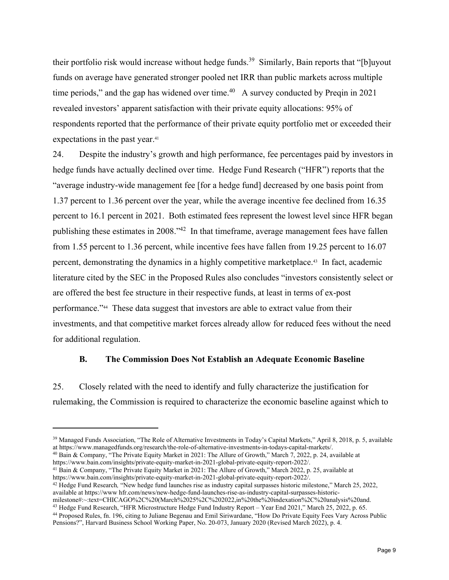their portfolio risk would increase without hedge funds.<sup>39</sup> Similarly, Bain reports that "[b]uyout funds on average have generated stronger pooled net IRR than public markets across multiple time periods," and the gap has widened over time. $40$  A survey conducted by Preqin in 2021 revealed investors' apparent satisfaction with their private equity allocations: 95% of respondents reported that the performance of their private equity portfolio met or exceeded their expectations in the past year.<sup>41</sup>

24. Despite the industry's growth and high performance, fee percentages paid by investors in hedge funds have actually declined over time. Hedge Fund Research ("HFR") reports that the "average industry-wide management fee [for a hedge fund] decreased by one basis point from 1.37 percent to 1.36 percent over the year, while the average incentive fee declined from 16.35 percent to 16.1 percent in 2021. Both estimated fees represent the lowest level since HFR began publishing these estimates in 2008."42 In that timeframe, average management fees have fallen from 1.55 percent to 1.36 percent, while incentive fees have fallen from 19.25 percent to 16.07 percent, demonstrating the dynamics in a highly competitive marketplace.43 In fact, academic literature cited by the SEC in the Proposed Rules also concludes "investors consistently select or are offered the best fee structure in their respective funds, at least in terms of ex-post performance."44 These data suggest that investors are able to extract value from their investments, and that competitive market forces already allow for reduced fees without the need for additional regulation.

#### **B. The Commission Does Not Establish an Adequate Economic Baseline**

25. Closely related with the need to identify and fully characterize the justification for rulemaking, the Commission is required to characterize the economic baseline against which to

<sup>40</sup> Bain & Company, "The Private Equity Market in 2021: The Allure of Growth," March 7, 2022, p. 24, available at https://www.bain.com/insights/private-equity-market-in-2021-global-private-equity-report-2022/.

<sup>41</sup> Bain & Company, "The Private Equity Market in 2021: The Allure of Growth," March 2022, p. 25, available at https://www.bain.com/insights/private-equity-market-in-2021-global-private-equity-report-2022/.

1

<sup>42</sup> Hedge Fund Research, "New hedge fund launches rise as industry capital surpasses historic milestone," March 25, 2022, available at https://www hfr.com/news/new-hedge-fund-launches-rise-as-industry-capital-surpasses-historic-<br>milestone#:~:text=CHICAGO%2C%20(March%2025%2C%202022,in%20the%20indexation%2C%20analysis%20and.

<sup>43</sup> Hedge Fund Research, "HFR Microstructure Hedge Fund Industry Report – Year End 2021," March 25, 2022, p. 65.<br><sup>44</sup> Proposed Rules, fn. 196, citing to Juliane Begenau and Emil Siriwardane, "How Do Private Equity Fees Va Pensions?", Harvard Business School Working Paper, No. 20-073, January 2020 (Revised March 2022), p. 4.

<sup>&</sup>lt;sup>39</sup> Managed Funds Association, "The Role of Alternative Investments in Today's Capital Markets," April 8, 2018, p. 5, available at https://www.managedfunds.org/research/the-role-of-alternative-investments-in-todays-capita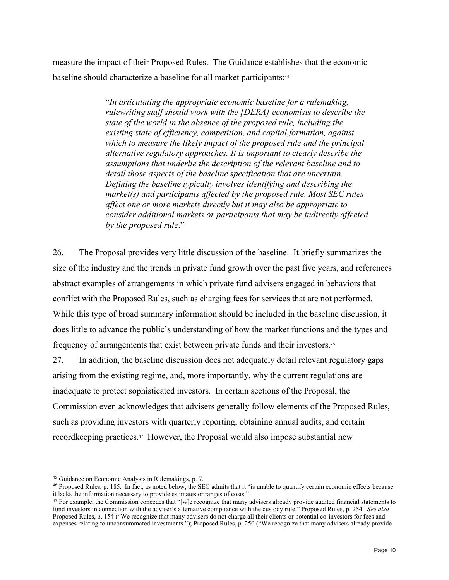measure the impact of their Proposed Rules. The Guidance establishes that the economic baseline should characterize a baseline for all market participants:45

> "*In articulating the appropriate economic baseline for a rulemaking, rulewriting staff should work with the [DERA] economists to describe the state of the world in the absence of the proposed rule, including the existing state of efficiency, competition, and capital formation, against which to measure the likely impact of the proposed rule and the principal alternative regulatory approaches. It is important to clearly describe the assumptions that underlie the description of the relevant baseline and to detail those aspects of the baseline specification that are uncertain. Defining the baseline typically involves identifying and describing the market(s) and participants affected by the proposed rule. Most SEC rules affect one or more markets directly but it may also be appropriate to consider additional markets or participants that may be indirectly affected by the proposed rule*."

26. The Proposal provides very little discussion of the baseline. It briefly summarizes the size of the industry and the trends in private fund growth over the past five years, and references abstract examples of arrangements in which private fund advisers engaged in behaviors that conflict with the Proposed Rules, such as charging fees for services that are not performed. While this type of broad summary information should be included in the baseline discussion, it does little to advance the public's understanding of how the market functions and the types and frequency of arrangements that exist between private funds and their investors.46

27. In addition, the baseline discussion does not adequately detail relevant regulatory gaps arising from the existing regime, and, more importantly, why the current regulations are inadequate to protect sophisticated investors. In certain sections of the Proposal, the Commission even acknowledges that advisers generally follow elements of the Proposed Rules, such as providing investors with quarterly reporting, obtaining annual audits, and certain recordkeeping practices.47 However, the Proposal would also impose substantial new

<sup>&</sup>lt;sup>45</sup> Guidance on Economic Analysis in Rulemakings, p. 7.<br><sup>46</sup> Proposed Rules, p. 185. In fact, as noted below, the SEC admits that it "is unable to quantify certain economic effects because it lacks the information necessary to provide estimates or ranges of costs."

 $47$  For example, the Commission concedes that "[w]e recognize that many advisers already provide audited financial statements to fund investors in connection with the adviser's alternative compliance with the custody rule." Proposed Rules, p. 254. *See also* Proposed Rules, p. 154 ("We recognize that many advisers do not charge all their clients or potential co-investors for fees and expenses relating to unconsummated investments."); Proposed Rules, p. 250 ("We recognize that many advisers already provide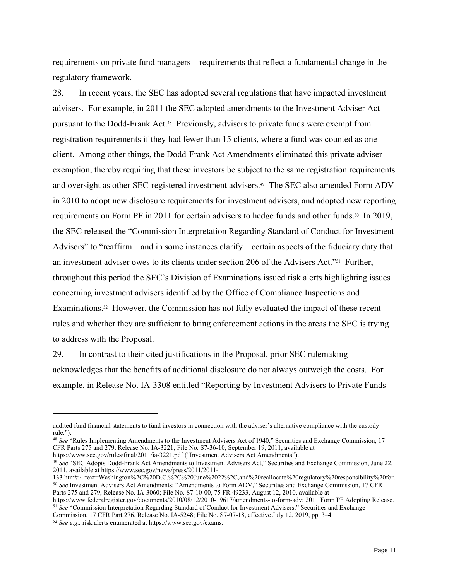requirements on private fund managers—requirements that reflect a fundamental change in the regulatory framework.

28. In recent years, the SEC has adopted several regulations that have impacted investment advisers. For example, in 2011 the SEC adopted amendments to the Investment Adviser Act pursuant to the Dodd-Frank Act.48 Previously, advisers to private funds were exempt from registration requirements if they had fewer than 15 clients, where a fund was counted as one client. Among other things, the Dodd-Frank Act Amendments eliminated this private adviser exemption, thereby requiring that these investors be subject to the same registration requirements and oversight as other SEC-registered investment advisers.<sup>49</sup> The SEC also amended Form ADV in 2010 to adopt new disclosure requirements for investment advisers, and adopted new reporting requirements on Form PF in 2011 for certain advisers to hedge funds and other funds.<sup>50</sup> In 2019, the SEC released the "Commission Interpretation Regarding Standard of Conduct for Investment Advisers" to "reaffirm—and in some instances clarify—certain aspects of the fiduciary duty that an investment adviser owes to its clients under section 206 of the Advisers Act."51 Further, throughout this period the SEC's Division of Examinations issued risk alerts highlighting issues concerning investment advisers identified by the Office of Compliance Inspections and Examinations.<sup>52</sup> However, the Commission has not fully evaluated the impact of these recent rules and whether they are sufficient to bring enforcement actions in the areas the SEC is trying to address with the Proposal.

29. In contrast to their cited justifications in the Proposal, prior SEC rulemaking acknowledges that the benefits of additional disclosure do not always outweigh the costs. For example, in Release No. IA-3308 entitled "Reporting by Investment Advisers to Private Funds

<sup>48</sup> *See* "Rules Implementing Amendments to the Investment Advisers Act of 1940," Securities and Exchange Commission, 17 CFR Parts 275 and 279, Release No. IA-3221; File No. S7-36-10, September 19, 2011, available at https://www.sec.gov/rules/final/2011/ia-3221.pdf ("Investment Advisers Act Amendments").

<sup>49</sup> See "SEC Adopts Dodd-Frank Act Amendments to Investment Advisers Act," Securities and Exchange Commission, June 22,

https://www federalregister.gov/documents/2010/08/12/2010-19617/amendments-to-form-adv; 2011 Form PF Adopting Release. <sup>51</sup> *See* "Commission Interpretation Regarding Standard of Conduct for Investment Advisers," Securities and Exchange

audited fund financial statements to fund investors in connection with the adviser's alternative compliance with the custody rule.").

<sup>2011,</sup> available at https://www.sec.gov/news/press/2011/2011-<br>133 htm#:~:text=Washington%2C%20D.C.%2C%20June%2022%2C,and%20reallocate%20regulatory%20responsibility%20for. <sup>50</sup> See Investment Advisers Act Amendments; "Amendments to Form ADV," Securities and Exchange Commission, 17 CFR Parts 275 and 279, Release No. IA-3060; File No. S7-10-00, 75 FR 49233, August 12, 2010, available at

Commission, 17 CFR Part 276, Release No. IA-5248; File No. S7-07-18, effective July 12, 2019, pp. 3–4. 52 *See e.g.,* risk alerts enumerated at https://www.sec.gov/exams.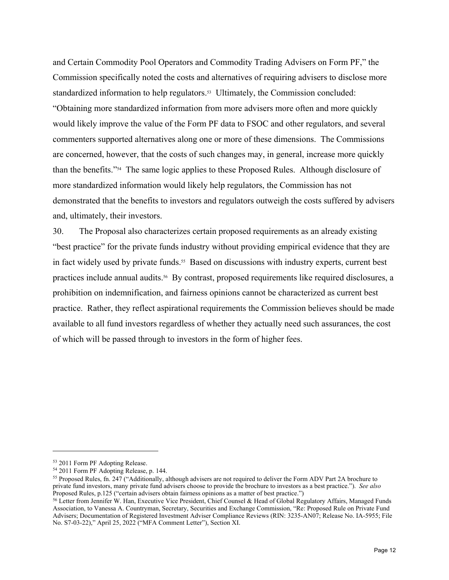and Certain Commodity Pool Operators and Commodity Trading Advisers on Form PF," the Commission specifically noted the costs and alternatives of requiring advisers to disclose more standardized information to help regulators.<sup>53</sup> Ultimately, the Commission concluded: "Obtaining more standardized information from more advisers more often and more quickly would likely improve the value of the Form PF data to FSOC and other regulators, and several commenters supported alternatives along one or more of these dimensions. The Commissions are concerned, however, that the costs of such changes may, in general, increase more quickly than the benefits."54 The same logic applies to these Proposed Rules. Although disclosure of more standardized information would likely help regulators, the Commission has not demonstrated that the benefits to investors and regulators outweigh the costs suffered by advisers and, ultimately, their investors.

30. The Proposal also characterizes certain proposed requirements as an already existing "best practice" for the private funds industry without providing empirical evidence that they are in fact widely used by private funds.55 Based on discussions with industry experts, current best practices include annual audits.<sup>56</sup> By contrast, proposed requirements like required disclosures, a prohibition on indemnification, and fairness opinions cannot be characterized as current best practice. Rather, they reflect aspirational requirements the Commission believes should be made available to all fund investors regardless of whether they actually need such assurances, the cost of which will be passed through to investors in the form of higher fees.

<sup>53 2011</sup> Form PF Adopting Release.

<sup>54 2011</sup> Form PF Adopting Release, p. 144.

<sup>55</sup> Proposed Rules, fn. 247 ("Additionally, although advisers are not required to deliver the Form ADV Part 2A brochure to private fund investors, many private fund advisers choose to provide the brochure to investors as a best practice."). *See also*

<sup>&</sup>lt;sup>56</sup> Letter from Jennifer W. Han, Executive Vice President, Chief Counsel & Head of Global Regulatory Affairs, Managed Funds Association, to Vanessa A. Countryman, Secretary, Securities and Exchange Commission, "Re: Proposed Rule on Private Fund Advisers; Documentation of Registered Investment Adviser Compliance Reviews (RIN: 3235-AN07; Release No. IA-5955; File No. S7-03-22)," April 25, 2022 ("MFA Comment Letter"), Section XI.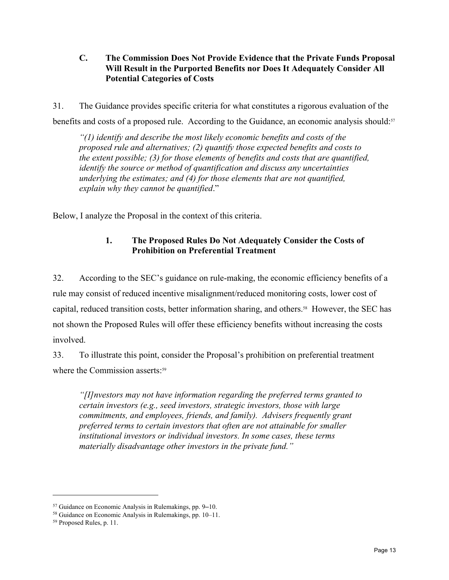#### **C. The Commission Does Not Provide Evidence that the Private Funds Proposal Will Result in the Purported Benefits nor Does It Adequately Consider All Potential Categories of Costs**

31. The Guidance provides specific criteria for what constitutes a rigorous evaluation of the benefits and costs of a proposed rule. According to the Guidance, an economic analysis should:57

*"(1) identify and describe the most likely economic benefits and costs of the proposed rule and alternatives; (2) quantify those expected benefits and costs to the extent possible; (3) for those elements of benefits and costs that are quantified, identify the source or method of quantification and discuss any uncertainties underlying the estimates; and (4) for those elements that are not quantified, explain why they cannot be quantified*."

Below, I analyze the Proposal in the context of this criteria.

# **1. The Proposed Rules Do Not Adequately Consider the Costs of Prohibition on Preferential Treatment**

32. According to the SEC's guidance on rule-making, the economic efficiency benefits of a rule may consist of reduced incentive misalignment/reduced monitoring costs, lower cost of capital, reduced transition costs, better information sharing, and others.<sup>58</sup> However, the SEC has not shown the Proposed Rules will offer these efficiency benefits without increasing the costs involved.

33. To illustrate this point, consider the Proposal's prohibition on preferential treatment where the Commission asserts:<sup>59</sup>

*"[I]nvestors may not have information regarding the preferred terms granted to certain investors (e.g., seed investors, strategic investors, those with large commitments, and employees, friends, and family). Advisers frequently grant preferred terms to certain investors that often are not attainable for smaller institutional investors or individual investors. In some cases, these terms materially disadvantage other investors in the private fund."*

<sup>&</sup>lt;sup>57</sup> Guidance on Economic Analysis in Rulemakings, pp. 9–10.<br><sup>58</sup> Guidance on Economic Analysis in Rulemakings, pp. 10–11.<br><sup>59</sup> Proposed Rules, p. 11.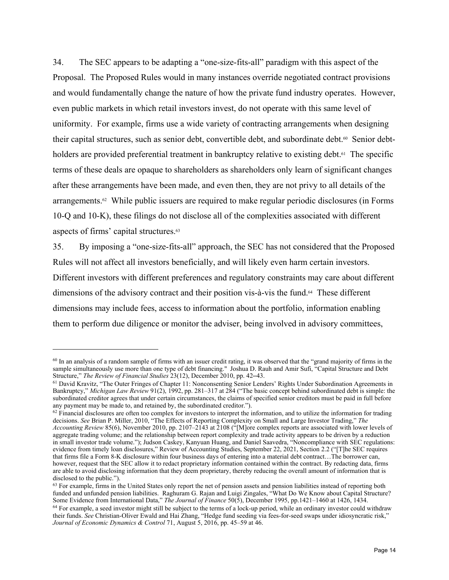34. The SEC appears to be adapting a "one-size-fits-all" paradigm with this aspect of the Proposal. The Proposed Rules would in many instances override negotiated contract provisions and would fundamentally change the nature of how the private fund industry operates. However, even public markets in which retail investors invest, do not operate with this same level of uniformity. For example, firms use a wide variety of contracting arrangements when designing their capital structures, such as senior debt, convertible debt, and subordinate debt.60 Senior debtholders are provided preferential treatment in bankruptcy relative to existing debt.<sup>61</sup> The specific terms of these deals are opaque to shareholders as shareholders only learn of significant changes after these arrangements have been made, and even then, they are not privy to all details of the arrangements. $\mathfrak{a}$  While public issuers are required to make regular periodic disclosures (in Forms 10-Q and 10-K), these filings do not disclose all of the complexities associated with different aspects of firms' capital structures.63

35. By imposing a "one-size-fits-all" approach, the SEC has not considered that the Proposed Rules will not affect all investors beneficially, and will likely even harm certain investors. Different investors with different preferences and regulatory constraints may care about different dimensions of the advisory contract and their position vis-à-vis the fund.64 These different dimensions may include fees, access to information about the portfolio, information enabling them to perform due diligence or monitor the adviser, being involved in advisory committees,

 $60$  In an analysis of a random sample of firms with an issuer credit rating, it was observed that the "grand majority of firms in the sample simultaneously use more than one type of debt financing." Joshua D. Rauh and Amir Sufi, "Capital Structure and Debt Structure," The Review of Financial Studies 23(12), December 2010, pp. 42–43.

<sup>&</sup>lt;sup>61</sup> David Kravitz, "The Outer Fringes of Chapter 11: Nonconsenting Senior Lenders' Rights Under Subordination Agreements in Bankruptcy," *Michigan Law Review* 91(2), 1992, pp. 281–317 at 284 ("The basic concept behind subordinated debt is simple: the subordinated creditor agrees that under certain circumstances, the claims of specified senior creditors must be paid in full before any payment may be made to, and retained by, the subordinated creditor.").

 $62$  Financial disclosures are often too complex for investors to interpret the information, and to utilize the information for trading decisions. *See* Brian P. Miller, 2010, "The Effects of Reporting Complexity on Small and Large Investor Trading," *The Accounting Review* 85(6), November 2010, pp. 2107–2143 at 2108 ("[M]ore complex reports are associated with lower levels of aggregate trading volume; and the relationship between report complexity and trade activity appears to be driven by a reduction in small investor trade volume."); Judson Caskey, Kanyuan Huang, and Daniel Saavedra, "Noncompliance with SEC regulations: evidence from timely loan disclosures," Review of Accounting Studies, September 22, 2021, Section 2.2 ("[T]he SEC requires that firms file a Form 8-K disclosure within four business days of entering into a material debt contract…The borrower can, however, request that the SEC allow it to redact proprietary information contained within the contract. By redacting data, firms are able to avoid disclosing information that they deem proprietary, thereby reducing the overall amount of information that is disclosed to the public.").

 $63$  For example, firms in the United States only report the net of pension assets and pension liabilities instead of reporting both funded and unfunded pension liabilities. Raghuram G. Rajan and Luigi Zingales, "What Do We Know about Capital Structure?<br>Some Evidence from International Data," *The Journal of Finance* 50(5), December 1995, pp.1421–1460 a

<sup>&</sup>lt;sup>64</sup> For example, a seed investor might still be subject to the terms of a lock-up period, while an ordinary investor could withdraw their funds. *See* Christian-Oliver Ewald and Hai Zhang, "Hedge fund seeding via fees-for-seed swaps under idiosyncratic risk," *Journal of Economic Dynamics & Control* 71, August 5, 2016, pp. 45–59 at 46.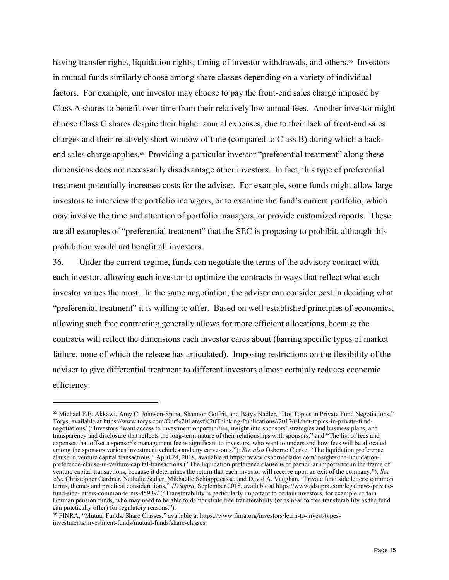having transfer rights, liquidation rights, timing of investor withdrawals, and others.<sup>65</sup> Investors in mutual funds similarly choose among share classes depending on a variety of individual factors. For example, one investor may choose to pay the front-end sales charge imposed by Class A shares to benefit over time from their relatively low annual fees. Another investor might choose Class C shares despite their higher annual expenses, due to their lack of front-end sales charges and their relatively short window of time (compared to Class B) during which a backend sales charge applies.<sup>66</sup> Providing a particular investor "preferential treatment" along these dimensions does not necessarily disadvantage other investors. In fact, this type of preferential treatment potentially increases costs for the adviser. For example, some funds might allow large investors to interview the portfolio managers, or to examine the fund's current portfolio, which may involve the time and attention of portfolio managers, or provide customized reports. These are all examples of "preferential treatment" that the SEC is proposing to prohibit, although this prohibition would not benefit all investors.

36. Under the current regime, funds can negotiate the terms of the advisory contract with each investor, allowing each investor to optimize the contracts in ways that reflect what each investor values the most. In the same negotiation, the adviser can consider cost in deciding what "preferential treatment" it is willing to offer. Based on well-established principles of economics, allowing such free contracting generally allows for more efficient allocations, because the contracts will reflect the dimensions each investor cares about (barring specific types of market failure, none of which the release has articulated). Imposing restrictions on the flexibility of the adviser to give differential treatment to different investors almost certainly reduces economic efficiency.

<sup>65</sup> Michael F.E. Akkawi, Amy C. Johnson-Spina, Shannon Gotfrit, and Batya Nadler, "Hot Topics in Private Fund Negotiations," Torys, available at https://www.torys.com/Our%20Latest%20Thinking/Publications//2017/01/hot-topics-in-private-fundnegotiations/ ("Investors "want access to investment opportunities, insight into sponsors' strategies and business plans, and transparency and disclosure that reflects the long-term nature of their relationships with sponsors," and "The list of fees and expenses that offset a sponsor's management fee is significant to investors, who want to understand how fees will be allocated among the sponsors various investment vehicles and any carve-outs.")*; See also* Osborne Clarke, "The liquidation preference clause in venture capital transactions," April 24, 2018, available at https://www.osborneclarke.com/insights/the-liquidationpreference-clause-in-venture-capital-transactions (*"*The liquidation preference clause is of particular importance in the frame of venture capital transactions, because it determines the return that each investor will receive upon an exit of the company."); *See also* Christopher Gardner, Nathalie Sadler, Mikhaelle Schiappacasse, and David A. Vaughan, "Private fund side letters: common terms, themes and practical considerations," *JDSupra*, September 2018, available at https://www.jdsupra.com/legalnews/privatefund-side-letters-common-terms-45939/ ("Transferability is particularly important to certain investors, for example certain German pension funds, who may need to be able to demonstrate free transferability (or as near to free transferability as the fund can practically offer) for regulatory reasons.").

<sup>66</sup> FINRA, "Mutual Funds: Share Classes," available at https://www finra.org/investors/learn-to-invest/typesinvestments/investment-funds/mutual-funds/share-classes.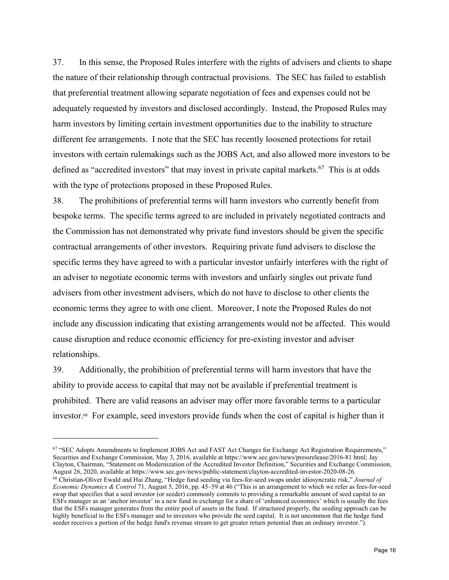37. In this sense, the Proposed Rules interfere with the rights of advisers and clients to shape the nature of their relationship through contractual provisions. The SEC has failed to establish that preferential treatment allowing separate negotiation of fees and expenses could not be adequately requested by investors and disclosed accordingly. Instead, the Proposed Rules may harm investors by limiting certain investment opportunities due to the inability to structure different fee arrangements. I note that the SEC has recently loosened protections for retail investors with certain rulemakings such as the JOBS Act, and also allowed more investors to be defined as "accredited investors" that may invest in private capital markets. $67$  This is at odds with the type of protections proposed in these Proposed Rules.

38. The prohibitions of preferential terms will harm investors who currently benefit from bespoke terms. The specific terms agreed to are included in privately negotiated contracts and the Commission has not demonstrated why private fund investors should be given the specific contractual arrangements of other investors. Requiring private fund advisers to disclose the specific terms they have agreed to with a particular investor unfairly interferes with the right of an adviser to negotiate economic terms with investors and unfairly singles out private fund advisers from other investment advisers, which do not have to disclose to other clients the economic terms they agree to with one client. Moreover, I note the Proposed Rules do not include any discussion indicating that existing arrangements would not be affected. This would cause disruption and reduce economic efficiency for pre-existing investor and adviser relationships.

39. Additionally, the prohibition of preferential terms will harm investors that have the ability to provide access to capital that may not be available if preferential treatment is prohibited. There are valid reasons an adviser may offer more favorable terms to a particular investor.<sup>68</sup> For example, seed investors provide funds when the cost of capital is higher than it

<sup>67 &</sup>quot;SEC Adopts Amendments to Implement JOBS Act and FAST Act Changes for Exchange Act Registration Requirements," Securities and Exchange Commission, May 3, 2016, available at https://www.sec.gov/news/pressrelease/2016-81 html; Jay Clayton, Chairman, "Statement on Modernization of the Accredited Investor Definition," Securities and Exchange Commission, <sup>68</sup> Christian-Oliver Ewald and Hai Zhang, "Hedge fund seeding via fees-for-seed swaps under idiosyncratic risk," Journal of *Economic Dynamics & Control* 71, August 5, 2016, pp. 45–59 at 46 ("This is an arrangement to which we refer as fees-for-seed swap that specifies that a seed investor (or seeder) commonly commits to providing a remarkable amount of seed capital to an ESFs manager as an 'anchor investor' in a new fund in exchange for a share of 'enhanced economics' which is usually the fees that the ESFs manager generates from the entire pool of assets in the fund. If structured properly, the seeding approach can be highly beneficial to the ESFs manager and to investors who provide the seed capital. It is not uncommon that the hedge fund seeder receives a portion of the hedge fund's revenue stream to get greater return potential than an ordinary investor.").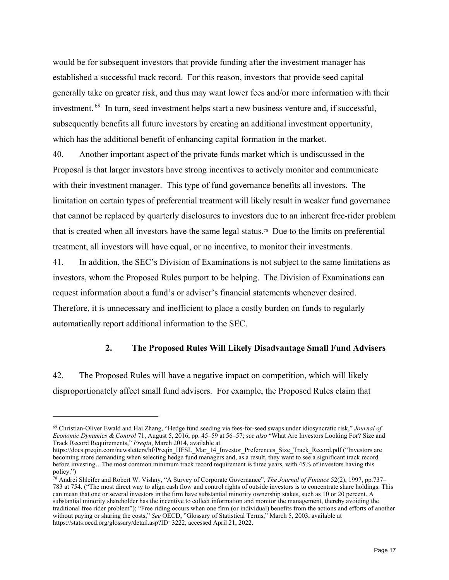would be for subsequent investors that provide funding after the investment manager has established a successful track record. For this reason, investors that provide seed capital generally take on greater risk, and thus may want lower fees and/or more information with their investment. 69 In turn, seed investment helps start a new business venture and, if successful, subsequently benefits all future investors by creating an additional investment opportunity, which has the additional benefit of enhancing capital formation in the market.

40. Another important aspect of the private funds market which is undiscussed in the Proposal is that larger investors have strong incentives to actively monitor and communicate with their investment manager. This type of fund governance benefits all investors. The limitation on certain types of preferential treatment will likely result in weaker fund governance that cannot be replaced by quarterly disclosures to investors due to an inherent free-rider problem that is created when all investors have the same legal status.<sup>70</sup> Due to the limits on preferential treatment, all investors will have equal, or no incentive, to monitor their investments.

41. In addition, the SEC's Division of Examinations is not subject to the same limitations as investors, whom the Proposed Rules purport to be helping. The Division of Examinations can request information about a fund's or adviser's financial statements whenever desired. Therefore, it is unnecessary and inefficient to place a costly burden on funds to regularly automatically report additional information to the SEC.

#### **2. The Proposed Rules Will Likely Disadvantage Small Fund Advisers**

42. The Proposed Rules will have a negative impact on competition, which will likely disproportionately affect small fund advisers. For example, the Proposed Rules claim that

<sup>69</sup> Christian-Oliver Ewald and Hai Zhang, "Hedge fund seeding via fees-for-seed swaps under idiosyncratic risk," *Journal of Economic Dynamics & Control* 71, August 5, 2016, pp. 45–59 at 56–57; *see also* "What Are Investors Looking For? Size and Track Record Requirements," *Preqin*, March 2014, available at

https://docs.preqin.com/newsletters/hf/Preqin\_HFSL\_Mar\_14\_Investor\_Preferences\_Size\_Track\_Record.pdf ("Investors are becoming more demanding when selecting hedge fund managers and, as a result, they want to see a significant track record before investing…The most common minimum track record requirement is three years, with 45% of investors having this policy.")

<sup>70</sup> Andrei Shleifer and Robert W. Vishny, "A Survey of Corporate Governance", *The Journal of Finance* 52(2), 1997, pp.737– 783 at 754. ("The most direct way to align cash flow and control rights of outside investors is to concentrate share holdings. This can mean that one or several investors in the firm have substantial minority ownership stakes, such as 10 or 20 percent. A substantial minority shareholder has the incentive to collect information and monitor the management, thereby avoiding the traditional free rider problem"); "Free riding occurs when one firm (or individual) benefits from the actions and efforts of another without paying or sharing the costs," *See* OECD, "Glossary of Statistical Terms," March 5, 2003, available at https://stats.oecd.org/glossary/detail.asp?ID=3222, accessed April 21, 2022.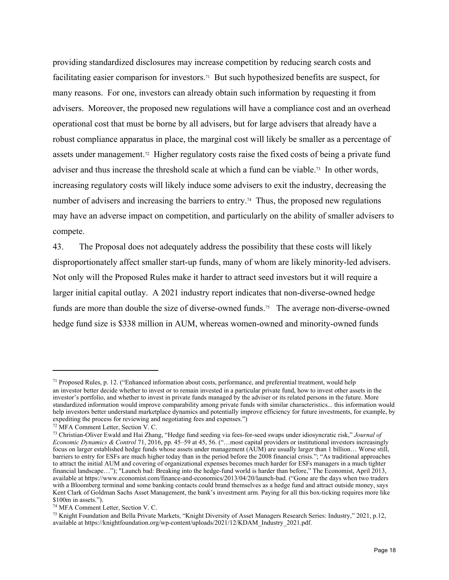providing standardized disclosures may increase competition by reducing search costs and facilitating easier comparison for investors.<sup>71</sup> But such hypothesized benefits are suspect, for many reasons. For one, investors can already obtain such information by requesting it from advisers. Moreover, the proposed new regulations will have a compliance cost and an overhead operational cost that must be borne by all advisers, but for large advisers that already have a robust compliance apparatus in place, the marginal cost will likely be smaller as a percentage of assets under management.72 Higher regulatory costs raise the fixed costs of being a private fund adviser and thus increase the threshold scale at which a fund can be viable.<sup>73</sup> In other words, increasing regulatory costs will likely induce some advisers to exit the industry, decreasing the number of advisers and increasing the barriers to entry.<sup>74</sup> Thus, the proposed new regulations may have an adverse impact on competition, and particularly on the ability of smaller advisers to compete.

43. The Proposal does not adequately address the possibility that these costs will likely disproportionately affect smaller start-up funds, many of whom are likely minority-led advisers. Not only will the Proposed Rules make it harder to attract seed investors but it will require a larger initial capital outlay. A 2021 industry report indicates that non-diverse-owned hedge funds are more than double the size of diverse-owned funds.<sup>75</sup> The average non-diverse-owned hedge fund size is \$338 million in AUM, whereas women-owned and minority-owned funds

<sup>71</sup> Proposed Rules, p. 12. ("Enhanced information about costs, performance, and preferential treatment, would help an investor better decide whether to invest or to remain invested in a particular private fund, how to invest other assets in the investor's portfolio, and whether to invest in private funds managed by the adviser or its related persons in the future. More standardized information would improve comparability among private funds with similar characteristics... this information would help investors better understand marketplace dynamics and potentially improve efficiency for future investments, for example, by expediting the process for reviewing and negotiating fees and expenses.") 72 MFA Comment Letter, Section V. C.

<sup>73</sup> Christian-Oliver Ewald and Hai Zhang, "Hedge fund seeding via fees-for-seed swaps under idiosyncratic risk," *Journal of Economic Dynamics & Control* 71, 2016, pp. 45–59 at 45, 56. ("…most capital providers or institutional investors increasingly focus on larger established hedge funds whose assets under management (AUM) are usually larger than 1 billion… Worse still, barriers to entry for ESFs are much higher today than in the period before the 2008 financial crisis."; "As traditional approaches to attract the initial AUM and covering of organizational expenses becomes much harder for ESFs managers in a much tighter financial landscape…"); "Launch bad: Breaking into the hedge-fund world is harder than before," The Economist, April 2013, available at https://www.economist.com/finance-and-economics/2013/04/20/launch-bad. ("Gone are the days when two traders with a Bloomberg terminal and some banking contacts could brand themselves as a hedge fund and attract outside money, says Kent Clark of Goldman Sachs Asset Management, the bank's investment arm. Paying for all this box-ticking requires more like \$100m in assets.").

<sup>74</sup> MFA Comment Letter, Section V. C.

<sup>75</sup> Knight Foundation and Bella Private Markets, "Knight Diversity of Asset Managers Research Series: Industry," 2021, p.12, available at https://knightfoundation.org/wp-content/uploads/2021/12/KDAM\_Industry\_2021.pdf.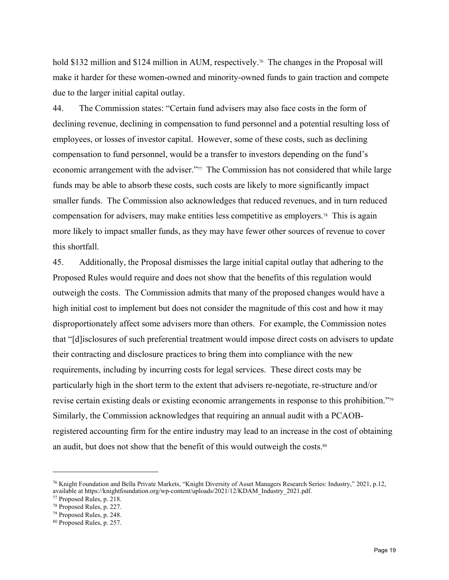hold \$132 million and \$124 million in AUM, respectively.<sup>76</sup> The changes in the Proposal will make it harder for these women-owned and minority-owned funds to gain traction and compete due to the larger initial capital outlay.

44. The Commission states: "Certain fund advisers may also face costs in the form of declining revenue, declining in compensation to fund personnel and a potential resulting loss of employees, or losses of investor capital. However, some of these costs, such as declining compensation to fund personnel, would be a transfer to investors depending on the fund's economic arrangement with the adviser."77 The Commission has not considered that while large funds may be able to absorb these costs, such costs are likely to more significantly impact smaller funds. The Commission also acknowledges that reduced revenues, and in turn reduced compensation for advisers, may make entities less competitive as employers.78 This is again more likely to impact smaller funds, as they may have fewer other sources of revenue to cover this shortfall.

45. Additionally, the Proposal dismisses the large initial capital outlay that adhering to the Proposed Rules would require and does not show that the benefits of this regulation would outweigh the costs. The Commission admits that many of the proposed changes would have a high initial cost to implement but does not consider the magnitude of this cost and how it may disproportionately affect some advisers more than others. For example, the Commission notes that "[d]isclosures of such preferential treatment would impose direct costs on advisers to update their contracting and disclosure practices to bring them into compliance with the new requirements, including by incurring costs for legal services. These direct costs may be particularly high in the short term to the extent that advisers re-negotiate, re-structure and/or revise certain existing deals or existing economic arrangements in response to this prohibition."79 Similarly, the Commission acknowledges that requiring an annual audit with a PCAOBregistered accounting firm for the entire industry may lead to an increase in the cost of obtaining an audit, but does not show that the benefit of this would outweigh the costs.<sup>80</sup>

<sup>76</sup> Knight Foundation and Bella Private Markets, "Knight Diversity of Asset Managers Research Series: Industry," 2021, p.12, available at https://knightfoundation.org/wp-content/uploads/2021/12/KDAM\_Industry\_2021.pdf. 77 Proposed Rules, p. 218.

<sup>78</sup> Proposed Rules, p. 227.

<sup>79</sup> Proposed Rules, p. 248.

<sup>80</sup> Proposed Rules, p. 257.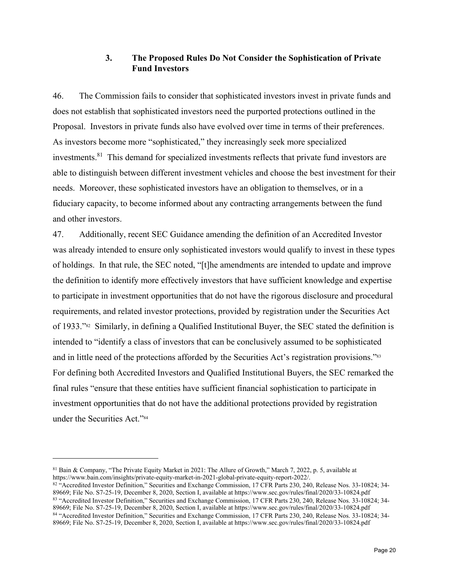# **3. The Proposed Rules Do Not Consider the Sophistication of Private Fund Investors**

46. The Commission fails to consider that sophisticated investors invest in private funds and does not establish that sophisticated investors need the purported protections outlined in the Proposal. Investors in private funds also have evolved over time in terms of their preferences. As investors become more "sophisticated," they increasingly seek more specialized investments.81 This demand for specialized investments reflects that private fund investors are able to distinguish between different investment vehicles and choose the best investment for their needs. Moreover, these sophisticated investors have an obligation to themselves, or in a fiduciary capacity, to become informed about any contracting arrangements between the fund and other investors.

47. Additionally, recent SEC Guidance amending the definition of an Accredited Investor was already intended to ensure only sophisticated investors would qualify to invest in these types of holdings. In that rule, the SEC noted, "[t]he amendments are intended to update and improve the definition to identify more effectively investors that have sufficient knowledge and expertise to participate in investment opportunities that do not have the rigorous disclosure and procedural requirements, and related investor protections, provided by registration under the Securities Act of 1933."82 Similarly, in defining a Qualified Institutional Buyer, the SEC stated the definition is intended to "identify a class of investors that can be conclusively assumed to be sophisticated and in little need of the protections afforded by the Securities Act's registration provisions."<sup>83</sup> For defining both Accredited Investors and Qualified Institutional Buyers, the SEC remarked the final rules "ensure that these entities have sufficient financial sophistication to participate in investment opportunities that do not have the additional protections provided by registration under the Securities Act."84

<sup>&</sup>lt;sup>81</sup> Bain & Company, "The Private Equity Market in 2021: The Allure of Growth," March 7, 2022, p. 5, available at https://www.bain.com/insights/private-equity-market-in-2021-global-private-equity-report-2022/.

<sup>&</sup>lt;sup>82</sup> "Accredited Investor Definition," Securities and Exchange Commission, 17 CFR Parts 230, 240, Release Nos. 33-10824; 34-<br>89669; File No. S7-25-19, December 8, 2020, Section I, available at https://www.sec.gov/rules/fin <sup>83</sup> "Accredited Investor Definition," Securities and Exchange Commission, 17 CFR Parts 230, 240, Release Nos. 33-10824; 34-89669; File No. S7-25-19, December 8, 2020, Section I, available at https://www.sec.gov/rules/fina 84 "Accredited Investor Definition," Securities and Exchange Commission, 17 CFR Parts 230, 240, Release Nos. 33-10824; 34-89669; File No. S7-25-19, December 8, 2020, Section I, available at https://www.sec.gov/rules/final/2020/33-10824.pdf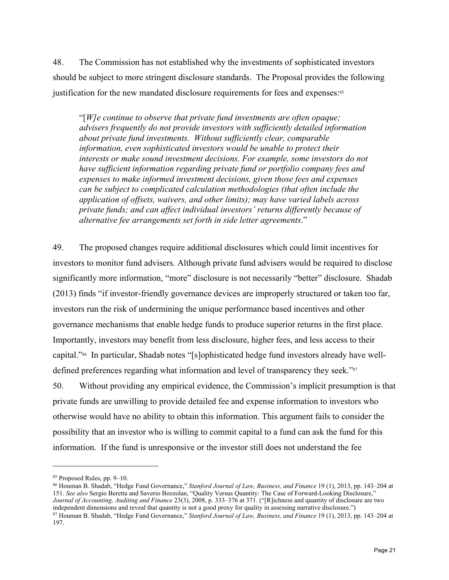48. The Commission has not established why the investments of sophisticated investors should be subject to more stringent disclosure standards. The Proposal provides the following justification for the new mandated disclosure requirements for fees and expenses:<sup>85</sup>

"[*W]e continue to observe that private fund investments are often opaque; advisers frequently do not provide investors with sufficiently detailed information about private fund investments. Without sufficiently clear, comparable information, even sophisticated investors would be unable to protect their interests or make sound investment decisions. For example, some investors do not have sufficient information regarding private fund or portfolio company fees and expenses to make informed investment decisions, given those fees and expenses can be subject to complicated calculation methodologies (that often include the application of offsets, waivers, and other limits); may have varied labels across private funds; and can affect individual investors' returns differently because of alternative fee arrangements set forth in side letter agreements*."

49. The proposed changes require additional disclosures which could limit incentives for investors to monitor fund advisers. Although private fund advisers would be required to disclose significantly more information, "more" disclosure is not necessarily "better" disclosure. Shadab (2013) finds "if investor-friendly governance devices are improperly structured or taken too far, investors run the risk of undermining the unique performance based incentives and other governance mechanisms that enable hedge funds to produce superior returns in the first place. Importantly, investors may benefit from less disclosure, higher fees, and less access to their capital."86 In particular, Shadab notes "[s]ophisticated hedge fund investors already have welldefined preferences regarding what information and level of transparency they seek."<sup>87</sup>

50. Without providing any empirical evidence, the Commission's implicit presumption is that private funds are unwilling to provide detailed fee and expense information to investors who otherwise would have no ability to obtain this information. This argument fails to consider the possibility that an investor who is willing to commit capital to a fund can ask the fund for this information. If the fund is unresponsive or the investor still does not understand the fee

<sup>85</sup> Proposed Rules, pp. 9–10.

<sup>86</sup> Houman B. Shadab, "Hedge Fund Governance," *Stanford Journal of Law, Business, and Finance* 19 (1), 2013, pp. 143–204 at 151. *See also* Sergio Beretta and Saverio Bozzolan, "Quality Versus Quantity: The Case of Forward-Looking Disclosure," *Journal of Accounting, Auditing and Finance 23(3), 2008, p. 333–376 at 371.* ("[R]ichness and quantity of disclosure are two independent dimensions and reveal that quantity is not a good proxy for quality in assessing nar

<sup>87</sup> Houman B. Shadab, "Hedge Fund Governance," Stanford Journal of Law, Business, and Finance 19 (1), 2013, pp. 143-204 at 197.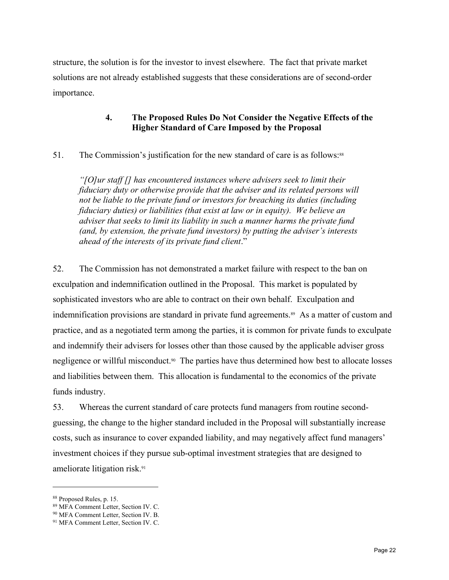structure, the solution is for the investor to invest elsewhere. The fact that private market solutions are not already established suggests that these considerations are of second-order importance.

### **4. The Proposed Rules Do Not Consider the Negative Effects of the Higher Standard of Care Imposed by the Proposal**

51. The Commission's justification for the new standard of care is as follows:<sup>88</sup>

*"[O]ur staff [] has encountered instances where advisers seek to limit their fiduciary duty or otherwise provide that the adviser and its related persons will not be liable to the private fund or investors for breaching its duties (including fiduciary duties) or liabilities (that exist at law or in equity). We believe an adviser that seeks to limit its liability in such a manner harms the private fund (and, by extension, the private fund investors) by putting the adviser's interests ahead of the interests of its private fund client*."

52. The Commission has not demonstrated a market failure with respect to the ban on exculpation and indemnification outlined in the Proposal. This market is populated by sophisticated investors who are able to contract on their own behalf. Exculpation and indemnification provisions are standard in private fund agreements.<sup>89</sup> As a matter of custom and practice, and as a negotiated term among the parties, it is common for private funds to exculpate and indemnify their advisers for losses other than those caused by the applicable adviser gross negligence or willful misconduct.<sup>90</sup> The parties have thus determined how best to allocate losses and liabilities between them. This allocation is fundamental to the economics of the private funds industry.

53. Whereas the current standard of care protects fund managers from routine secondguessing, the change to the higher standard included in the Proposal will substantially increase costs, such as insurance to cover expanded liability, and may negatively affect fund managers' investment choices if they pursue sub-optimal investment strategies that are designed to ameliorate litigation risk.91

1

<sup>88</sup> Proposed Rules, p. 15.

<sup>89</sup> MFA Comment Letter, Section IV. C.

<sup>90</sup> MFA Comment Letter, Section IV. B.

<sup>&</sup>lt;sup>91</sup> MFA Comment Letter, Section IV. C.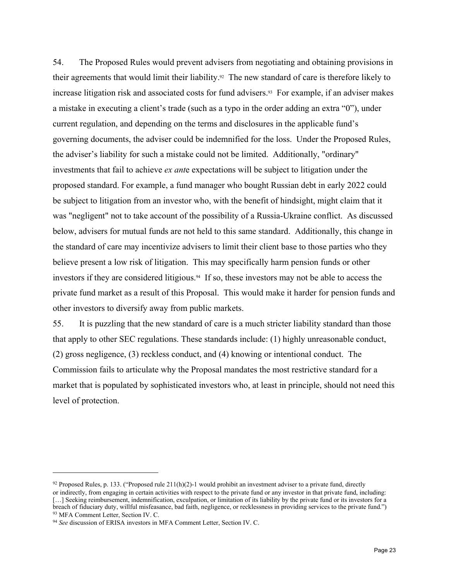54. The Proposed Rules would prevent advisers from negotiating and obtaining provisions in their agreements that would limit their liability.<sup>92</sup> The new standard of care is therefore likely to increase litigation risk and associated costs for fund advisers.<sup>93</sup> For example, if an adviser makes a mistake in executing a client's trade (such as a typo in the order adding an extra "0"), under current regulation, and depending on the terms and disclosures in the applicable fund's governing documents, the adviser could be indemnified for the loss. Under the Proposed Rules, the adviser's liability for such a mistake could not be limited. Additionally, "ordinary" investments that fail to achieve *ex ant*e expectations will be subject to litigation under the proposed standard. For example, a fund manager who bought Russian debt in early 2022 could be subject to litigation from an investor who, with the benefit of hindsight, might claim that it was "negligent" not to take account of the possibility of a Russia-Ukraine conflict. As discussed below, advisers for mutual funds are not held to this same standard. Additionally, this change in the standard of care may incentivize advisers to limit their client base to those parties who they believe present a low risk of litigation. This may specifically harm pension funds or other investors if they are considered litigious.<sup>94</sup> If so, these investors may not be able to access the private fund market as a result of this Proposal. This would make it harder for pension funds and other investors to diversify away from public markets.

55. It is puzzling that the new standard of care is a much stricter liability standard than those that apply to other SEC regulations. These standards include: (1) highly unreasonable conduct, (2) gross negligence, (3) reckless conduct, and (4) knowing or intentional conduct. The Commission fails to articulate why the Proposal mandates the most restrictive standard for a market that is populated by sophisticated investors who, at least in principle, should not need this level of protection.

 $92$  Proposed Rules, p. 133. ("Proposed rule 211(h)(2)-1 would prohibit an investment adviser to a private fund, directly or indirectly, from engaging in certain activities with respect to the private fund or any investor in that private fund, including: [...] Seeking reimbursement, indemnification, exculpation, or limitation of its liability by the private fund or its investors for a breach of fiduciary duty, willful misfeasance, bad faith, negligence, or recklessness in providing services to the private fund.") <sup>93</sup> MFA Comment Letter, Section IV. C.

<sup>94</sup> *See* discussion of ERISA investors in MFA Comment Letter, Section IV. C.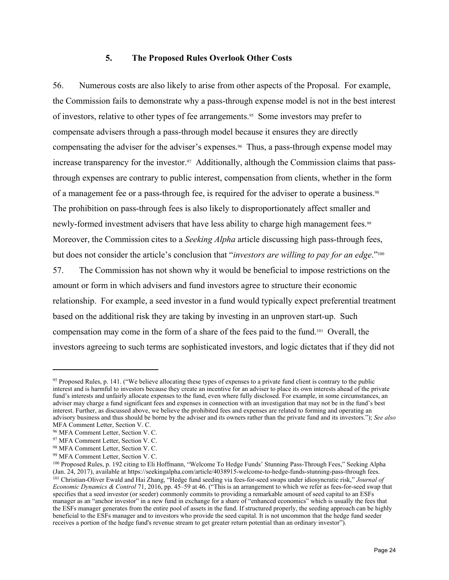#### **5. The Proposed Rules Overlook Other Costs**

56. Numerous costs are also likely to arise from other aspects of the Proposal. For example, the Commission fails to demonstrate why a pass-through expense model is not in the best interest of investors, relative to other types of fee arrangements.<sup>95</sup> Some investors may prefer to compensate advisers through a pass-through model because it ensures they are directly compensating the adviser for the adviser's expenses.96 Thus, a pass-through expense model may increase transparency for the investor.<sup>97</sup> Additionally, although the Commission claims that passthrough expenses are contrary to public interest, compensation from clients, whether in the form of a management fee or a pass-through fee, is required for the adviser to operate a business.<sup>98</sup> The prohibition on pass-through fees is also likely to disproportionately affect smaller and newly-formed investment advisers that have less ability to charge high management fees.<sup>99</sup> Moreover, the Commission cites to a *Seeking Alpha* article discussing high pass-through fees, but does not consider the article's conclusion that "*investors are willing to pay for an edge*."<sup>100</sup>

57. The Commission has not shown why it would be beneficial to impose restrictions on the amount or form in which advisers and fund investors agree to structure their economic relationship. For example, a seed investor in a fund would typically expect preferential treatment based on the additional risk they are taking by investing in an unproven start-up. Such compensation may come in the form of a share of the fees paid to the fund.101 Overall, the investors agreeing to such terms are sophisticated investors, and logic dictates that if they did not

1

<sup>95</sup> Proposed Rules, p. 141. ("We believe allocating these types of expenses to a private fund client is contrary to the public interest and is harmful to investors because they create an incentive for an adviser to place its own interests ahead of the private fund's interests and unfairly allocate expenses to the fund, even where fully disclosed. For example, in some circumstances, an adviser may charge a fund significant fees and expenses in connection with an investigation that may not be in the fund's best interest. Further, as discussed above, we believe the prohibited fees and expenses are related to forming and operating an advisory business and thus should be borne by the adviser and its owners rather than the private fund and its investors."); *See also* MFA Comment Letter, Section V. C.

<sup>96</sup> MFA Comment Letter, Section V. C.

<sup>97</sup> MFA Comment Letter, Section V. C.

<sup>98</sup> MFA Comment Letter, Section V. C.

<sup>99</sup> MFA Comment Letter, Section V. C.

<sup>&</sup>lt;sup>100</sup> Proposed Rules, p. 192 citing to Eli Hoffmann, "Welcome To Hedge Funds' Stunning Pass-Through Fees," Seeking Alpha<br>(Jan. 24, 2017), available at https://seekingalpha.com/article/4038915-welcome-to-hedge-funds-stunnin (Jan. 24, 2017), available at https://seekingalpha.com/article/4038915-welcome-to-hedge-funds-stunning-pass-through fees.<br><sup>101</sup> Christian-Oliver Ewald and Hai Zhang, "Hedge fund seeding via fees-for-seed swaps under idiosy *Economic Dynamics & Control* 71, 2016, pp. 45–59 at 46. ("This is an arrangement to which we refer as fees-for-seed swap that specifies that a seed investor (or seeder) commonly commits to providing a remarkable amount of seed capital to an ESFs manager as an "anchor investor" in a new fund in exchange for a share of "enhanced economics" which is usually the fees that the ESFs manager generates from the entire pool of assets in the fund. If structured properly, the seeding approach can be highly beneficial to the ESFs manager and to investors who provide the seed capital. It is not uncommon that the hedge fund seeder receives a portion of the hedge fund's revenue stream to get greater return potential than an ordinary investor").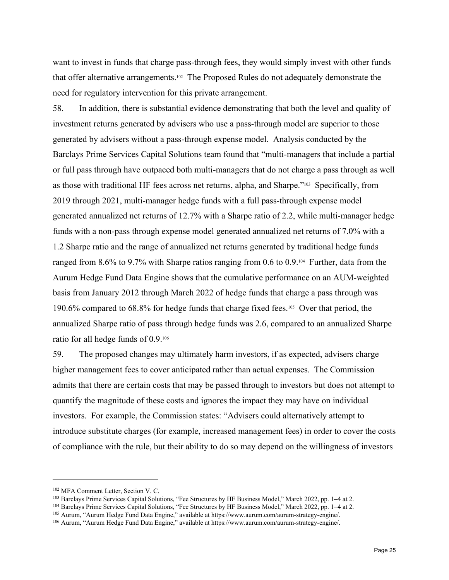want to invest in funds that charge pass-through fees, they would simply invest with other funds that offer alternative arrangements.102 The Proposed Rules do not adequately demonstrate the need for regulatory intervention for this private arrangement.

58. In addition, there is substantial evidence demonstrating that both the level and quality of investment returns generated by advisers who use a pass-through model are superior to those generated by advisers without a pass-through expense model. Analysis conducted by the Barclays Prime Services Capital Solutions team found that "multi-managers that include a partial or full pass through have outpaced both multi-managers that do not charge a pass through as well as those with traditional HF fees across net returns, alpha, and Sharpe."103 Specifically, from 2019 through 2021, multi-manager hedge funds with a full pass-through expense model generated annualized net returns of 12.7% with a Sharpe ratio of 2.2, while multi-manager hedge funds with a non-pass through expense model generated annualized net returns of 7.0% with a 1.2 Sharpe ratio and the range of annualized net returns generated by traditional hedge funds ranged from 8.6% to 9.7% with Sharpe ratios ranging from 0.6 to 0.9.104 Further, data from the Aurum Hedge Fund Data Engine shows that the cumulative performance on an AUM-weighted basis from January 2012 through March 2022 of hedge funds that charge a pass through was 190.6% compared to 68.8% for hedge funds that charge fixed fees.105 Over that period, the annualized Sharpe ratio of pass through hedge funds was 2.6, compared to an annualized Sharpe ratio for all hedge funds of 0.9.106

59. The proposed changes may ultimately harm investors, if as expected, advisers charge higher management fees to cover anticipated rather than actual expenses. The Commission admits that there are certain costs that may be passed through to investors but does not attempt to quantify the magnitude of these costs and ignores the impact they may have on individual investors. For example, the Commission states: "Advisers could alternatively attempt to introduce substitute charges (for example, increased management fees) in order to cover the costs of compliance with the rule, but their ability to do so may depend on the willingness of investors

<u>.</u>

<sup>&</sup>lt;sup>102</sup> MFA Comment Letter, Section V. C.<br><sup>103</sup> Barclays Prime Services Capital Solutions, "Fee Structures by HF Business Model," March 2022, pp. 1–4 at 2.<br><sup>104</sup> Barclays Prime Services Capital Solutions, "Fee Structures by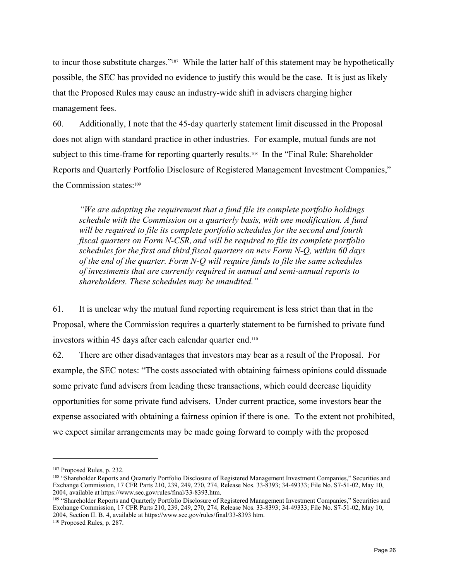to incur those substitute charges."<sup>107</sup> While the latter half of this statement may be hypothetically possible, the SEC has provided no evidence to justify this would be the case. It is just as likely that the Proposed Rules may cause an industry-wide shift in advisers charging higher management fees.

60. Additionally, I note that the 45-day quarterly statement limit discussed in the Proposal does not align with standard practice in other industries. For example, mutual funds are not subject to this time-frame for reporting quarterly results.<sup>108</sup> In the "Final Rule: Shareholder Reports and Quarterly Portfolio Disclosure of Registered Management Investment Companies," the Commission states:109

*"We are adopting the requirement that a fund file its complete portfolio holdings schedule with the Commission on a quarterly basis, with one modification. A fund will be required to file its complete portfolio schedules for the second and fourth fiscal quarters on Form N-CSR, and will be required to file its complete portfolio schedules for the first and third fiscal quarters on new Form N-Q, within 60 days of the end of the quarter. Form N-Q will require funds to file the same schedules of investments that are currently required in annual and semi-annual reports to shareholders. These schedules may be unaudited."* 

61. It is unclear why the mutual fund reporting requirement is less strict than that in the Proposal, where the Commission requires a quarterly statement to be furnished to private fund investors within 45 days after each calendar quarter end.110

62. There are other disadvantages that investors may bear as a result of the Proposal. For example, the SEC notes: "The costs associated with obtaining fairness opinions could dissuade some private fund advisers from leading these transactions, which could decrease liquidity opportunities for some private fund advisers. Under current practice, some investors bear the expense associated with obtaining a fairness opinion if there is one. To the extent not prohibited, we expect similar arrangements may be made going forward to comply with the proposed

<sup>&</sup>lt;sup>107</sup> Proposed Rules, p. 232.<br><sup>108</sup> "Shareholder Reports and Quarterly Portfolio Disclosure of Registered Management Investment Companies," Securities and Exchange Commission, 17 CFR Parts 210, 239, 249, 270, 274, Release Nos. 33-8393; 34-49333; File No. S7-51-02, May 10,

<sup>&</sup>lt;sup>109</sup> "Shareholder Reports and Quarterly Portfolio Disclosure of Registered Management Investment Companies," Securities and Exchange Commission, 17 CFR Parts 210, 239, 249, 270, 274, Release Nos. 33-8393; 34-49333; File No. S7-51-02, May 10, 2004, Section II. B. 4, available at https://www.sec.gov/rules/final/33-8393 htm. 110 Proposed Rules, p. 287.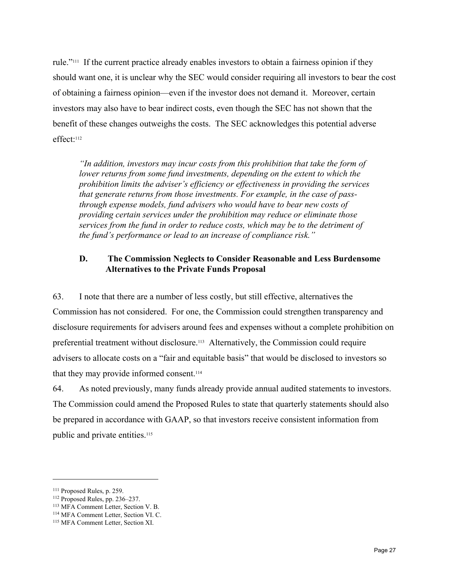rule."111 If the current practice already enables investors to obtain a fairness opinion if they should want one, it is unclear why the SEC would consider requiring all investors to bear the cost of obtaining a fairness opinion—even if the investor does not demand it. Moreover, certain investors may also have to bear indirect costs, even though the SEC has not shown that the benefit of these changes outweighs the costs. The SEC acknowledges this potential adverse effect:112

*"In addition, investors may incur costs from this prohibition that take the form of lower returns from some fund investments, depending on the extent to which the prohibition limits the adviser's efficiency or effectiveness in providing the services that generate returns from those investments. For example, in the case of passthrough expense models, fund advisers who would have to bear new costs of providing certain services under the prohibition may reduce or eliminate those services from the fund in order to reduce costs, which may be to the detriment of the fund's performance or lead to an increase of compliance risk."* 

## **D. The Commission Neglects to Consider Reasonable and Less Burdensome Alternatives to the Private Funds Proposal**

63. I note that there are a number of less costly, but still effective, alternatives the Commission has not considered. For one, the Commission could strengthen transparency and disclosure requirements for advisers around fees and expenses without a complete prohibition on preferential treatment without disclosure.113 Alternatively, the Commission could require advisers to allocate costs on a "fair and equitable basis" that would be disclosed to investors so that they may provide informed consent.114

64. As noted previously, many funds already provide annual audited statements to investors. The Commission could amend the Proposed Rules to state that quarterly statements should also be prepared in accordance with GAAP, so that investors receive consistent information from public and private entities.115

<sup>111</sup> Proposed Rules, p. 259.<br>
112 Proposed Rules, pp. 236–237.<br>
113 MFA Comment Letter, Section V. B.<br>
<sup>114</sup> MFA Comment Letter, Section XI.<br>
<sup>115</sup> MFA Comment Letter, Section XI.